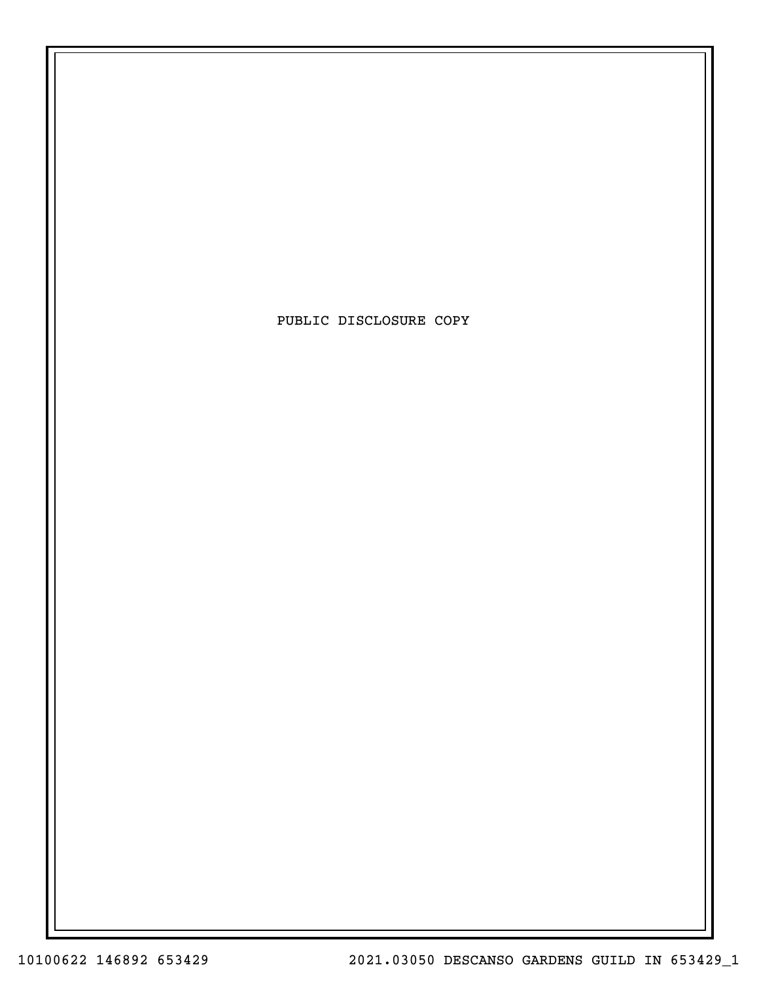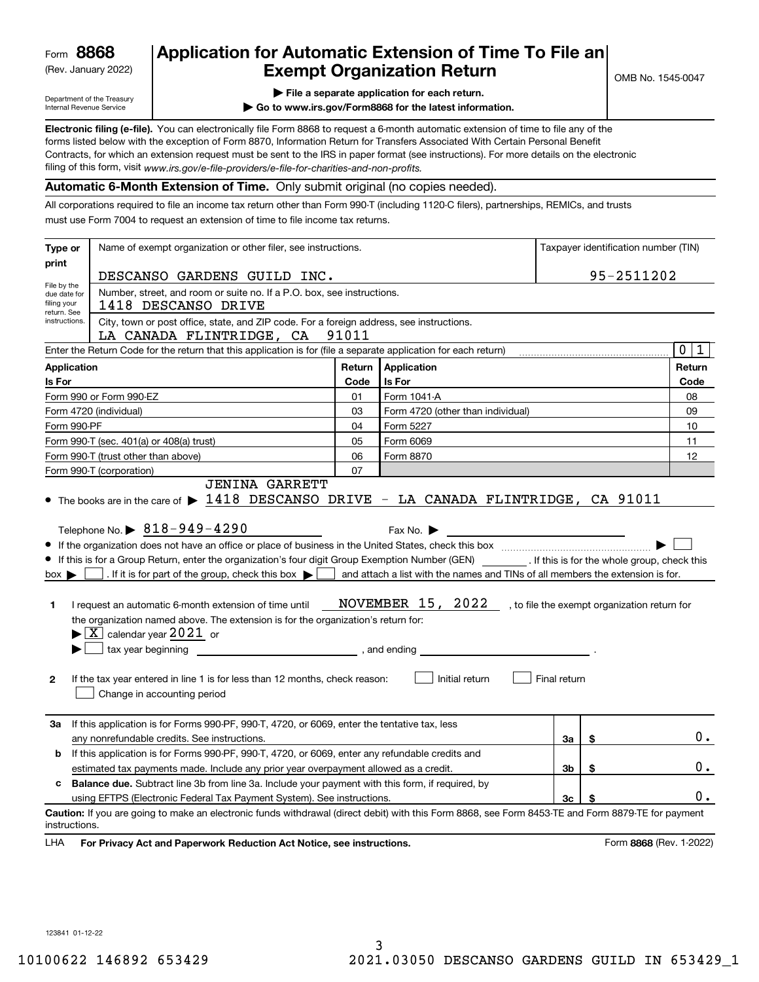(Rev. January 2022)

## **Application for Automatic Extension of Time To File an Exempt Organization Return**

Department of the Treasury Internal Revenue Service

|  |  |  | $\blacktriangleright$ File a separate application for each return. |  |
|--|--|--|--------------------------------------------------------------------|--|
|  |  |  |                                                                    |  |

**| Go to www.irs.gov/Form8868 for the latest information.**

**Electronic filing (e-file).**  You can electronically file Form 8868 to request a 6-month automatic extension of time to file any of the filing of this form, visit www*.irs.gov/e-file-providers/e-file-for-charities-and-non-profits.* forms listed below with the exception of Form 8870, Information Return for Transfers Associated With Certain Personal Benefit Contracts, for which an extension request must be sent to the IRS in paper format (see instructions). For more details on the electronic

#### **Automatic 6-Month Extension of Time.** Only submit original (no copies needed).

All corporations required to file an income tax return other than Form 990-T (including 1120-C filers), partnerships, REMICs, and trusts must use Form 7004 to request an extension of time to file income tax returns.

| Type or                                    | Name of exempt organization or other filer, see instructions.                                                                                                                                                                                                                                                                                                                                                                                                                                                                                                                                                                        |                                                                        |                                                                                                                                                        | Taxpayer identification number (TIN) |                                              |                         |  |
|--------------------------------------------|--------------------------------------------------------------------------------------------------------------------------------------------------------------------------------------------------------------------------------------------------------------------------------------------------------------------------------------------------------------------------------------------------------------------------------------------------------------------------------------------------------------------------------------------------------------------------------------------------------------------------------------|------------------------------------------------------------------------|--------------------------------------------------------------------------------------------------------------------------------------------------------|--------------------------------------|----------------------------------------------|-------------------------|--|
| print                                      | DESCANSO GARDENS GUILD INC.                                                                                                                                                                                                                                                                                                                                                                                                                                                                                                                                                                                                          |                                                                        |                                                                                                                                                        |                                      | 95-2511202                                   |                         |  |
| File by the<br>due date for<br>filing your | 1418 DESCANSO DRIVE                                                                                                                                                                                                                                                                                                                                                                                                                                                                                                                                                                                                                  | Number, street, and room or suite no. If a P.O. box, see instructions. |                                                                                                                                                        |                                      |                                              |                         |  |
| return. See<br>instructions.               | City, town or post office, state, and ZIP code. For a foreign address, see instructions.<br>LA CANADA FLINTRIDGE, CA                                                                                                                                                                                                                                                                                                                                                                                                                                                                                                                 | 91011                                                                  |                                                                                                                                                        |                                      |                                              |                         |  |
|                                            | Enter the Return Code for the return that this application is for (file a separate application for each return)                                                                                                                                                                                                                                                                                                                                                                                                                                                                                                                      |                                                                        |                                                                                                                                                        |                                      |                                              | 0 1                     |  |
| <b>Application</b>                         |                                                                                                                                                                                                                                                                                                                                                                                                                                                                                                                                                                                                                                      | Return                                                                 | <b>Application</b>                                                                                                                                     |                                      |                                              | Return                  |  |
| Is For                                     |                                                                                                                                                                                                                                                                                                                                                                                                                                                                                                                                                                                                                                      | Code                                                                   | Is For                                                                                                                                                 |                                      |                                              | Code                    |  |
|                                            | Form 990 or Form 990-EZ                                                                                                                                                                                                                                                                                                                                                                                                                                                                                                                                                                                                              | 01                                                                     | Form 1041-A                                                                                                                                            |                                      |                                              | 08                      |  |
|                                            | Form 4720 (individual)                                                                                                                                                                                                                                                                                                                                                                                                                                                                                                                                                                                                               | 03                                                                     | Form 4720 (other than individual)                                                                                                                      |                                      |                                              | 09                      |  |
| Form 990-PF                                |                                                                                                                                                                                                                                                                                                                                                                                                                                                                                                                                                                                                                                      | 04                                                                     | Form 5227                                                                                                                                              |                                      |                                              | 10                      |  |
|                                            | Form 990-T (sec. 401(a) or 408(a) trust)                                                                                                                                                                                                                                                                                                                                                                                                                                                                                                                                                                                             | 05                                                                     | Form 6069                                                                                                                                              |                                      |                                              | 11                      |  |
|                                            | Form 990-T (trust other than above)                                                                                                                                                                                                                                                                                                                                                                                                                                                                                                                                                                                                  | 06                                                                     | Form 8870                                                                                                                                              |                                      |                                              | 12                      |  |
|                                            | Form 990-T (corporation)<br><b>JENINA GARRETT</b>                                                                                                                                                                                                                                                                                                                                                                                                                                                                                                                                                                                    | 07                                                                     |                                                                                                                                                        |                                      |                                              |                         |  |
| $box \blacktriangleright$<br>1.<br>2       | Telephone No. $\triangleright$ 818-949-4290<br>If this is for a Group Return, enter the organization's four digit Group Exemption Number (GEN) __________. If this is for the whole group, check this<br>. If it is for part of the group, check this box $\blacktriangleright$<br>I request an automatic 6-month extension of time until<br>the organization named above. The extension is for the organization's return for:<br>$\blacktriangleright$ $\boxed{\text{X}}$ calendar year 2021 or<br>tax year beginning<br>If the tax year entered in line 1 is for less than 12 months, check reason:<br>Change in accounting period | , and ending                                                           | Fax No. $\blacktriangleright$<br>and attach a list with the names and TINs of all members the extension is for.<br>NOVEMBER 15, 2022<br>Initial return | Final return                         | , to file the exempt organization return for |                         |  |
| За                                         | If this application is for Forms 990-PF, 990-T, 4720, or 6069, enter the tentative tax, less<br>any nonrefundable credits. See instructions.                                                                                                                                                                                                                                                                                                                                                                                                                                                                                         |                                                                        |                                                                                                                                                        | За                                   | \$                                           | $0$ .                   |  |
| b                                          | If this application is for Forms 990-PF, 990-T, 4720, or 6069, enter any refundable credits and<br>estimated tax payments made. Include any prior year overpayment allowed as a credit.                                                                                                                                                                                                                                                                                                                                                                                                                                              |                                                                        |                                                                                                                                                        | 3b                                   | \$                                           | 0.                      |  |
| c                                          | <b>Balance due.</b> Subtract line 3b from line 3a. Include your payment with this form, if required, by                                                                                                                                                                                                                                                                                                                                                                                                                                                                                                                              |                                                                        |                                                                                                                                                        |                                      |                                              |                         |  |
|                                            | using EFTPS (Electronic Federal Tax Payment System). See instructions.                                                                                                                                                                                                                                                                                                                                                                                                                                                                                                                                                               |                                                                        |                                                                                                                                                        | 3c                                   |                                              | $0$ .                   |  |
| instructions.<br>LHA                       | Caution: If you are going to make an electronic funds withdrawal (direct debit) with this Form 8868, see Form 8453-TE and Form 8879-TE for payment<br>For Privacy Act and Paperwork Reduction Act Notice, see instructions.                                                                                                                                                                                                                                                                                                                                                                                                          |                                                                        |                                                                                                                                                        |                                      |                                              | Form 8868 (Rev. 1-2022) |  |

123841 01-12-22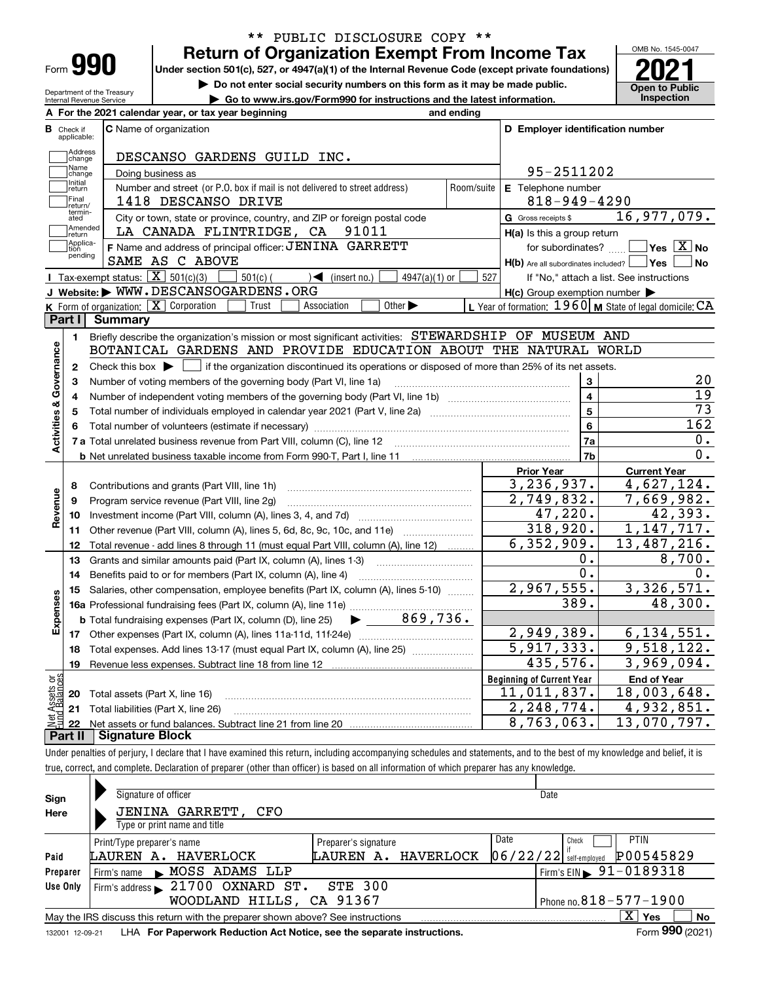| Form |  |
|------|--|

### **Return of Organization Exempt From Income Tax** \*\* PUBLIC DISCLOSURE COPY \*\*

Under section 501(c), 527, or 4947(a)(1) of the Internal Revenue Code (except private foundations) **2021** 

**| Do not enter social security numbers on this form as it may be made public.**

**| Go to www.irs.gov/Form990 for instructions and the latest information. Inspection**



Department of the Treasury Internal Revenue Service

|    |                         | A For the 2021 calendar year, or tax year beginning                                                                                       | and ending |                                                     |                                                           |
|----|-------------------------|-------------------------------------------------------------------------------------------------------------------------------------------|------------|-----------------------------------------------------|-----------------------------------------------------------|
| В  | Check if<br>applicable: | <b>C</b> Name of organization                                                                                                             |            | D Employer identification number                    |                                                           |
|    | Address<br>Change       | DESCANSO GARDENS GUILD INC.                                                                                                               |            |                                                     |                                                           |
|    | Name<br>change          | Doing business as                                                                                                                         |            | 95-2511202                                          |                                                           |
|    | Initial<br>return       | Number and street (or P.O. box if mail is not delivered to street address)                                                                | Room/suite | E Telephone number                                  |                                                           |
|    | Final<br>return/        | 1418 DESCANSO DRIVE                                                                                                                       |            | $818 - 949 - 4290$                                  |                                                           |
|    | termin-<br>ated         | City or town, state or province, country, and ZIP or foreign postal code                                                                  |            | <b>G</b> Gross receipts \$                          | 16,977,079.                                               |
|    | Amended<br>return       | LA CANADA FLINTRIDGE, CA<br>91011                                                                                                         |            | $H(a)$ is this a group return                       |                                                           |
|    | Applica-<br>tion        | F Name and address of principal officer: JENINA GARRETT                                                                                   |            | for subordinates?                                   | $\sqrt{}$ Yes $\sqrt{X}$ No                               |
|    | pending                 | SAME AS C ABOVE                                                                                                                           |            | $H(b)$ Are all subordinates included? $\Box$ Yes    | ∣No                                                       |
|    |                         | Tax-exempt status: $\boxed{\mathbf{X}}$ 501(c)(3)<br>$501(c)$ (<br>$\sqrt{\bullet}$ (insert no.)<br>$4947(a)(1)$ or                       | 527        |                                                     | If "No," attach a list. See instructions                  |
|    |                         | J Website: WWW.DESCANSOGARDENS.ORG                                                                                                        |            | $H(c)$ Group exemption number $\blacktriangleright$ |                                                           |
|    |                         | K Form of organization: $X$ Corporation<br>Trust<br>Association<br>Other $\blacktriangleright$                                            |            |                                                     | L Year of formation: $1960$ M State of legal domicile: CA |
|    | Part I                  | <b>Summary</b>                                                                                                                            |            |                                                     |                                                           |
|    | 1.                      | Briefly describe the organization's mission or most significant activities: STEWARDSHIP OF MUSEUM AND                                     |            |                                                     |                                                           |
|    |                         | BOTANICAL GARDENS AND PROVIDE EDUCATION ABOUT THE NATURAL WORLD                                                                           |            |                                                     |                                                           |
|    | 2                       | Check this box $\blacktriangleright \Box$ if the organization discontinued its operations or disposed of more than 25% of its net assets. |            |                                                     |                                                           |
|    | 3                       | Number of voting members of the governing body (Part VI, line 1a)                                                                         |            | 3                                                   | 20                                                        |
|    | 4                       |                                                                                                                                           |            | $\overline{\mathbf{4}}$                             | $\overline{19}$                                           |
|    | 5                       |                                                                                                                                           |            | 5                                                   | $\overline{73}$                                           |
|    | 6                       |                                                                                                                                           |            | 6                                                   | 162                                                       |
|    |                         |                                                                                                                                           |            | 7a                                                  | О.                                                        |
|    |                         |                                                                                                                                           |            | 7 <sub>b</sub>                                      | 0.                                                        |
|    |                         |                                                                                                                                           |            | <b>Prior Year</b>                                   | <b>Current Year</b>                                       |
|    | 8                       | Contributions and grants (Part VIII, line 1h)                                                                                             |            | 3, 236, 937.                                        | 4,627,124.                                                |
|    | 9                       | Program service revenue (Part VIII, line 2g)                                                                                              |            | 2,749,832.                                          | 7,669,982.                                                |
|    | 10                      |                                                                                                                                           |            | 47,220.                                             | 42,393.                                                   |
|    | 11                      | Other revenue (Part VIII, column (A), lines 5, 6d, 8c, 9c, 10c, and 11e)                                                                  |            | 318,920.                                            | 1, 147, 717.                                              |
|    | 12                      | Total revenue - add lines 8 through 11 (must equal Part VIII, column (A), line 12)                                                        |            | 6, 352, 909.                                        | 13,487,216.                                               |
|    | 13                      | Grants and similar amounts paid (Part IX, column (A), lines 1-3)                                                                          |            | 0.                                                  | 8,700.                                                    |
|    | 14                      | Benefits paid to or for members (Part IX, column (A), line 4)                                                                             |            | 0.                                                  | 0.                                                        |
|    | 15                      | Salaries, other compensation, employee benefits (Part IX, column (A), lines 5-10)                                                         |            | 2,967,555.                                          | 3,326,571.                                                |
|    |                         |                                                                                                                                           |            | 389.                                                | 48,300.                                                   |
|    |                         | $\blacktriangleright$ 869,736.<br><b>b</b> Total fundraising expenses (Part IX, column (D), line 25)                                      |            |                                                     |                                                           |
|    |                         |                                                                                                                                           |            | 2,949,389.                                          | 6, 134, 551.                                              |
|    | 18                      | Total expenses. Add lines 13-17 (must equal Part IX, column (A), line 25) <i></i>                                                         |            | 5,917,333.                                          | 9,518,122.                                                |
|    | 19                      |                                                                                                                                           |            | 435,576.                                            | 3,969,094.                                                |
| ag |                         |                                                                                                                                           |            | <b>Beginning of Current Year</b>                    | <b>End of Year</b>                                        |
|    |                         | <b>20</b> Total assets (Part X, line 16)                                                                                                  |            | $\overline{11}$ , 011, 837.                         | 18,003,648.                                               |
|    |                         | 21 Total liabilities (Part X, line 26)                                                                                                    |            | 2,248,774.                                          | 4,932,851.                                                |
|    | 22                      |                                                                                                                                           |            | 8,763,063.                                          | 13,070,797.                                               |
|    | Part II                 | <b>Signature Block</b>                                                                                                                    |            |                                                     |                                                           |

true, correct, and complete. Declaration of preparer (other than officer) is based on all information of which preparer has any knowledge.

| Sign            | Signature of officer                                                            |                           | Date                                                                     |
|-----------------|---------------------------------------------------------------------------------|---------------------------|--------------------------------------------------------------------------|
| Here            | <b>JENINA GARRETT,</b><br>CFO                                                   |                           |                                                                          |
|                 | Type or print name and title                                                    |                           |                                                                          |
|                 | Print/Type preparer's name                                                      | Preparer's signature      | Date<br><b>PTIN</b><br>Check                                             |
| Paid            | HAVERLOCK<br>LAUREN A.                                                          | HAVERLOCK<br>LAUREN<br>А. | P00545829<br>$06/22/22$ self-employed                                    |
| Preparer        | MOSS ADAMS LLP<br>Firm's name<br>$\mathbf{r}$                                   |                           | $!\mathsf{Firm}\mathsf{'s}\mathsf{EIN} \blacktriangleright 91 - 0189318$ |
| Use Only        | Firm's address $\blacktriangleright$ 21700 OXNARD ST.                           | <b>STE 300</b>            |                                                                          |
|                 | WOODLAND HILLS, CA 91367                                                        |                           | Phone no. $818 - 577 - 1900$                                             |
|                 | May the IRS discuss this return with the preparer shown above? See instructions |                           | $\mathbf{x}$<br>No<br>Yes                                                |
| 132001 12-09-21 | LHA For Paperwork Reduction Act Notice, see the separate instructions.          |                           | Form 990 (2021)                                                          |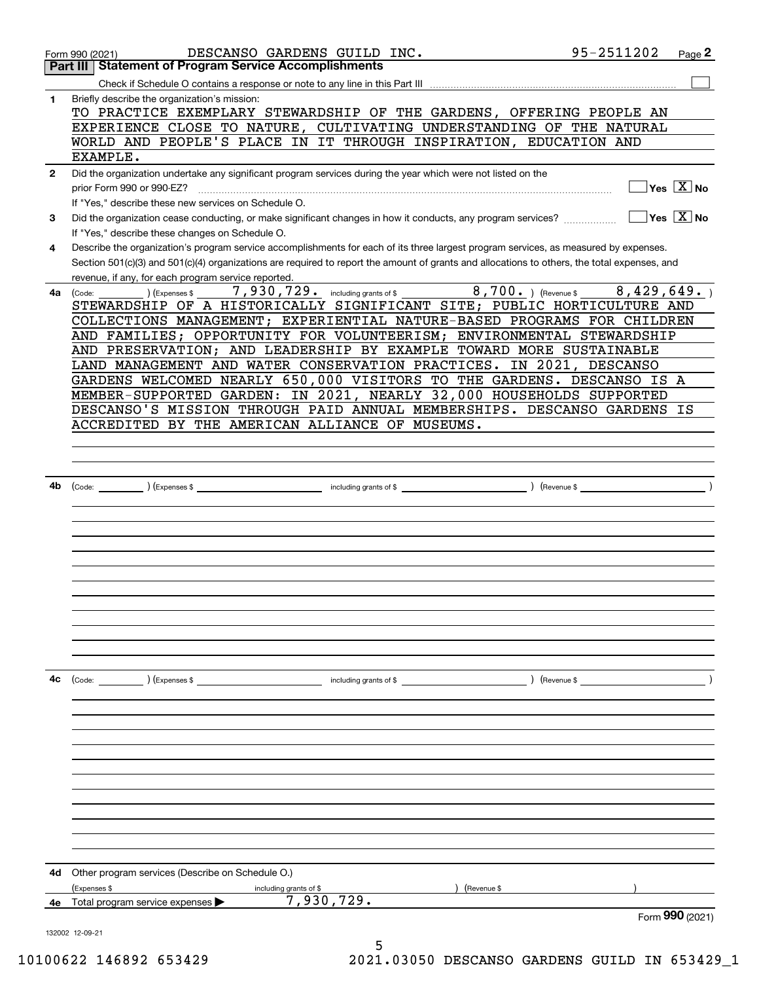|              | DESCANSO GARDENS GUILD INC.<br>Form 990 (2021)                                                                                                                                                                                                                                                                                                                                                                                                                                                                                                                                                                     | 95-2511202                                                                 | Page 2                                  |
|--------------|--------------------------------------------------------------------------------------------------------------------------------------------------------------------------------------------------------------------------------------------------------------------------------------------------------------------------------------------------------------------------------------------------------------------------------------------------------------------------------------------------------------------------------------------------------------------------------------------------------------------|----------------------------------------------------------------------------|-----------------------------------------|
|              | <b>Statement of Program Service Accomplishments</b><br>Part III                                                                                                                                                                                                                                                                                                                                                                                                                                                                                                                                                    |                                                                            |                                         |
|              |                                                                                                                                                                                                                                                                                                                                                                                                                                                                                                                                                                                                                    |                                                                            |                                         |
| 1            | Briefly describe the organization's mission:<br>TO PRACTICE EXEMPLARY STEWARDSHIP OF THE GARDENS, OFFERING PEOPLE AN<br>EXPERIENCE CLOSE TO NATURE, CULTIVATING UNDERSTANDING OF THE NATURAL<br>WORLD AND PEOPLE'S PLACE IN IT THROUGH INSPIRATION, EDUCATION AND                                                                                                                                                                                                                                                                                                                                                  |                                                                            |                                         |
|              | EXAMPLE.                                                                                                                                                                                                                                                                                                                                                                                                                                                                                                                                                                                                           |                                                                            |                                         |
| $\mathbf{2}$ | Did the organization undertake any significant program services during the year which were not listed on the<br>prior Form 990 or 990-EZ?<br>If "Yes," describe these new services on Schedule O.                                                                                                                                                                                                                                                                                                                                                                                                                  |                                                                            | $\sqrt{}$ Yes $\sqrt{}$ X $\sqrt{}$ No  |
| 3            | Did the organization cease conducting, or make significant changes in how it conducts, any program services?<br>If "Yes," describe these changes on Schedule O.                                                                                                                                                                                                                                                                                                                                                                                                                                                    |                                                                            | $\Box$ Yes $ \overline{\mathrm{X}} $ No |
| 4            | Describe the organization's program service accomplishments for each of its three largest program services, as measured by expenses.<br>Section 501(c)(3) and 501(c)(4) organizations are required to report the amount of grants and allocations to others, the total expenses, and<br>revenue, if any, for each program service reported.                                                                                                                                                                                                                                                                        |                                                                            |                                         |
| 4a           | 8,700. ) (Revenue \$<br>7,930,729. including grants of \$<br>(Expenses \$<br>(Code:<br>STEWARDSHIP OF A HISTORICALLY SIGNIFICANT SITE; PUBLIC HORTICULTURE AND<br>COLLECTIONS MANAGEMENT; EXPERIENTIAL NATURE-BASED PROGRAMS FOR CHILDREN<br>AND FAMILIES; OPPORTUNITY FOR VOLUNTEERISM; ENVIRONMENTAL STEWARDSHIP<br>AND PRESERVATION; AND LEADERSHIP BY EXAMPLE TOWARD MORE SUSTAINABLE<br>LAND MANAGEMENT AND WATER CONSERVATION PRACTICES. IN 2021, DESCANSO<br>GARDENS WELCOMED NEARLY 650,000 VISITORS TO THE GARDENS. DESCANSO IS A<br>MEMBER-SUPPORTED GARDEN: IN 2021, NEARLY 32,000 HOUSEHOLDS SUPPORTED | 8,429,649.                                                                 |                                         |
|              | DESCANSO'S MISSION THROUGH PAID ANNUAL MEMBERSHIPS. DESCANSO GARDENS IS                                                                                                                                                                                                                                                                                                                                                                                                                                                                                                                                            |                                                                            |                                         |
|              | ACCREDITED BY THE AMERICAN ALLIANCE OF MUSEUMS.                                                                                                                                                                                                                                                                                                                                                                                                                                                                                                                                                                    |                                                                            |                                         |
|              |                                                                                                                                                                                                                                                                                                                                                                                                                                                                                                                                                                                                                    |                                                                            |                                         |
|              |                                                                                                                                                                                                                                                                                                                                                                                                                                                                                                                                                                                                                    |                                                                            |                                         |
|              |                                                                                                                                                                                                                                                                                                                                                                                                                                                                                                                                                                                                                    |                                                                            |                                         |
| 4b           |                                                                                                                                                                                                                                                                                                                                                                                                                                                                                                                                                                                                                    | $\overline{\phantom{a}}$ $\overline{\phantom{a}}$ $\overline{\phantom{a}}$ |                                         |
|              |                                                                                                                                                                                                                                                                                                                                                                                                                                                                                                                                                                                                                    |                                                                            |                                         |
|              |                                                                                                                                                                                                                                                                                                                                                                                                                                                                                                                                                                                                                    |                                                                            |                                         |
|              |                                                                                                                                                                                                                                                                                                                                                                                                                                                                                                                                                                                                                    |                                                                            |                                         |
|              |                                                                                                                                                                                                                                                                                                                                                                                                                                                                                                                                                                                                                    |                                                                            |                                         |
|              |                                                                                                                                                                                                                                                                                                                                                                                                                                                                                                                                                                                                                    |                                                                            |                                         |
|              |                                                                                                                                                                                                                                                                                                                                                                                                                                                                                                                                                                                                                    |                                                                            |                                         |
|              |                                                                                                                                                                                                                                                                                                                                                                                                                                                                                                                                                                                                                    |                                                                            |                                         |
|              |                                                                                                                                                                                                                                                                                                                                                                                                                                                                                                                                                                                                                    |                                                                            |                                         |
|              |                                                                                                                                                                                                                                                                                                                                                                                                                                                                                                                                                                                                                    |                                                                            |                                         |
|              |                                                                                                                                                                                                                                                                                                                                                                                                                                                                                                                                                                                                                    |                                                                            |                                         |
|              |                                                                                                                                                                                                                                                                                                                                                                                                                                                                                                                                                                                                                    |                                                                            |                                         |
| 4c           | (Code: ) (Expenses \$<br>including grants of \$                                                                                                                                                                                                                                                                                                                                                                                                                                                                                                                                                                    |                                                                            |                                         |
|              |                                                                                                                                                                                                                                                                                                                                                                                                                                                                                                                                                                                                                    |                                                                            |                                         |
|              |                                                                                                                                                                                                                                                                                                                                                                                                                                                                                                                                                                                                                    |                                                                            |                                         |
|              |                                                                                                                                                                                                                                                                                                                                                                                                                                                                                                                                                                                                                    |                                                                            |                                         |
|              |                                                                                                                                                                                                                                                                                                                                                                                                                                                                                                                                                                                                                    |                                                                            |                                         |
|              |                                                                                                                                                                                                                                                                                                                                                                                                                                                                                                                                                                                                                    |                                                                            |                                         |
|              |                                                                                                                                                                                                                                                                                                                                                                                                                                                                                                                                                                                                                    |                                                                            |                                         |
|              |                                                                                                                                                                                                                                                                                                                                                                                                                                                                                                                                                                                                                    |                                                                            |                                         |
|              |                                                                                                                                                                                                                                                                                                                                                                                                                                                                                                                                                                                                                    |                                                                            |                                         |
|              |                                                                                                                                                                                                                                                                                                                                                                                                                                                                                                                                                                                                                    |                                                                            |                                         |
|              |                                                                                                                                                                                                                                                                                                                                                                                                                                                                                                                                                                                                                    |                                                                            |                                         |
|              |                                                                                                                                                                                                                                                                                                                                                                                                                                                                                                                                                                                                                    |                                                                            |                                         |
|              |                                                                                                                                                                                                                                                                                                                                                                                                                                                                                                                                                                                                                    |                                                                            |                                         |
| 4d           | Other program services (Describe on Schedule O.)                                                                                                                                                                                                                                                                                                                                                                                                                                                                                                                                                                   |                                                                            |                                         |
|              | (Expenses \$<br>including grants of \$<br>(Revenue \$<br>7,930,729.                                                                                                                                                                                                                                                                                                                                                                                                                                                                                                                                                |                                                                            |                                         |
| 4е           | Total program service expenses                                                                                                                                                                                                                                                                                                                                                                                                                                                                                                                                                                                     |                                                                            |                                         |
|              | 132002 12-09-21                                                                                                                                                                                                                                                                                                                                                                                                                                                                                                                                                                                                    |                                                                            | Form $990$ (2021)                       |

5 10100622 146892 653429 2021.03050 DESCANSO GARDENS GUILD IN 653429\_1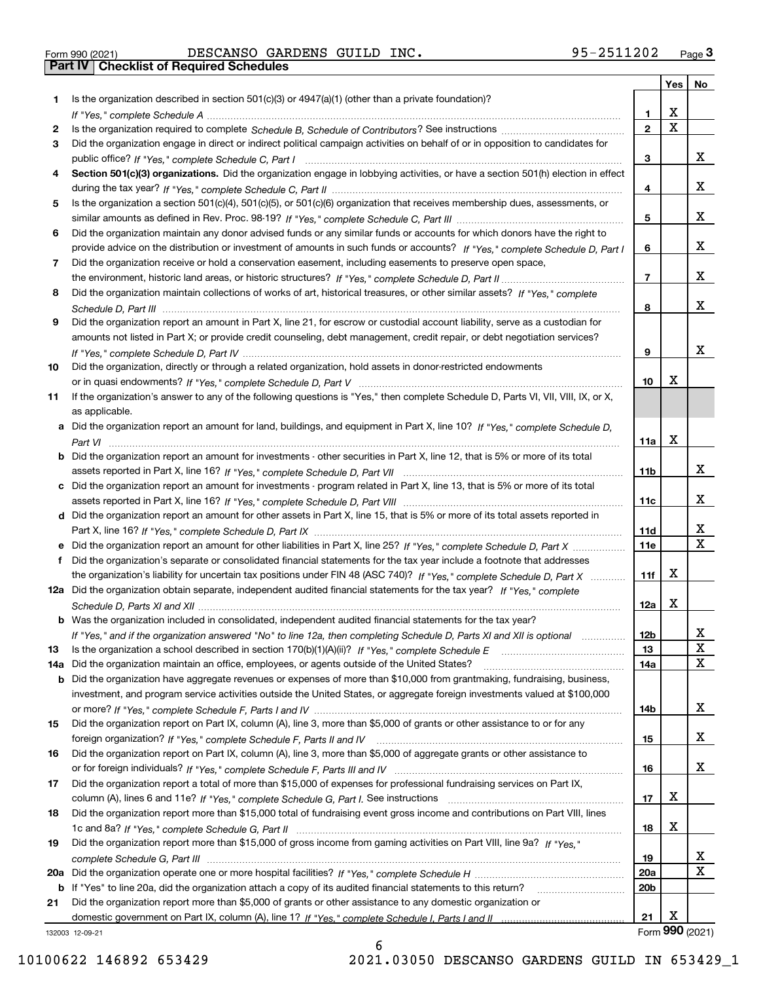|  | Form 990 (2021) |
|--|-----------------|

Form 990 (2021) DESCANSO GARDENS GUILD INC。 95-2511202 <sub>Page</sub> 3<br>**Part IV | Checklist of Required Schedules** 

|     |                                                                                                                                                 |                 | Yes                   | No                      |
|-----|-------------------------------------------------------------------------------------------------------------------------------------------------|-----------------|-----------------------|-------------------------|
| 1.  | Is the organization described in section $501(c)(3)$ or $4947(a)(1)$ (other than a private foundation)?                                         |                 |                       |                         |
|     |                                                                                                                                                 | 1               | х                     |                         |
| 2   |                                                                                                                                                 | $\overline{2}$  | $\overline{\text{x}}$ |                         |
| 3   | Did the organization engage in direct or indirect political campaign activities on behalf of or in opposition to candidates for                 |                 |                       |                         |
|     |                                                                                                                                                 | 3               |                       | x                       |
| 4   | Section 501(c)(3) organizations. Did the organization engage in lobbying activities, or have a section 501(h) election in effect                |                 |                       |                         |
|     |                                                                                                                                                 | 4               |                       | x                       |
| 5   | Is the organization a section 501(c)(4), 501(c)(5), or 501(c)(6) organization that receives membership dues, assessments, or                    |                 |                       |                         |
|     |                                                                                                                                                 | 5               |                       | x                       |
| 6   | Did the organization maintain any donor advised funds or any similar funds or accounts for which donors have the right to                       |                 |                       |                         |
|     | provide advice on the distribution or investment of amounts in such funds or accounts? If "Yes," complete Schedule D, Part I                    | 6               |                       | x                       |
| 7   | Did the organization receive or hold a conservation easement, including easements to preserve open space,                                       |                 |                       |                         |
|     |                                                                                                                                                 | $\overline{7}$  |                       | x                       |
| 8   | Did the organization maintain collections of works of art, historical treasures, or other similar assets? If "Yes," complete                    |                 |                       |                         |
|     |                                                                                                                                                 | 8               |                       | x                       |
| 9   | Did the organization report an amount in Part X, line 21, for escrow or custodial account liability, serve as a custodian for                   |                 |                       |                         |
|     | amounts not listed in Part X; or provide credit counseling, debt management, credit repair, or debt negotiation services?                       |                 |                       | x                       |
|     |                                                                                                                                                 | 9               |                       |                         |
| 10  | Did the organization, directly or through a related organization, hold assets in donor-restricted endowments                                    |                 | X                     |                         |
|     |                                                                                                                                                 | 10              |                       |                         |
| 11  | If the organization's answer to any of the following questions is "Yes," then complete Schedule D, Parts VI, VII, VIII, IX, or X,               |                 |                       |                         |
|     | as applicable.<br>a Did the organization report an amount for land, buildings, and equipment in Part X, line 10? If "Yes," complete Schedule D. |                 |                       |                         |
|     |                                                                                                                                                 | 11a             | X                     |                         |
|     | <b>b</b> Did the organization report an amount for investments - other securities in Part X, line 12, that is 5% or more of its total           |                 |                       |                         |
|     |                                                                                                                                                 | 11b             |                       | x                       |
|     | c Did the organization report an amount for investments - program related in Part X, line 13, that is 5% or more of its total                   |                 |                       |                         |
|     |                                                                                                                                                 | 11c             |                       | x                       |
|     | d Did the organization report an amount for other assets in Part X, line 15, that is 5% or more of its total assets reported in                 |                 |                       |                         |
|     |                                                                                                                                                 | 11d             |                       | x                       |
|     | e Did the organization report an amount for other liabilities in Part X, line 25? If "Yes," complete Schedule D, Part X                         | 11e             |                       | $\overline{\mathbf{x}}$ |
| f   | Did the organization's separate or consolidated financial statements for the tax year include a footnote that addresses                         |                 |                       |                         |
|     | the organization's liability for uncertain tax positions under FIN 48 (ASC 740)? If "Yes," complete Schedule D, Part X                          | 11f             | х                     |                         |
|     | 12a Did the organization obtain separate, independent audited financial statements for the tax year? If "Yes," complete                         |                 |                       |                         |
|     |                                                                                                                                                 | 12a             | X                     |                         |
|     | <b>b</b> Was the organization included in consolidated, independent audited financial statements for the tax year?                              |                 |                       |                         |
|     | If "Yes," and if the organization answered "No" to line 12a, then completing Schedule D, Parts XI and XII is optional                           | 12b             |                       | Y                       |
| 13  |                                                                                                                                                 | 13              |                       | X                       |
| 14a | Did the organization maintain an office, employees, or agents outside of the United States?                                                     | 14a             |                       | $\mathbf X$             |
|     | b Did the organization have aggregate revenues or expenses of more than \$10,000 from grantmaking, fundraising, business,                       |                 |                       |                         |
|     | investment, and program service activities outside the United States, or aggregate foreign investments valued at \$100,000                      |                 |                       |                         |
|     |                                                                                                                                                 | 14b             |                       | x                       |
| 15  | Did the organization report on Part IX, column (A), line 3, more than \$5,000 of grants or other assistance to or for any                       |                 |                       |                         |
|     |                                                                                                                                                 | 15              |                       | x                       |
| 16  | Did the organization report on Part IX, column (A), line 3, more than \$5,000 of aggregate grants or other assistance to                        |                 |                       |                         |
|     |                                                                                                                                                 | 16              |                       | x                       |
| 17  | Did the organization report a total of more than \$15,000 of expenses for professional fundraising services on Part IX,                         |                 |                       |                         |
|     |                                                                                                                                                 | 17              | X                     |                         |
| 18  | Did the organization report more than \$15,000 total of fundraising event gross income and contributions on Part VIII, lines                    |                 |                       |                         |
|     |                                                                                                                                                 | 18              | х                     |                         |
| 19  | Did the organization report more than \$15,000 of gross income from gaming activities on Part VIII, line 9a? If "Yes."                          |                 |                       |                         |
|     |                                                                                                                                                 | 19              |                       | X                       |
|     |                                                                                                                                                 | <b>20a</b>      |                       | $\mathbf X$             |
|     | b If "Yes" to line 20a, did the organization attach a copy of its audited financial statements to this return?                                  | 20 <sub>b</sub> |                       |                         |
| 21  | Did the organization report more than \$5,000 of grants or other assistance to any domestic organization or                                     |                 |                       |                         |
|     |                                                                                                                                                 | 21              | Х                     |                         |
|     | 132003 12-09-21                                                                                                                                 |                 | Form 990 (2021)       |                         |

132003 12-09-21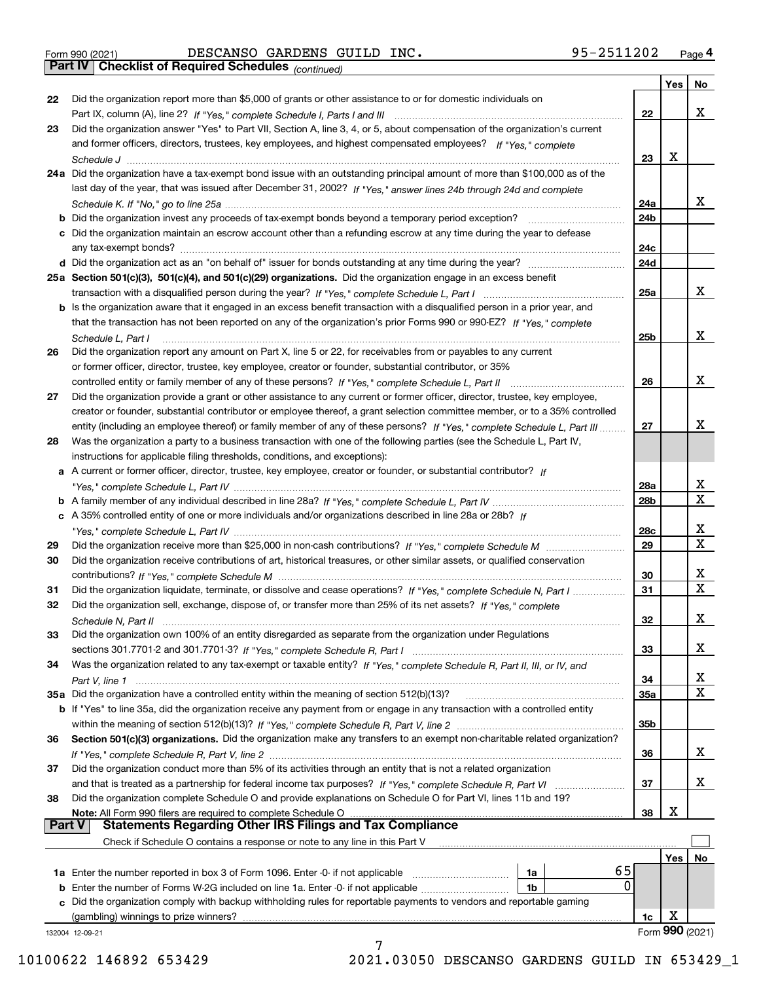|  | Form 990 (2021) |  |
|--|-----------------|--|
|  |                 |  |

Form 990 (2021) Page **4Part IV Checklist of Required Schedules** DESCANSO GARDENS GUILD INC. 95-2511202

*(continued)*

|               |                                                                                                                                   |            | Yes | No                      |
|---------------|-----------------------------------------------------------------------------------------------------------------------------------|------------|-----|-------------------------|
| 22            | Did the organization report more than \$5,000 of grants or other assistance to or for domestic individuals on                     |            |     |                         |
|               |                                                                                                                                   | 22         |     | x                       |
| 23            | Did the organization answer "Yes" to Part VII, Section A, line 3, 4, or 5, about compensation of the organization's current       |            |     |                         |
|               | and former officers, directors, trustees, key employees, and highest compensated employees? If "Yes," complete                    |            |     |                         |
|               |                                                                                                                                   | 23         | X   |                         |
|               | 24a Did the organization have a tax-exempt bond issue with an outstanding principal amount of more than \$100,000 as of the       |            |     |                         |
|               | last day of the year, that was issued after December 31, 2002? If "Yes," answer lines 24b through 24d and complete                |            |     |                         |
|               |                                                                                                                                   | 24a        |     | х                       |
|               | <b>b</b> Did the organization invest any proceeds of tax-exempt bonds beyond a temporary period exception?                        | 24b        |     |                         |
|               | c Did the organization maintain an escrow account other than a refunding escrow at any time during the year to defease            |            |     |                         |
|               |                                                                                                                                   | 24c        |     |                         |
|               |                                                                                                                                   | 24d        |     |                         |
|               | 25a Section 501(c)(3), 501(c)(4), and 501(c)(29) organizations. Did the organization engage in an excess benefit                  |            |     |                         |
|               |                                                                                                                                   | 25a        |     | х                       |
|               | b Is the organization aware that it engaged in an excess benefit transaction with a disqualified person in a prior year, and      |            |     |                         |
|               | that the transaction has not been reported on any of the organization's prior Forms 990 or 990-EZ? If "Yes," complete             |            |     |                         |
|               | Schedule L, Part I                                                                                                                | 25b        |     | x                       |
| 26            | Did the organization report any amount on Part X, line 5 or 22, for receivables from or payables to any current                   |            |     |                         |
|               | or former officer, director, trustee, key employee, creator or founder, substantial contributor, or 35%                           |            |     |                         |
|               |                                                                                                                                   | 26         |     | х                       |
| 27            | Did the organization provide a grant or other assistance to any current or former officer, director, trustee, key employee,       |            |     |                         |
|               | creator or founder, substantial contributor or employee thereof, a grant selection committee member, or to a 35% controlled       |            |     |                         |
|               | entity (including an employee thereof) or family member of any of these persons? If "Yes," complete Schedule L, Part III          | 27         |     | Х                       |
| 28            | Was the organization a party to a business transaction with one of the following parties (see the Schedule L, Part IV,            |            |     |                         |
|               | instructions for applicable filing thresholds, conditions, and exceptions):                                                       |            |     |                         |
|               | a A current or former officer, director, trustee, key employee, creator or founder, or substantial contributor? If                |            |     |                         |
|               |                                                                                                                                   | 28a        |     | х                       |
|               |                                                                                                                                   | 28b        |     | $\mathbf X$             |
|               | c A 35% controlled entity of one or more individuals and/or organizations described in line 28a or 28b? If                        |            |     |                         |
|               |                                                                                                                                   | 28c        |     | х                       |
| 29            |                                                                                                                                   | 29         |     | $\overline{\mathbf{x}}$ |
| 30            | Did the organization receive contributions of art, historical treasures, or other similar assets, or qualified conservation       |            |     |                         |
|               |                                                                                                                                   | 30         |     | х                       |
| 31            | Did the organization liquidate, terminate, or dissolve and cease operations? If "Yes," complete Schedule N, Part I                | 31         |     | $\mathbf X$             |
| 32            | Did the organization sell, exchange, dispose of, or transfer more than 25% of its net assets? If "Yes," complete                  |            |     |                         |
|               |                                                                                                                                   | 32         |     | X                       |
| 33            | Schedule N, Part II<br>Did the organization own 100% of an entity disregarded as separate from the organization under Regulations |            |     |                         |
|               |                                                                                                                                   | 33         |     | х                       |
| 34            | Was the organization related to any tax-exempt or taxable entity? If "Yes," complete Schedule R, Part II, III, or IV, and         |            |     |                         |
|               |                                                                                                                                   | 34         |     | х                       |
|               | 35a Did the organization have a controlled entity within the meaning of section 512(b)(13)?                                       | <b>35a</b> |     | $\mathbf X$             |
|               | b If "Yes" to line 35a, did the organization receive any payment from or engage in any transaction with a controlled entity       |            |     |                         |
|               |                                                                                                                                   | 35b        |     |                         |
| 36            | Section 501(c)(3) organizations. Did the organization make any transfers to an exempt non-charitable related organization?        |            |     |                         |
|               |                                                                                                                                   | 36         |     | х                       |
| 37            | Did the organization conduct more than 5% of its activities through an entity that is not a related organization                  |            |     |                         |
|               |                                                                                                                                   | 37         |     | х                       |
| 38            | Did the organization complete Schedule O and provide explanations on Schedule O for Part VI, lines 11b and 19?                    |            |     |                         |
|               | Note: All Form 990 filers are required to complete Schedule O                                                                     | 38         | X   |                         |
| <b>Part V</b> | <b>Statements Regarding Other IRS Filings and Tax Compliance</b>                                                                  |            |     |                         |
|               | Check if Schedule O contains a response or note to any line in this Part V                                                        |            |     |                         |
|               |                                                                                                                                   |            | Yes | No                      |
|               | 65<br>1a Enter the number reported in box 3 of Form 1096. Enter -0- if not applicable<br>1a                                       |            |     |                         |
|               | 0<br>1b                                                                                                                           |            |     |                         |
|               | c Did the organization comply with backup withholding rules for reportable payments to vendors and reportable gaming              |            |     |                         |
|               | (gambling) winnings to prize winners?                                                                                             | 1c         | X   |                         |
|               | 132004 12-09-21                                                                                                                   |            |     | Form 990 (2021)         |
|               |                                                                                                                                   |            |     |                         |

10100622 146892 653429 2021.03050 DESCANSO GARDENS GUILD IN 653429\_1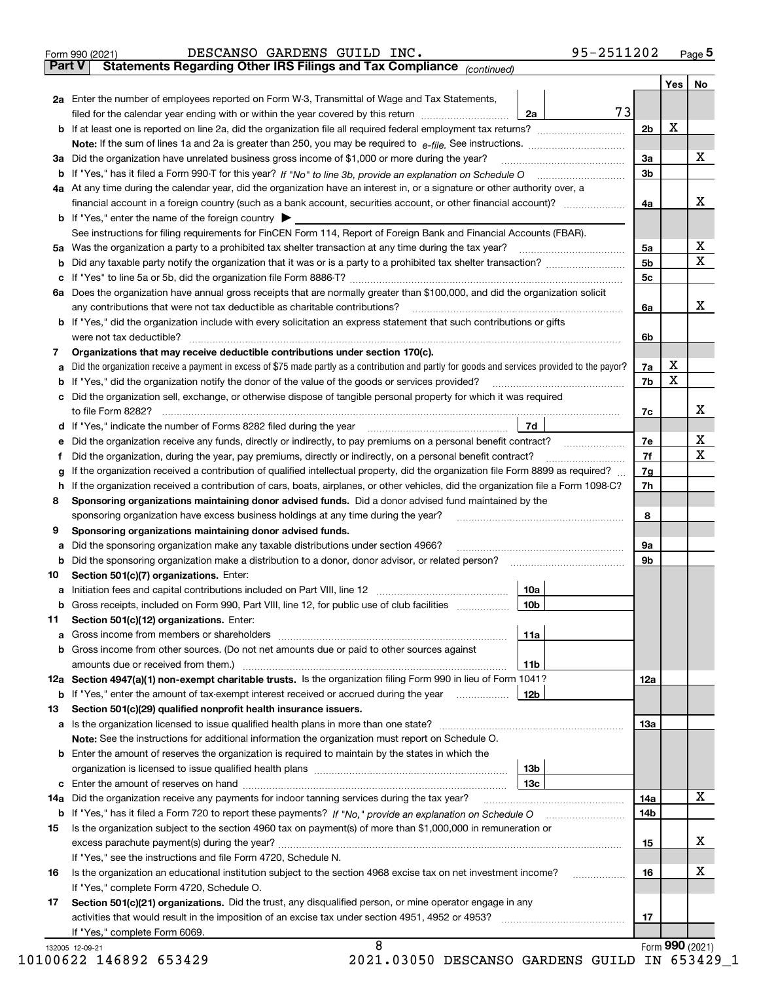|               | 95-2511202<br>DESCANSO GARDENS GUILD INC.<br>Form 990 (2021)                                                                                                                      |                |     | $Page$ <sup>5</sup> |
|---------------|-----------------------------------------------------------------------------------------------------------------------------------------------------------------------------------|----------------|-----|---------------------|
| <b>Part V</b> | Statements Regarding Other IRS Filings and Tax Compliance (continued)                                                                                                             |                |     |                     |
|               |                                                                                                                                                                                   |                | Yes | No                  |
|               | <b>2a</b> Enter the number of employees reported on Form W-3, Transmittal of Wage and Tax Statements,<br>73                                                                       |                |     |                     |
|               | filed for the calendar year ending with or within the year covered by this return<br>2a                                                                                           |                |     |                     |
|               |                                                                                                                                                                                   | 2 <sub>b</sub> | X   |                     |
|               | Note: If the sum of lines 1a and 2a is greater than 250, you may be required to $e$ -file. See instructions. $\ldots$                                                             |                |     |                     |
|               | 3a Did the organization have unrelated business gross income of \$1,000 or more during the year?                                                                                  | За             |     | х                   |
|               | <b>b</b> If "Yes," has it filed a Form 990-T for this year? If "No" to line 3b, provide an explanation on Schedule O                                                              | 3b             |     |                     |
|               | 4a At any time during the calendar year, did the organization have an interest in, or a signature or other authority over, a                                                      |                |     | х                   |
|               | financial account in a foreign country (such as a bank account, securities account, or other financial account)?                                                                  | 4a             |     |                     |
|               | <b>b</b> If "Yes," enter the name of the foreign country  <br>See instructions for filing requirements for FinCEN Form 114, Report of Foreign Bank and Financial Accounts (FBAR). |                |     |                     |
|               | Was the organization a party to a prohibited tax shelter transaction at any time during the tax year?                                                                             | 5a             |     | х                   |
| 5а            |                                                                                                                                                                                   | 5b             |     | $\mathbf X$         |
| b<br>c        | If "Yes" to line 5a or 5b, did the organization file Form 8886-T?                                                                                                                 | 5 <sub>c</sub> |     |                     |
|               | 6a Does the organization have annual gross receipts that are normally greater than \$100,000, and did the organization solicit                                                    |                |     |                     |
|               | any contributions that were not tax deductible as charitable contributions?                                                                                                       | 6a             |     | х                   |
|               | <b>b</b> If "Yes," did the organization include with every solicitation an express statement that such contributions or gifts                                                     |                |     |                     |
|               | were not tax deductible?                                                                                                                                                          | 6b             |     |                     |
| 7.            | Organizations that may receive deductible contributions under section 170(c).                                                                                                     |                |     |                     |
| а             | Did the organization receive a payment in excess of \$75 made partly as a contribution and partly for goods and services provided to the payor?                                   | 7a             | х   |                     |
| b             | If "Yes," did the organization notify the donor of the value of the goods or services provided?                                                                                   | 7b             | X   |                     |
|               | c Did the organization sell, exchange, or otherwise dispose of tangible personal property for which it was required                                                               |                |     |                     |
|               | to file Form 8282?                                                                                                                                                                | 7c             |     | х                   |
| d             | If "Yes," indicate the number of Forms 8282 filed during the year<br>7d                                                                                                           |                |     |                     |
| е             | Did the organization receive any funds, directly or indirectly, to pay premiums on a personal benefit contract?                                                                   | 7е             |     | х                   |
| f             | Did the organization, during the year, pay premiums, directly or indirectly, on a personal benefit contract?                                                                      | 7f             |     | $\mathbf X$         |
| g             | If the organization received a contribution of qualified intellectual property, did the organization file Form 8899 as required?                                                  | 7g             |     |                     |
| h             | If the organization received a contribution of cars, boats, airplanes, or other vehicles, did the organization file a Form 1098-C?                                                | 7h             |     |                     |
| 8             | Sponsoring organizations maintaining donor advised funds. Did a donor advised fund maintained by the                                                                              |                |     |                     |
|               | sponsoring organization have excess business holdings at any time during the year?                                                                                                | 8              |     |                     |
| 9             | Sponsoring organizations maintaining donor advised funds.                                                                                                                         |                |     |                     |
| а             | Did the sponsoring organization make any taxable distributions under section 4966?                                                                                                | 9а             |     |                     |
| b             | Did the sponsoring organization make a distribution to a donor, donor advisor, or related person?                                                                                 | 9b             |     |                     |
| 10            | Section 501(c)(7) organizations. Enter:                                                                                                                                           |                |     |                     |
| a             | 10a<br>Initiation fees and capital contributions included on Part VIII, line 12                                                                                                   |                |     |                     |
|               | 10 <sub>b</sub><br>b Gross receipts, included on Form 990, Part VIII, line 12, for public use of club facilities                                                                  |                |     |                     |
| 11            | Section 501(c)(12) organizations. Enter:                                                                                                                                          |                |     |                     |
| a             | 11a<br>Gross income from members or shareholders                                                                                                                                  |                |     |                     |
| b             | Gross income from other sources. (Do not net amounts due or paid to other sources against                                                                                         |                |     |                     |
|               | 11 <sub>b</sub>                                                                                                                                                                   |                |     |                     |
|               | 12a Section 4947(a)(1) non-exempt charitable trusts. Is the organization filing Form 990 in lieu of Form 1041?                                                                    | 12a            |     |                     |
|               | 12b<br><b>b</b> If "Yes," enter the amount of tax-exempt interest received or accrued during the year <i>manument</i>                                                             |                |     |                     |
| 13            | Section 501(c)(29) qualified nonprofit health insurance issuers.                                                                                                                  |                |     |                     |
|               |                                                                                                                                                                                   | <b>13a</b>     |     |                     |
|               | Note: See the instructions for additional information the organization must report on Schedule O.                                                                                 |                |     |                     |
|               | <b>b</b> Enter the amount of reserves the organization is required to maintain by the states in which the                                                                         |                |     |                     |
|               | 13b                                                                                                                                                                               |                |     |                     |
|               | 13c                                                                                                                                                                               |                |     |                     |
|               | 14a Did the organization receive any payments for indoor tanning services during the tax year?                                                                                    | 14a            |     | х                   |
|               |                                                                                                                                                                                   | 14b            |     |                     |
| 15            | Is the organization subject to the section 4960 tax on payment(s) of more than \$1,000,000 in remuneration or                                                                     |                |     |                     |
|               |                                                                                                                                                                                   | 15             |     | х                   |
|               | If "Yes," see the instructions and file Form 4720, Schedule N.                                                                                                                    |                |     |                     |
| 16            | Is the organization an educational institution subject to the section 4968 excise tax on net investment income?                                                                   | 16             |     | х                   |
|               | If "Yes," complete Form 4720, Schedule O.                                                                                                                                         |                |     |                     |

**17Section 501(c)(21) organizations.** Did the trust, any disqualified person, or mine operator engage in any **~~~~~~~~~~~~~~**activities that would result in the imposition of an excise tax under section 4951, 4952 or 4953? If "Yes," complete Form 6069. 8

Form (2021) **990** 10100622 146892 653429 2021.03050 DESCANSO GARDENS GUILD IN 653429\_1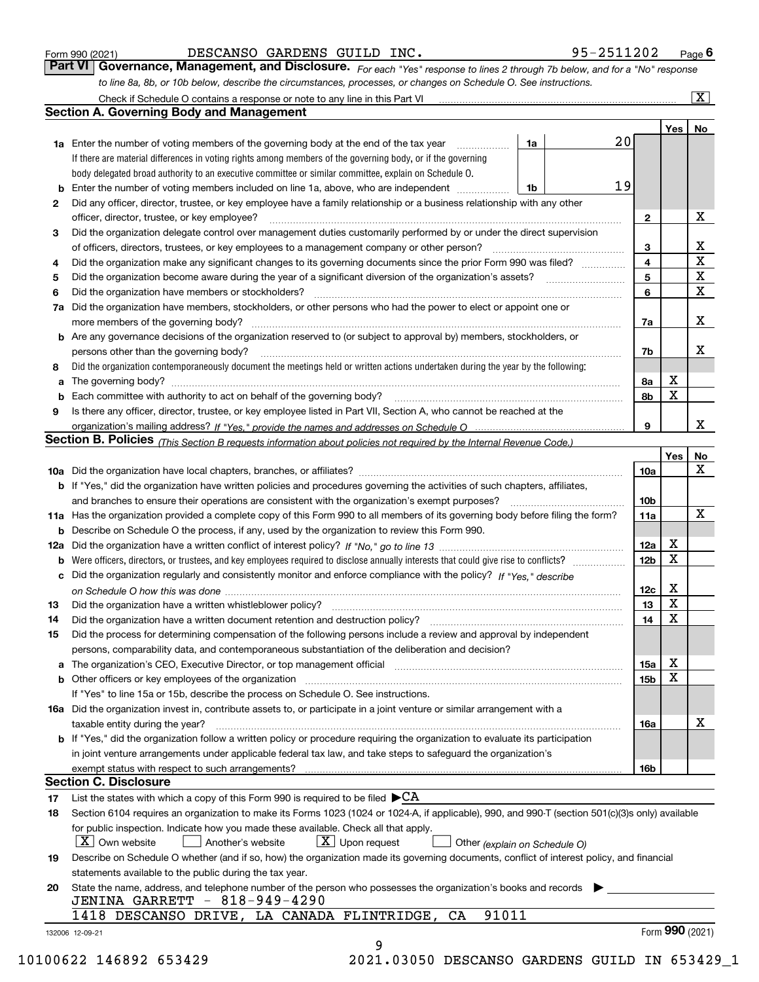|  | Form 990 (2021) |
|--|-----------------|
|  |                 |

#### DESCANSO GARDENS GUILD INC. 95-2511202

*For each "Yes" response to lines 2 through 7b below, and for a "No" response to line 8a, 8b, or 10b below, describe the circumstances, processes, or changes on Schedule O. See instructions.* Form 990 (2021) **CONDED BESCANSO GARDENS GUILD INC.** 95-2511202 Page 6<br>**Part VI Governance, Management, and Disclosure.** For each "Yes" response to lines 2 through 7b below, and for a "No" response

|    |                                                                                                                                                                            |    |                         | Yes | No                      |
|----|----------------------------------------------------------------------------------------------------------------------------------------------------------------------------|----|-------------------------|-----|-------------------------|
|    | <b>1a</b> Enter the number of voting members of the governing body at the end of the tax year                                                                              | 1a | 20                      |     |                         |
|    | If there are material differences in voting rights among members of the governing body, or if the governing                                                                |    |                         |     |                         |
|    | body delegated broad authority to an executive committee or similar committee, explain on Schedule O.                                                                      |    |                         |     |                         |
|    |                                                                                                                                                                            | 1b | 19                      |     |                         |
| 2  | Did any officer, director, trustee, or key employee have a family relationship or a business relationship with any other                                                   |    |                         |     |                         |
|    | officer, director, trustee, or key employee?                                                                                                                               |    | $\mathbf{2}$            |     | X                       |
| 3  | Did the organization delegate control over management duties customarily performed by or under the direct supervision                                                      |    |                         |     |                         |
|    |                                                                                                                                                                            |    | 3                       |     | X                       |
| 4  | Did the organization make any significant changes to its governing documents since the prior Form 990 was filed?                                                           |    | $\overline{\mathbf{4}}$ |     | $\overline{\mathbf{x}}$ |
| 5  |                                                                                                                                                                            |    | 5                       |     | $\mathbf X$             |
| 6  | Did the organization have members or stockholders?                                                                                                                         |    | 6                       |     | X                       |
|    | 7a Did the organization have members, stockholders, or other persons who had the power to elect or appoint one or                                                          |    |                         |     |                         |
|    |                                                                                                                                                                            |    | 7a                      |     | x                       |
|    | <b>b</b> Are any governance decisions of the organization reserved to (or subject to approval by) members, stockholders, or                                                |    |                         |     |                         |
|    | persons other than the governing body?                                                                                                                                     |    | 7b                      |     | х                       |
| 8  | Did the organization contemporaneously document the meetings held or written actions undertaken during the year by the following:                                          |    |                         |     |                         |
| a  |                                                                                                                                                                            |    | 8a                      | X   |                         |
|    |                                                                                                                                                                            |    | 8b                      | X   |                         |
| 9  | Is there any officer, director, trustee, or key employee listed in Part VII, Section A, who cannot be reached at the                                                       |    |                         |     |                         |
|    |                                                                                                                                                                            |    | 9                       |     | х                       |
|    | Section B. Policies (This Section B requests information about policies not required by the Internal Revenue Code.)                                                        |    |                         |     |                         |
|    |                                                                                                                                                                            |    |                         | Yes | No                      |
|    |                                                                                                                                                                            |    | 10a                     |     | X                       |
|    | <b>b</b> If "Yes," did the organization have written policies and procedures governing the activities of such chapters, affiliates,                                        |    |                         |     |                         |
|    |                                                                                                                                                                            |    | 10 <sub>b</sub>         |     |                         |
|    | 11a Has the organization provided a complete copy of this Form 990 to all members of its governing body before filing the form?                                            |    | 11a                     |     | X                       |
|    | <b>b</b> Describe on Schedule O the process, if any, used by the organization to review this Form 990.                                                                     |    |                         |     |                         |
|    |                                                                                                                                                                            |    | 12a                     | X   |                         |
| b  | Were officers, directors, or trustees, and key employees required to disclose annually interests that could give rise to conflicts?                                        |    | 12b                     | X   |                         |
|    | c Did the organization regularly and consistently monitor and enforce compliance with the policy? If "Yes," describe                                                       |    |                         |     |                         |
|    |                                                                                                                                                                            |    | 12c                     | х   |                         |
| 13 |                                                                                                                                                                            |    | 13                      | X   |                         |
| 14 |                                                                                                                                                                            |    | 14                      | X   |                         |
|    | Did the organization have a written document retention and destruction policy? manufactured and the organization have a written document retention and destruction policy? |    |                         |     |                         |
| 15 | Did the process for determining compensation of the following persons include a review and approval by independent                                                         |    |                         |     |                         |
|    | persons, comparability data, and contemporaneous substantiation of the deliberation and decision?                                                                          |    |                         | X   |                         |
|    |                                                                                                                                                                            |    | 15a                     | X   |                         |
|    |                                                                                                                                                                            |    | 15b                     |     |                         |
|    | If "Yes" to line 15a or 15b, describe the process on Schedule O. See instructions.                                                                                         |    |                         |     |                         |
|    | 16a Did the organization invest in, contribute assets to, or participate in a joint venture or similar arrangement with a                                                  |    |                         |     |                         |
|    | taxable entity during the year?                                                                                                                                            |    | 16a                     |     | X                       |
|    | b If "Yes," did the organization follow a written policy or procedure requiring the organization to evaluate its participation                                             |    |                         |     |                         |
|    | in joint venture arrangements under applicable federal tax law, and take steps to safeguard the organization's                                                             |    |                         |     |                         |
|    | exempt status with respect to such arrangements?                                                                                                                           |    | 16b                     |     |                         |
|    | <b>Section C. Disclosure</b>                                                                                                                                               |    |                         |     |                         |
| 17 | List the states with which a copy of this Form 990 is required to be filed $\blacktriangleright$ CA                                                                        |    |                         |     |                         |
| 18 | Section 6104 requires an organization to make its Forms 1023 (1024 or 1024-A, if applicable), 990, and 990-T (section 501(c)(3)s only) available                           |    |                         |     |                         |
|    | for public inspection. Indicate how you made these available. Check all that apply.                                                                                        |    |                         |     |                         |
|    | $\lfloor X \rfloor$ Own website<br>$X$ Upon request<br>Another's website<br>Other (explain on Schedule O)                                                                  |    |                         |     |                         |
| 19 | Describe on Schedule O whether (and if so, how) the organization made its governing documents, conflict of interest policy, and financial                                  |    |                         |     |                         |
|    | statements available to the public during the tax year.                                                                                                                    |    |                         |     |                         |
| 20 | State the name, address, and telephone number of the person who possesses the organization's books and records                                                             |    |                         |     |                         |
|    | JENINA GARRETT - 818-949-4290                                                                                                                                              |    |                         |     |                         |
|    | 91011<br>1418 DESCANSO DRIVE, LA CANADA FLINTRIDGE,<br>CA                                                                                                                  |    |                         |     |                         |
|    |                                                                                                                                                                            |    |                         |     | Form 990 (2021)         |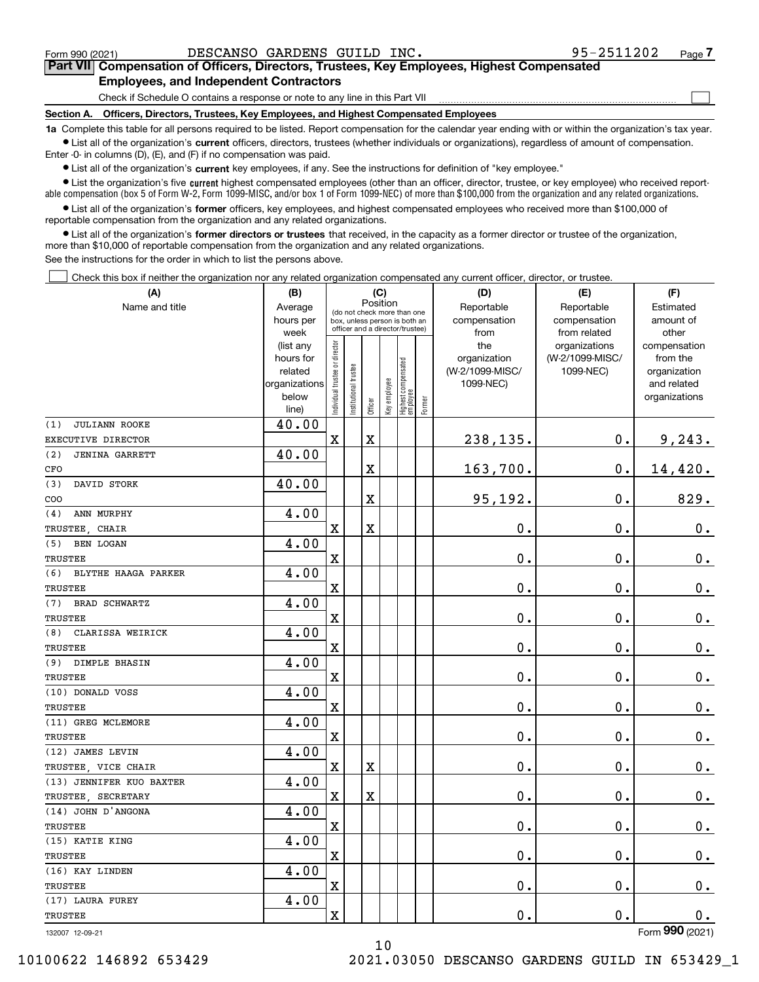$\mathcal{L}^{\text{max}}$ 

**7Part VII Compensation of Officers, Directors, Trustees, Key Employees, Highest Compensated Employees, and Independent Contractors**

Check if Schedule O contains a response or note to any line in this Part VII

**Section A. Officers, Directors, Trustees, Key Employees, and Highest Compensated Employees**

**1a**  Complete this table for all persons required to be listed. Report compensation for the calendar year ending with or within the organization's tax year. **•** List all of the organization's current officers, directors, trustees (whether individuals or organizations), regardless of amount of compensation.

Enter -0- in columns (D), (E), and (F) if no compensation was paid.

 $\bullet$  List all of the organization's  $\sf current$  key employees, if any. See the instructions for definition of "key employee."

**•** List the organization's five current highest compensated employees (other than an officer, director, trustee, or key employee) who received reportable compensation (box 5 of Form W-2, Form 1099-MISC, and/or box 1 of Form 1099-NEC) of more than \$100,000 from the organization and any related organizations.

**•** List all of the organization's former officers, key employees, and highest compensated employees who received more than \$100,000 of reportable compensation from the organization and any related organizations.

**former directors or trustees**  ¥ List all of the organization's that received, in the capacity as a former director or trustee of the organization, more than \$10,000 of reportable compensation from the organization and any related organizations.

See the instructions for the order in which to list the persons above.

Check this box if neither the organization nor any related organization compensated any current officer, director, or trustee.  $\mathcal{L}^{\text{max}}$ 

| Position<br>Name and title<br>Reportable<br>Reportable<br>Estimated<br>Average<br>(do not check more than one<br>compensation<br>amount of<br>hours per<br>compensation<br>box, unless person is both an<br>officer and a director/trustee)<br>week<br>from<br>from related<br>other<br>Individual trustee or director<br>the<br>(list any<br>organizations<br>compensation<br>hours for<br>organization<br>(W-2/1099-MISC/<br>from the<br>Highest compensated<br> employee<br>In stitutional trustee<br>(W-2/1099-MISC/<br>1099-NEC)<br>related<br>organization<br>Key employee<br>1099-NEC)<br>organizations<br>and related<br>below<br>organizations<br>Former<br>Officer<br>line)<br>40.00<br>(1)<br>JULIANN ROOKE<br>$\mathbf X$<br>238,135.<br>0.<br>$\mathbf X$<br>9,243.<br>EXECUTIVE DIRECTOR<br>40.00<br>(2)<br><b>JENINA GARRETT</b><br>0.<br>X<br>163,700.<br>14,420.<br>CFO<br>40.00<br>DAVID STORK<br>(3)<br>95,192.<br>829.<br>X<br>0.<br>COO<br>4.00<br>ANN MURPHY<br>(4)<br>$\rm X$<br>$\overline{\text{X}}$<br>0.<br>0.<br>$0_{.}$<br>TRUSTEE, CHAIR<br>4.00 | (A)              |
|--------------------------------------------------------------------------------------------------------------------------------------------------------------------------------------------------------------------------------------------------------------------------------------------------------------------------------------------------------------------------------------------------------------------------------------------------------------------------------------------------------------------------------------------------------------------------------------------------------------------------------------------------------------------------------------------------------------------------------------------------------------------------------------------------------------------------------------------------------------------------------------------------------------------------------------------------------------------------------------------------------------------------------------------------------------------------------|------------------|
|                                                                                                                                                                                                                                                                                                                                                                                                                                                                                                                                                                                                                                                                                                                                                                                                                                                                                                                                                                                                                                                                                |                  |
|                                                                                                                                                                                                                                                                                                                                                                                                                                                                                                                                                                                                                                                                                                                                                                                                                                                                                                                                                                                                                                                                                |                  |
|                                                                                                                                                                                                                                                                                                                                                                                                                                                                                                                                                                                                                                                                                                                                                                                                                                                                                                                                                                                                                                                                                |                  |
|                                                                                                                                                                                                                                                                                                                                                                                                                                                                                                                                                                                                                                                                                                                                                                                                                                                                                                                                                                                                                                                                                |                  |
|                                                                                                                                                                                                                                                                                                                                                                                                                                                                                                                                                                                                                                                                                                                                                                                                                                                                                                                                                                                                                                                                                |                  |
|                                                                                                                                                                                                                                                                                                                                                                                                                                                                                                                                                                                                                                                                                                                                                                                                                                                                                                                                                                                                                                                                                |                  |
|                                                                                                                                                                                                                                                                                                                                                                                                                                                                                                                                                                                                                                                                                                                                                                                                                                                                                                                                                                                                                                                                                |                  |
|                                                                                                                                                                                                                                                                                                                                                                                                                                                                                                                                                                                                                                                                                                                                                                                                                                                                                                                                                                                                                                                                                |                  |
|                                                                                                                                                                                                                                                                                                                                                                                                                                                                                                                                                                                                                                                                                                                                                                                                                                                                                                                                                                                                                                                                                |                  |
|                                                                                                                                                                                                                                                                                                                                                                                                                                                                                                                                                                                                                                                                                                                                                                                                                                                                                                                                                                                                                                                                                |                  |
|                                                                                                                                                                                                                                                                                                                                                                                                                                                                                                                                                                                                                                                                                                                                                                                                                                                                                                                                                                                                                                                                                |                  |
|                                                                                                                                                                                                                                                                                                                                                                                                                                                                                                                                                                                                                                                                                                                                                                                                                                                                                                                                                                                                                                                                                |                  |
|                                                                                                                                                                                                                                                                                                                                                                                                                                                                                                                                                                                                                                                                                                                                                                                                                                                                                                                                                                                                                                                                                |                  |
|                                                                                                                                                                                                                                                                                                                                                                                                                                                                                                                                                                                                                                                                                                                                                                                                                                                                                                                                                                                                                                                                                |                  |
|                                                                                                                                                                                                                                                                                                                                                                                                                                                                                                                                                                                                                                                                                                                                                                                                                                                                                                                                                                                                                                                                                |                  |
|                                                                                                                                                                                                                                                                                                                                                                                                                                                                                                                                                                                                                                                                                                                                                                                                                                                                                                                                                                                                                                                                                |                  |
|                                                                                                                                                                                                                                                                                                                                                                                                                                                                                                                                                                                                                                                                                                                                                                                                                                                                                                                                                                                                                                                                                | BEN LOGAN<br>(5) |
| $\overline{\mathbf{X}}$<br>0.<br>0.<br>$\mathbf 0$ .<br>TRUSTEE                                                                                                                                                                                                                                                                                                                                                                                                                                                                                                                                                                                                                                                                                                                                                                                                                                                                                                                                                                                                                |                  |
| 4.00<br>(6)<br>BLYTHE HAAGA PARKER                                                                                                                                                                                                                                                                                                                                                                                                                                                                                                                                                                                                                                                                                                                                                                                                                                                                                                                                                                                                                                             |                  |
| 0.<br>0.<br>$\overline{\mathbf{X}}$<br>$\mathbf 0$ .<br><b>TRUSTEE</b>                                                                                                                                                                                                                                                                                                                                                                                                                                                                                                                                                                                                                                                                                                                                                                                                                                                                                                                                                                                                         |                  |
| 4.00<br>BRAD SCHWARTZ<br>(7)                                                                                                                                                                                                                                                                                                                                                                                                                                                                                                                                                                                                                                                                                                                                                                                                                                                                                                                                                                                                                                                   |                  |
| $\mathbf 0$ .<br>0.<br>$\mathbf 0$ .<br><b>TRUSTEE</b><br>$\mathbf X$                                                                                                                                                                                                                                                                                                                                                                                                                                                                                                                                                                                                                                                                                                                                                                                                                                                                                                                                                                                                          |                  |
| 4.00<br>(8)<br>CLARISSA WEIRICK                                                                                                                                                                                                                                                                                                                                                                                                                                                                                                                                                                                                                                                                                                                                                                                                                                                                                                                                                                                                                                                |                  |
| 0.<br>0.<br>$\mathbf x$<br>0.<br>TRUSTEE                                                                                                                                                                                                                                                                                                                                                                                                                                                                                                                                                                                                                                                                                                                                                                                                                                                                                                                                                                                                                                       |                  |
| 4.00<br>DIMPLE BHASIN<br>(9)                                                                                                                                                                                                                                                                                                                                                                                                                                                                                                                                                                                                                                                                                                                                                                                                                                                                                                                                                                                                                                                   |                  |
| 0.<br>0.<br>$\rm X$<br>$0_{.}$<br><b>TRUSTEE</b>                                                                                                                                                                                                                                                                                                                                                                                                                                                                                                                                                                                                                                                                                                                                                                                                                                                                                                                                                                                                                               |                  |
| 4.00<br>(10) DONALD VOSS                                                                                                                                                                                                                                                                                                                                                                                                                                                                                                                                                                                                                                                                                                                                                                                                                                                                                                                                                                                                                                                       |                  |
| $\mathbf X$<br>$\mathbf 0$ .<br>0.<br>$0$ .<br>TRUSTEE                                                                                                                                                                                                                                                                                                                                                                                                                                                                                                                                                                                                                                                                                                                                                                                                                                                                                                                                                                                                                         |                  |
| 4.00<br>(11) GREG MCLEMORE                                                                                                                                                                                                                                                                                                                                                                                                                                                                                                                                                                                                                                                                                                                                                                                                                                                                                                                                                                                                                                                     |                  |
| 0.<br>$\mathbf X$<br>0.<br>$\mathbf 0$ .<br>TRUSTEE                                                                                                                                                                                                                                                                                                                                                                                                                                                                                                                                                                                                                                                                                                                                                                                                                                                                                                                                                                                                                            |                  |
| 4.00<br>(12) JAMES LEVIN                                                                                                                                                                                                                                                                                                                                                                                                                                                                                                                                                                                                                                                                                                                                                                                                                                                                                                                                                                                                                                                       |                  |
| 0.<br>$\mathbf x$<br>$\mathbf X$<br>0.<br>$\mathbf 0$ .<br>TRUSTEE, VICE CHAIR                                                                                                                                                                                                                                                                                                                                                                                                                                                                                                                                                                                                                                                                                                                                                                                                                                                                                                                                                                                                 |                  |
| 4.00<br>(13) JENNIFER KUO BAXTER                                                                                                                                                                                                                                                                                                                                                                                                                                                                                                                                                                                                                                                                                                                                                                                                                                                                                                                                                                                                                                               |                  |
| $\mathbf 0$ .<br>$0_{.}$<br>$\mathbf X$<br>X<br>$\mathbf 0$ .<br>TRUSTEE, SECRETARY                                                                                                                                                                                                                                                                                                                                                                                                                                                                                                                                                                                                                                                                                                                                                                                                                                                                                                                                                                                            |                  |
| 4.00<br>(14) JOHN D'ANGONA                                                                                                                                                                                                                                                                                                                                                                                                                                                                                                                                                                                                                                                                                                                                                                                                                                                                                                                                                                                                                                                     |                  |
| $\mathbf 0$ .<br>$\mathbf X$<br>0.<br>$\mathbf 0$ .<br><b>TRUSTEE</b>                                                                                                                                                                                                                                                                                                                                                                                                                                                                                                                                                                                                                                                                                                                                                                                                                                                                                                                                                                                                          |                  |
| 4.00<br>(15) KATIE KING                                                                                                                                                                                                                                                                                                                                                                                                                                                                                                                                                                                                                                                                                                                                                                                                                                                                                                                                                                                                                                                        |                  |
| 0.<br>0.<br>$\mathbf X$<br>$\mathbf 0$ .<br>TRUSTEE                                                                                                                                                                                                                                                                                                                                                                                                                                                                                                                                                                                                                                                                                                                                                                                                                                                                                                                                                                                                                            |                  |
| 4.00<br>(16) KAY LINDEN                                                                                                                                                                                                                                                                                                                                                                                                                                                                                                                                                                                                                                                                                                                                                                                                                                                                                                                                                                                                                                                        |                  |
| 0.<br>0.<br>$\rm X$<br>$\mathbf 0$ .<br>TRUSTEE                                                                                                                                                                                                                                                                                                                                                                                                                                                                                                                                                                                                                                                                                                                                                                                                                                                                                                                                                                                                                                |                  |
| 4.00<br>(17) LAURA FUREY                                                                                                                                                                                                                                                                                                                                                                                                                                                                                                                                                                                                                                                                                                                                                                                                                                                                                                                                                                                                                                                       |                  |
| $\rm X$<br>0.<br>0.<br>TRUSTEE<br>0.<br>$\overline{2}$                                                                                                                                                                                                                                                                                                                                                                                                                                                                                                                                                                                                                                                                                                                                                                                                                                                                                                                                                                                                                         |                  |

10

132007 12-09-21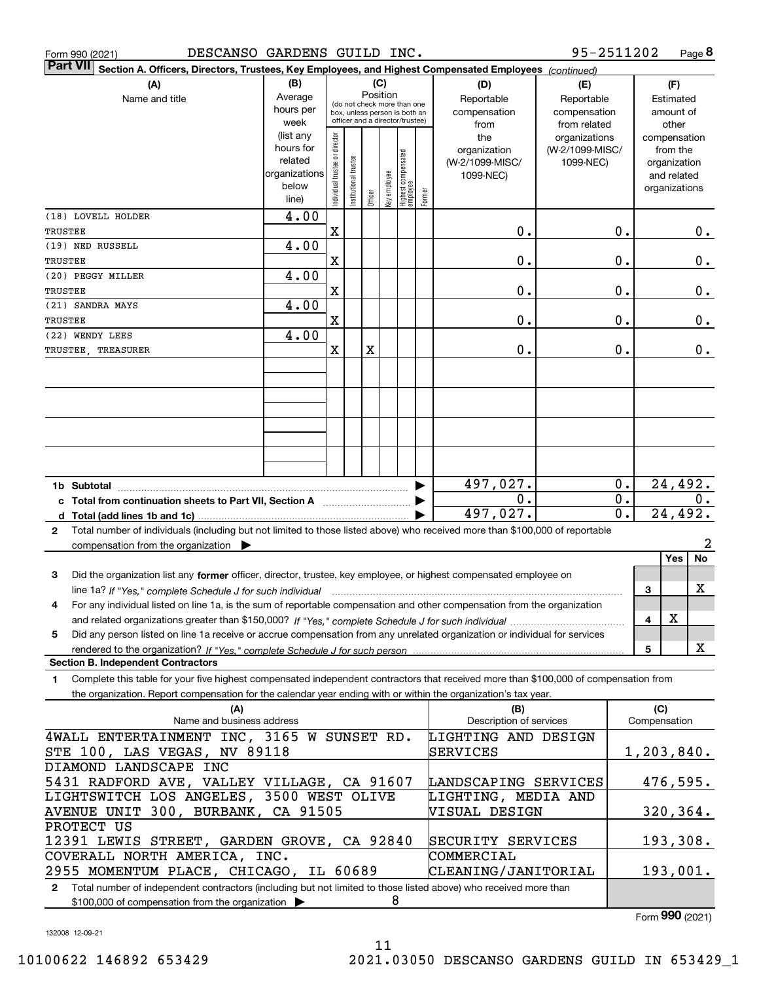| DESCANSO GARDENS GUILD INC.<br>Form 990 (2021)                                                                                                  |                          |                                |                       |          |              |                                         |        |                         | 95-2511202      |                  |              | Page 8                       |
|-------------------------------------------------------------------------------------------------------------------------------------------------|--------------------------|--------------------------------|-----------------------|----------|--------------|-----------------------------------------|--------|-------------------------|-----------------|------------------|--------------|------------------------------|
| <b>Part VII</b><br>Section A. Officers, Directors, Trustees, Key Employees, and Highest Compensated Employees (continued)                       |                          |                                |                       |          |              |                                         |        |                         |                 |                  |              |                              |
| (A)                                                                                                                                             | (B)                      |                                |                       |          | (C)          |                                         |        | (D)                     | (E)             |                  |              | (F)                          |
| Name and title                                                                                                                                  | Average                  |                                |                       | Position |              | (do not check more than one             |        | Reportable              | Reportable      |                  |              | Estimated                    |
|                                                                                                                                                 | hours per                |                                |                       |          |              | box, unless person is both an           |        | compensation            | compensation    |                  |              | amount of                    |
|                                                                                                                                                 | week                     |                                |                       |          |              | officer and a director/trustee)         |        | from                    | from related    |                  |              | other                        |
|                                                                                                                                                 | (list any                |                                |                       |          |              |                                         |        | the                     | organizations   |                  |              | compensation                 |
|                                                                                                                                                 | hours for                |                                |                       |          |              |                                         |        | organization            | (W-2/1099-MISC/ |                  |              | from the                     |
|                                                                                                                                                 | related<br>organizations |                                |                       |          |              |                                         |        | (W-2/1099-MISC/         | 1099-NEC)       |                  |              | organization                 |
|                                                                                                                                                 | below                    |                                |                       |          |              |                                         |        | 1099-NEC)               |                 |                  |              | and related<br>organizations |
|                                                                                                                                                 | line)                    | Individual trustee or director | Institutional trustee | Officer  | Key employee | <br>  Highest compensated<br>  employee | Former |                         |                 |                  |              |                              |
| (18) LOVELL HOLDER                                                                                                                              | 4.00                     |                                |                       |          |              |                                         |        |                         |                 |                  |              |                              |
| TRUSTEE                                                                                                                                         |                          | X                              |                       |          |              |                                         |        | 0.                      |                 | 0.               |              | 0.                           |
| (19) NED RUSSELL                                                                                                                                | 4.00                     |                                |                       |          |              |                                         |        |                         |                 |                  |              |                              |
| TRUSTEE                                                                                                                                         |                          | X                              |                       |          |              |                                         |        | 0.                      |                 | 0.               |              | $0$ .                        |
| (20) PEGGY MILLER                                                                                                                               | 4.00                     |                                |                       |          |              |                                         |        |                         |                 |                  |              |                              |
| TRUSTEE                                                                                                                                         |                          | X                              |                       |          |              |                                         |        | 0.                      |                 | 0.               |              | $0$ .                        |
| (21) SANDRA MAYS                                                                                                                                | 4.00                     |                                |                       |          |              |                                         |        |                         |                 |                  |              |                              |
| <b>TRUSTEE</b>                                                                                                                                  |                          | X                              |                       |          |              |                                         |        | 0.                      |                 | 0.               |              | 0.                           |
| (22) WENDY LEES                                                                                                                                 | 4.00                     |                                |                       |          |              |                                         |        |                         |                 |                  |              |                              |
| TRUSTEE, TREASURER                                                                                                                              |                          | X                              |                       | X        |              |                                         |        | $\mathbf 0$ .           |                 | 0.               |              | 0.                           |
|                                                                                                                                                 |                          |                                |                       |          |              |                                         |        |                         |                 |                  |              |                              |
|                                                                                                                                                 |                          |                                |                       |          |              |                                         |        |                         |                 |                  |              |                              |
|                                                                                                                                                 |                          |                                |                       |          |              |                                         |        |                         |                 |                  |              |                              |
|                                                                                                                                                 |                          |                                |                       |          |              |                                         |        |                         |                 |                  |              |                              |
|                                                                                                                                                 |                          |                                |                       |          |              |                                         |        |                         |                 |                  |              |                              |
|                                                                                                                                                 |                          |                                |                       |          |              |                                         |        |                         |                 |                  |              |                              |
|                                                                                                                                                 |                          |                                |                       |          |              |                                         |        |                         |                 |                  |              |                              |
|                                                                                                                                                 |                          |                                |                       |          |              |                                         |        |                         |                 |                  |              |                              |
|                                                                                                                                                 |                          |                                |                       |          |              |                                         |        | 497,027.                |                 | $\mathbf 0$ .    |              | 24,492.                      |
| c Total from continuation sheets to Part VII, Section A                                                                                         |                          |                                |                       |          |              |                                         |        | 0.                      |                 | $\overline{0}$ . |              | $0$ .                        |
|                                                                                                                                                 |                          |                                |                       |          |              |                                         |        | 497,027.                |                 | $\overline{0}$ . |              | 24,492.                      |
| Total number of individuals (including but not limited to those listed above) who received more than \$100,000 of reportable<br>$\mathbf{2}$    |                          |                                |                       |          |              |                                         |        |                         |                 |                  |              |                              |
| compensation from the organization $\blacktriangleright$                                                                                        |                          |                                |                       |          |              |                                         |        |                         |                 |                  |              | 2                            |
|                                                                                                                                                 |                          |                                |                       |          |              |                                         |        |                         |                 |                  |              | Yes<br>No                    |
| 3<br>Did the organization list any former officer, director, trustee, key employee, or highest compensated employee on                          |                          |                                |                       |          |              |                                         |        |                         |                 |                  |              |                              |
| line 1a? If "Yes," complete Schedule J for such individual manufactured contained and the 1a? If "Yes," complete Schedule J for such individual |                          |                                |                       |          |              |                                         |        |                         |                 |                  | З            | х                            |
| For any individual listed on line 1a, is the sum of reportable compensation and other compensation from the organization                        |                          |                                |                       |          |              |                                         |        |                         |                 |                  |              |                              |
|                                                                                                                                                 |                          |                                |                       |          |              |                                         |        |                         |                 |                  | 4            | х                            |
| Did any person listed on line 1a receive or accrue compensation from any unrelated organization or individual for services<br>5                 |                          |                                |                       |          |              |                                         |        |                         |                 |                  |              |                              |
| rendered to the organization? If "Yes." complete Schedule J for such person.                                                                    |                          |                                |                       |          |              |                                         |        |                         |                 |                  | 5            | X                            |
| <b>Section B. Independent Contractors</b>                                                                                                       |                          |                                |                       |          |              |                                         |        |                         |                 |                  |              |                              |
| Complete this table for your five highest compensated independent contractors that received more than \$100,000 of compensation from<br>1.      |                          |                                |                       |          |              |                                         |        |                         |                 |                  |              |                              |
| the organization. Report compensation for the calendar year ending with or within the organization's tax year.                                  |                          |                                |                       |          |              |                                         |        |                         |                 |                  |              |                              |
| (A)                                                                                                                                             |                          |                                |                       |          |              |                                         |        | (B)                     |                 |                  | (C)          |                              |
| Name and business address                                                                                                                       |                          |                                |                       |          |              |                                         |        | Description of services |                 |                  | Compensation |                              |
| 4WALL ENTERTAINMENT INC, 3165 W SUNSET RD.                                                                                                      |                          |                                |                       |          |              |                                         |        | LIGHTING AND DESIGN     |                 |                  |              |                              |
| STE 100, LAS VEGAS, NV 89118                                                                                                                    |                          |                                |                       |          |              |                                         |        | SERVICES                |                 |                  |              | $1,203,840$ .                |
| DIAMOND LANDSCAPE INC                                                                                                                           |                          |                                |                       |          |              |                                         |        |                         |                 |                  |              |                              |
| 5431 RADFORD AVE, VALLEY VILLAGE, CA 91607                                                                                                      |                          |                                |                       |          |              |                                         |        | LANDSCAPING SERVICES    |                 |                  |              | 476,595.                     |
| LIGHTSWITCH LOS ANGELES, 3500 WEST OLIVE                                                                                                        |                          |                                |                       |          |              |                                         |        | LIGHTING, MEDIA AND     |                 |                  |              |                              |
| AVENUE UNIT 300, BURBANK, CA 91505                                                                                                              |                          |                                |                       |          |              |                                         |        | VISUAL DESIGN           |                 |                  |              | 320, 364.                    |
| PROTECT US                                                                                                                                      |                          |                                |                       |          |              |                                         |        |                         |                 |                  |              |                              |
| 12391 LEWIS STREET, GARDEN GROVE, CA 92840                                                                                                      |                          |                                |                       |          |              |                                         |        | SECURITY SERVICES       |                 |                  |              | 193,308.                     |
| COVERALL NORTH AMERICA, INC.                                                                                                                    |                          |                                |                       |          |              |                                         |        | COMMERCIAL              |                 |                  |              |                              |
| 2955 MOMENTUM PLACE, CHICAGO, IL 60689                                                                                                          |                          |                                |                       |          |              |                                         |        | CLEANING/JANITORIAL     |                 |                  |              | 193,001.                     |

**2**Total number of independent contractors (including but not limited to those listed above) who received more than \$100,000 of compensation from the organization  $\blacktriangleright$ 8

Form (2021) **990**

132008 12-09-21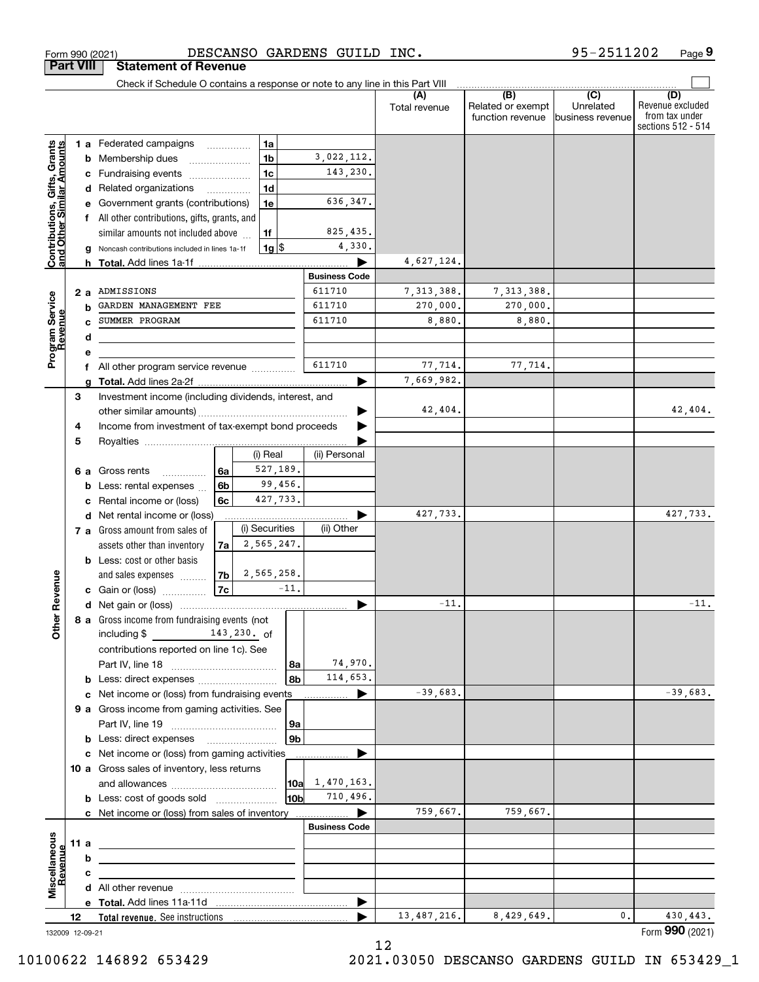|                                                           |                 | Check if Schedule O contains a response or note to any line in this Part VIII |                |                |        |                      |                      |                                              |                                      |                                                                 |
|-----------------------------------------------------------|-----------------|-------------------------------------------------------------------------------|----------------|----------------|--------|----------------------|----------------------|----------------------------------------------|--------------------------------------|-----------------------------------------------------------------|
|                                                           |                 |                                                                               |                |                |        |                      | (A)<br>Total revenue | (B)<br>Related or exempt<br>function revenue | (C)<br>Unrelated<br>business revenue | (D)<br>Revenue excluded<br>from tax under<br>sections 512 - 514 |
|                                                           |                 | <b>1 a</b> Federated campaigns                                                | .              | 1a             |        |                      |                      |                                              |                                      |                                                                 |
| Contributions, Gifts, Grants<br>and Other Similar Amounts |                 | <b>b</b> Membership dues                                                      |                | 1 <sub>b</sub> |        | 3,022,112.           |                      |                                              |                                      |                                                                 |
|                                                           |                 | c Fundraising events                                                          |                | 1 <sub>c</sub> |        | 143,230.             |                      |                                              |                                      |                                                                 |
|                                                           |                 | d Related organizations                                                       | .              | 1 <sub>d</sub> |        |                      |                      |                                              |                                      |                                                                 |
|                                                           |                 | e Government grants (contributions)                                           |                | 1e             |        | 636,347.             |                      |                                              |                                      |                                                                 |
|                                                           |                 | f All other contributions, gifts, grants, and                                 |                |                |        |                      |                      |                                              |                                      |                                                                 |
|                                                           |                 | similar amounts not included above                                            |                | 1f             |        | 825,435.             |                      |                                              |                                      |                                                                 |
|                                                           | g               | Noncash contributions included in lines 1a-1f                                 |                | $1g$ \$        |        | 4,330.               |                      |                                              |                                      |                                                                 |
|                                                           |                 |                                                                               |                |                |        |                      | 4,627,124.           |                                              |                                      |                                                                 |
|                                                           |                 |                                                                               |                |                |        | <b>Business Code</b> |                      |                                              |                                      |                                                                 |
|                                                           | 2a              | ADMISSIONS                                                                    |                |                |        | 611710               | 7, 313, 388.         | 7, 313, 388.                                 |                                      |                                                                 |
|                                                           | b               | GARDEN MANAGEMENT FEE                                                         |                |                |        | 611710               | 270,000.             | 270,000.                                     |                                      |                                                                 |
| Program Service<br>Revenue                                | c               | SUMMER PROGRAM                                                                |                |                |        | 611710               | 8,880.               | 8,880.                                       |                                      |                                                                 |
|                                                           | d               |                                                                               |                |                |        |                      |                      |                                              |                                      |                                                                 |
|                                                           | е               |                                                                               |                |                |        |                      |                      |                                              |                                      |                                                                 |
|                                                           | f               | All other program service revenue                                             |                |                |        | 611710               | 77,714.              | 77,714.                                      |                                      |                                                                 |
|                                                           | a               |                                                                               |                |                |        |                      | 7,669,982.           |                                              |                                      |                                                                 |
|                                                           | 3               | Investment income (including dividends, interest, and                         |                |                |        |                      |                      |                                              |                                      |                                                                 |
|                                                           |                 |                                                                               |                |                |        |                      | 42,404.              |                                              |                                      | 42,404.                                                         |
|                                                           | 4               | Income from investment of tax-exempt bond proceeds                            |                |                |        |                      |                      |                                              |                                      |                                                                 |
|                                                           | 5               |                                                                               |                |                |        |                      |                      |                                              |                                      |                                                                 |
|                                                           |                 |                                                                               |                | (i) Real       |        | (ii) Personal        |                      |                                              |                                      |                                                                 |
|                                                           |                 | 6 a Gross rents<br>.                                                          | 6a             | 527,189.       |        |                      |                      |                                              |                                      |                                                                 |
|                                                           |                 | <b>b</b> Less: rental expenses                                                | 6 <sub>b</sub> | 99,456.        |        |                      |                      |                                              |                                      |                                                                 |
|                                                           | c               | Rental income or (loss)                                                       | 6c             | 427,733.       |        |                      |                      |                                              |                                      |                                                                 |
|                                                           |                 | d Net rental income or (loss)                                                 |                |                |        |                      | 427,733.             |                                              |                                      | 427,733.                                                        |
|                                                           |                 | 7 a Gross amount from sales of                                                |                | (i) Securities |        | (ii) Other           |                      |                                              |                                      |                                                                 |
|                                                           |                 | assets other than inventory                                                   | 7a             | 2,565,247.     |        |                      |                      |                                              |                                      |                                                                 |
|                                                           |                 | <b>b</b> Less: cost or other basis                                            |                |                |        |                      |                      |                                              |                                      |                                                                 |
|                                                           |                 | and sales expenses                                                            | 7b             | 2,565,258.     |        |                      |                      |                                              |                                      |                                                                 |
| her Revenue                                               |                 | c Gain or (loss) $\ldots$                                                     | 7c             |                | $-11.$ |                      |                      |                                              |                                      |                                                                 |
|                                                           |                 |                                                                               |                |                |        |                      | $-11.$               |                                              |                                      | $-11.$                                                          |
|                                                           |                 | 8 a Gross income from fundraising events (not                                 |                |                |        |                      |                      |                                              |                                      |                                                                 |
| ŏ                                                         |                 | including \$                                                                  |                | 143,230. of    |        |                      |                      |                                              |                                      |                                                                 |
|                                                           |                 | contributions reported on line 1c). See                                       |                |                |        |                      |                      |                                              |                                      |                                                                 |
|                                                           |                 |                                                                               |                |                | 8a     | 74,970.              |                      |                                              |                                      |                                                                 |
|                                                           |                 |                                                                               |                |                | 8b     | 114,653.             | $-39,683.$           |                                              |                                      |                                                                 |
|                                                           |                 | c Net income or (loss) from fundraising events                                |                |                |        |                      |                      |                                              |                                      | $-39,683.$                                                      |
|                                                           |                 | 9 a Gross income from gaming activities. See                                  |                |                |        |                      |                      |                                              |                                      |                                                                 |
|                                                           |                 |                                                                               |                |                | 9а     |                      |                      |                                              |                                      |                                                                 |
|                                                           |                 | <b>b</b> Less: direct expenses                                                |                |                | 9b     |                      |                      |                                              |                                      |                                                                 |
|                                                           |                 | c Net income or (loss) from gaming activities                                 |                |                |        |                      |                      |                                              |                                      |                                                                 |
|                                                           |                 | 10 a Gross sales of inventory, less returns                                   |                |                | 10a    | 1,470,163.           |                      |                                              |                                      |                                                                 |
|                                                           |                 | <b>b</b> Less: cost of goods sold                                             |                |                | 10b    | 710,496.             |                      |                                              |                                      |                                                                 |
|                                                           |                 |                                                                               |                |                |        |                      | 759,667.             | 759,667.                                     |                                      |                                                                 |
|                                                           |                 | c Net income or (loss) from sales of inventory                                |                |                |        | <b>Business Code</b> |                      |                                              |                                      |                                                                 |
|                                                           |                 |                                                                               |                |                |        |                      |                      |                                              |                                      |                                                                 |
|                                                           | 11 a            |                                                                               |                |                |        |                      |                      |                                              |                                      |                                                                 |
| evenue                                                    | b               |                                                                               |                |                |        |                      |                      |                                              |                                      |                                                                 |
| Miscellaneous                                             | с               |                                                                               |                |                |        |                      |                      |                                              |                                      |                                                                 |
|                                                           |                 |                                                                               |                |                |        |                      |                      |                                              |                                      |                                                                 |
|                                                           | 12              |                                                                               |                |                |        |                      | 13,487,216.          | 8,429,649.                                   | 0.                                   | 430,443.                                                        |
|                                                           | 132009 12-09-21 |                                                                               |                |                |        |                      |                      |                                              |                                      | Form 990 (2021)                                                 |

Form 990 (2021) Page DESCANSO GARDENS GUILD INC.

**Part VIII Statement of Revenue**

**9** 95-2511202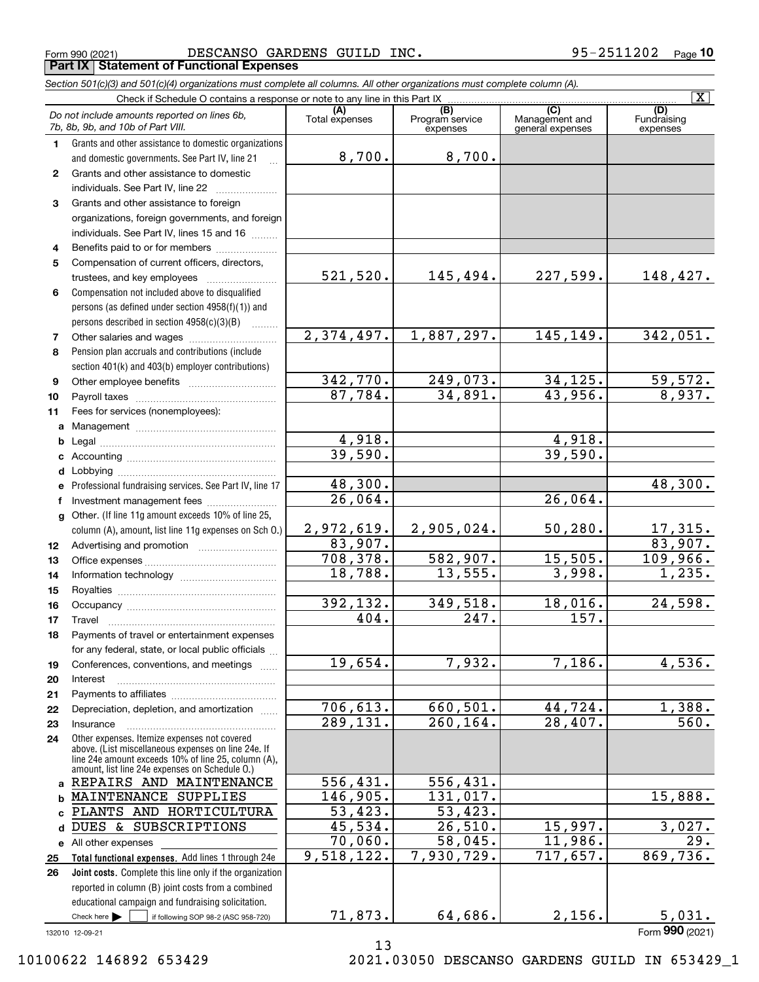Form 990 (2021) Page DESCANSO GARDENS GUILD INC. 95-2511202 **Part IX Statement of Functional Expenses**

|    | Section 501(c)(3) and 501(c)(4) organizations must complete all columns. All other organizations must complete column (A).                                                                                   |                          |                                    |                                    |                                |
|----|--------------------------------------------------------------------------------------------------------------------------------------------------------------------------------------------------------------|--------------------------|------------------------------------|------------------------------------|--------------------------------|
|    | Check if Schedule O contains a response or note to any line in this Part IX                                                                                                                                  |                          |                                    | $\overline{C}$                     | $\overline{\mathbf{X}}$        |
|    | Do not include amounts reported on lines 6b,<br>7b, 8b, 9b, and 10b of Part VIII.                                                                                                                            | (A)<br>Total expenses    | (B)<br>Program service<br>expenses | Management and<br>general expenses | (D)<br>Fundraising<br>expenses |
| 1. | Grants and other assistance to domestic organizations                                                                                                                                                        |                          |                                    |                                    |                                |
|    | and domestic governments. See Part IV, line 21                                                                                                                                                               | 8,700.                   | 8,700.                             |                                    |                                |
| 2  | Grants and other assistance to domestic                                                                                                                                                                      |                          |                                    |                                    |                                |
|    | individuals. See Part IV, line 22                                                                                                                                                                            |                          |                                    |                                    |                                |
| 3  | Grants and other assistance to foreign                                                                                                                                                                       |                          |                                    |                                    |                                |
|    | organizations, foreign governments, and foreign                                                                                                                                                              |                          |                                    |                                    |                                |
|    | individuals. See Part IV, lines 15 and 16                                                                                                                                                                    |                          |                                    |                                    |                                |
| 4  | Benefits paid to or for members                                                                                                                                                                              |                          |                                    |                                    |                                |
| 5  | Compensation of current officers, directors,                                                                                                                                                                 |                          |                                    |                                    |                                |
|    | trustees, and key employees                                                                                                                                                                                  | 521,520.                 | 145,494.                           | 227,599.                           | 148,427.                       |
| 6  | Compensation not included above to disqualified                                                                                                                                                              |                          |                                    |                                    |                                |
|    | persons (as defined under section 4958(f)(1)) and                                                                                                                                                            |                          |                                    |                                    |                                |
|    | persons described in section 4958(c)(3)(B)<br>1.1.1.1.1.1.1                                                                                                                                                  |                          |                                    |                                    |                                |
| 7  | Other salaries and wages                                                                                                                                                                                     | $\overline{2,374,497}$ . | 1,887,297.                         | 145,149.                           | 342,051.                       |
| 8  | Pension plan accruals and contributions (include                                                                                                                                                             |                          |                                    |                                    |                                |
|    | section 401(k) and 403(b) employer contributions)                                                                                                                                                            |                          |                                    |                                    |                                |
| 9  |                                                                                                                                                                                                              | 342,770.                 | 249,073.                           | 34, 125.                           | $\frac{59,572.}{8,937.}$       |
| 10 |                                                                                                                                                                                                              | 87,784.                  | 34,891.                            | 43,956.                            |                                |
| 11 | Fees for services (nonemployees):                                                                                                                                                                            |                          |                                    |                                    |                                |
| a  |                                                                                                                                                                                                              |                          |                                    |                                    |                                |
| b  |                                                                                                                                                                                                              | 4,918.                   |                                    | 4,918.                             |                                |
| c  |                                                                                                                                                                                                              | 39,590.                  |                                    | 39,590.                            |                                |
|    |                                                                                                                                                                                                              |                          |                                    |                                    |                                |
| е  | Professional fundraising services. See Part IV, line 17                                                                                                                                                      | 48,300.                  |                                    |                                    | 48,300.                        |
| f  | Investment management fees                                                                                                                                                                                   | 26,064.                  |                                    | 26,064.                            |                                |
|    | g Other. (If line 11g amount exceeds 10% of line 25,                                                                                                                                                         |                          |                                    |                                    |                                |
|    | column (A), amount, list line 11g expenses on Sch O.)                                                                                                                                                        | 2,972,619.               | 2,905,024.                         | 50, 280.                           | $\frac{17,315}{83,907}$ .      |
| 12 |                                                                                                                                                                                                              | 83,907.                  |                                    |                                    |                                |
| 13 |                                                                                                                                                                                                              | 708, 378.                | 582,907.                           | 15,505.                            | 109,966.                       |
| 14 |                                                                                                                                                                                                              | 18,788.                  | 13,555.                            | 3,998.                             | 1,235.                         |
| 15 |                                                                                                                                                                                                              |                          |                                    |                                    |                                |
| 16 |                                                                                                                                                                                                              | 392,132.                 | 349,518.                           | 18,016.                            | 24,598.                        |
| 17 |                                                                                                                                                                                                              | 404.                     | $\overline{247}$ .                 | 157.                               |                                |
| 18 | Payments of travel or entertainment expenses                                                                                                                                                                 |                          |                                    |                                    |                                |
|    | for any federal, state, or local public officials                                                                                                                                                            |                          |                                    |                                    |                                |
| 19 | Conferences, conventions, and meetings                                                                                                                                                                       | 19,654.                  | 7,932.                             | 7,186.                             | 4,536.                         |
| 20 | Interest                                                                                                                                                                                                     |                          |                                    |                                    |                                |
| 21 |                                                                                                                                                                                                              |                          |                                    |                                    |                                |
| 22 | Depreciation, depletion, and amortization                                                                                                                                                                    | 706, 613.                | 660, 501.                          | 44,724.                            | 1,388.                         |
| 23 | Insurance                                                                                                                                                                                                    | 289,131.                 | 260, 164.                          | 28,407.                            | 560.                           |
| 24 | Other expenses. Itemize expenses not covered<br>above. (List miscellaneous expenses on line 24e. If<br>line 24e amount exceeds 10% of line 25, column (A),<br>amount, list line 24e expenses on Schedule O.) |                          |                                    |                                    |                                |
|    | a REPAIRS AND MAINTENANCE                                                                                                                                                                                    | 556,431.                 | 556,431.                           |                                    |                                |
| b  | MAINTENANCE SUPPLIES                                                                                                                                                                                         | 146,905.                 | 131,017.                           |                                    | 15,888.                        |
| c  | PLANTS AND HORTICULTURA                                                                                                                                                                                      | 53,423.                  | 53,423.                            |                                    |                                |
| d  | DUES & SUBSCRIPTIONS                                                                                                                                                                                         | 45,534.                  | 26,510.                            | 15,997.                            | 3,027.                         |
|    | e All other expenses                                                                                                                                                                                         | 70,060.                  | 58,045.                            | 11,986.                            | 29.                            |
| 25 | Total functional expenses. Add lines 1 through 24e                                                                                                                                                           | 9,518,122.               | 7,930,729.                         | 717,657.                           | 869,736.                       |
| 26 | <b>Joint costs.</b> Complete this line only if the organization                                                                                                                                              |                          |                                    |                                    |                                |
|    | reported in column (B) joint costs from a combined                                                                                                                                                           |                          |                                    |                                    |                                |
|    | educational campaign and fundraising solicitation.                                                                                                                                                           |                          |                                    |                                    |                                |
|    | Check here $\blacktriangleright$<br>if following SOP 98-2 (ASC 958-720)                                                                                                                                      | 71,873.                  | 64,686.                            | 2,156.                             | 5,031.                         |

132010 12-09-21

13

Form (2021) **990**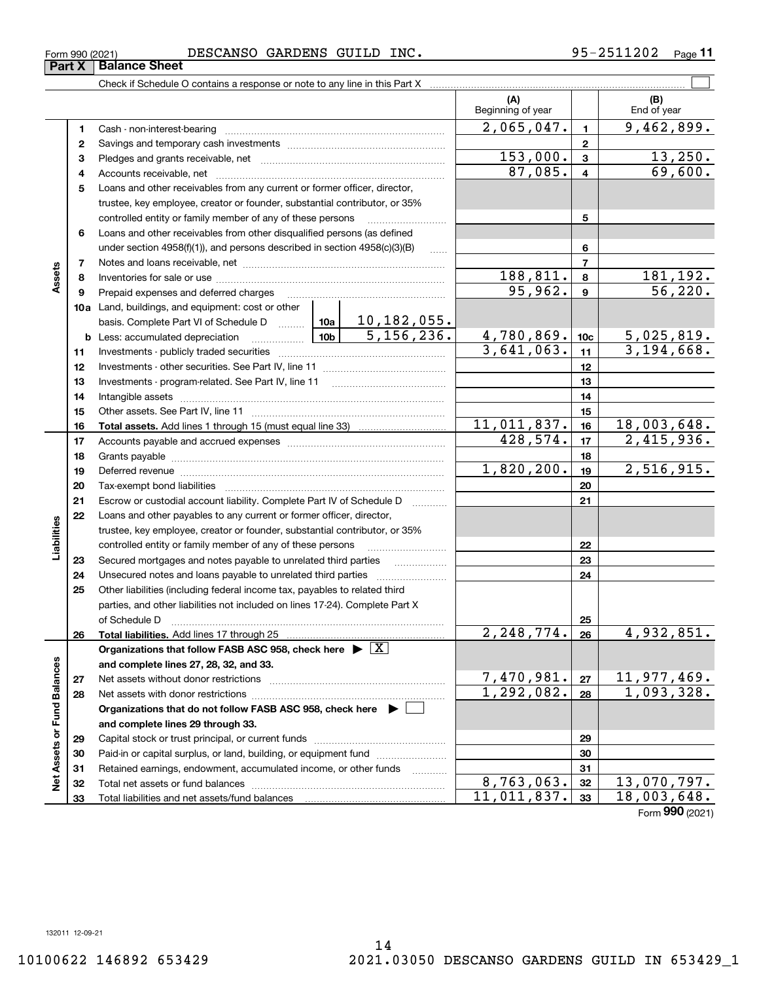**Part X Balance Sheet**

#### Form 990 (2021) Page DESCANSO GARDENS GUILD INC. 95-2511202

Check if Schedule O contains a response or note to any line in this Part X

|                      |    |                                                                                                                                                                                                                                |                          | (A)<br>Beginning of year |              | (B)<br>End of year               |
|----------------------|----|--------------------------------------------------------------------------------------------------------------------------------------------------------------------------------------------------------------------------------|--------------------------|--------------------------|--------------|----------------------------------|
|                      | 1  |                                                                                                                                                                                                                                |                          | 2,065,047.               | $\mathbf{1}$ | 9,462,899.                       |
|                      | 2  |                                                                                                                                                                                                                                |                          |                          | $\mathbf{2}$ |                                  |
|                      | з  |                                                                                                                                                                                                                                |                          | 153,000.                 | $\mathbf{3}$ | 13,250.                          |
|                      | 4  |                                                                                                                                                                                                                                |                          | 87,085.                  | 4            | 69,600.                          |
|                      | 5  | Loans and other receivables from any current or former officer, director,                                                                                                                                                      |                          |                          |              |                                  |
|                      |    | trustee, key employee, creator or founder, substantial contributor, or 35%                                                                                                                                                     |                          |                          |              |                                  |
|                      |    | controlled entity or family member of any of these persons                                                                                                                                                                     |                          |                          | 5            |                                  |
|                      | 6  | Loans and other receivables from other disqualified persons (as defined                                                                                                                                                        |                          |                          |              |                                  |
|                      |    | under section 4958(f)(1)), and persons described in section 4958(c)(3)(B)                                                                                                                                                      |                          |                          | 6            |                                  |
| Assets               | 7  |                                                                                                                                                                                                                                |                          | $\overline{7}$           |              |                                  |
|                      | 8  |                                                                                                                                                                                                                                |                          | <u>188,811.</u>          | 8            |                                  |
|                      | 9  | Prepaid expenses and deferred charges                                                                                                                                                                                          |                          | 95,962.                  | 9            | $\frac{181,192}{56,220}$         |
|                      |    | 10a Land, buildings, and equipment: cost or other                                                                                                                                                                              |                          |                          |              |                                  |
|                      |    |                                                                                                                                                                                                                                |                          |                          |              |                                  |
|                      |    | $\frac{10b}{10b}$<br><b>b</b> Less: accumulated depreciation                                                                                                                                                                   | 4,780,869.               | 10c                      | 5,025,819.   |                                  |
|                      | 11 |                                                                                                                                                                                                                                | $\overline{3,641,063}$ . | 11                       | 3,194,668.   |                                  |
|                      | 12 |                                                                                                                                                                                                                                |                          | 12                       |              |                                  |
|                      | 13 |                                                                                                                                                                                                                                |                          | 13                       |              |                                  |
|                      | 14 |                                                                                                                                                                                                                                |                          | 14                       |              |                                  |
|                      | 15 |                                                                                                                                                                                                                                |                          |                          | 15           |                                  |
|                      | 16 |                                                                                                                                                                                                                                |                          | 11,011,837.              | 16           | 18,003,648.                      |
|                      | 17 |                                                                                                                                                                                                                                |                          | 428,574.                 | 17           | 2,415,936.                       |
|                      | 18 |                                                                                                                                                                                                                                |                          | 18                       |              |                                  |
|                      | 19 | Deferred revenue manual contracts and contracts are all the manual contracts and contracts are all the contracts and contracts are contracted and contracts are contracted and contract are contracted and contract are contra | 1,820,200.               | 19                       | 2,516,915.   |                                  |
|                      | 20 |                                                                                                                                                                                                                                |                          | 20                       |              |                                  |
|                      | 21 | Escrow or custodial account liability. Complete Part IV of Schedule D                                                                                                                                                          |                          | 21                       |              |                                  |
|                      | 22 | Loans and other payables to any current or former officer, director,                                                                                                                                                           |                          |                          |              |                                  |
| Liabilities          |    | trustee, key employee, creator or founder, substantial contributor, or 35%                                                                                                                                                     |                          |                          |              |                                  |
|                      |    | controlled entity or family member of any of these persons                                                                                                                                                                     |                          |                          | 22           |                                  |
|                      | 23 | Secured mortgages and notes payable to unrelated third parties                                                                                                                                                                 |                          |                          | 23           |                                  |
|                      | 24 |                                                                                                                                                                                                                                |                          |                          | 24           |                                  |
|                      | 25 | Other liabilities (including federal income tax, payables to related third                                                                                                                                                     |                          |                          |              |                                  |
|                      |    | parties, and other liabilities not included on lines 17-24). Complete Part X                                                                                                                                                   |                          |                          |              |                                  |
|                      | 26 | of Schedule D<br>Total liabilities. Add lines 17 through 25                                                                                                                                                                    |                          | 2,248,774.               | 25<br>26     | 4,932,851.                       |
|                      |    | Organizations that follow FASB ASC 958, check here $\overline{\triangleright \big[ \overline{X} \big]}$                                                                                                                        |                          |                          |              |                                  |
|                      |    | and complete lines 27, 28, 32, and 33.                                                                                                                                                                                         |                          |                          |              |                                  |
|                      | 27 | Net assets without donor restrictions                                                                                                                                                                                          |                          |                          | 27           |                                  |
|                      | 28 | Net assets with donor restrictions                                                                                                                                                                                             |                          | 7,470,981.<br>1,292,082. | 28           | $\frac{11,977,469.}{1,093,328.}$ |
| <b>Fund Balances</b> |    | Organizations that do not follow FASB ASC 958, check here $\blacktriangleright$                                                                                                                                                |                          |                          |              |                                  |
|                      |    | and complete lines 29 through 33.                                                                                                                                                                                              |                          |                          |              |                                  |
|                      | 29 |                                                                                                                                                                                                                                |                          |                          | 29           |                                  |
|                      | 30 | Paid-in or capital surplus, or land, building, or equipment fund                                                                                                                                                               |                          |                          | 30           |                                  |
|                      | 31 | Retained earnings, endowment, accumulated income, or other funds                                                                                                                                                               |                          |                          | 31           |                                  |
| Net Assets or        | 32 | Total net assets or fund balances                                                                                                                                                                                              |                          | 8, 763, 063.             | 32           | $13,070,797$ .                   |
|                      | 33 |                                                                                                                                                                                                                                |                          | 11,011,837.              | 33           | 18,003,648.                      |

**11**

 $\mathcal{L}^{\text{max}}$ 

Form (2021) **990**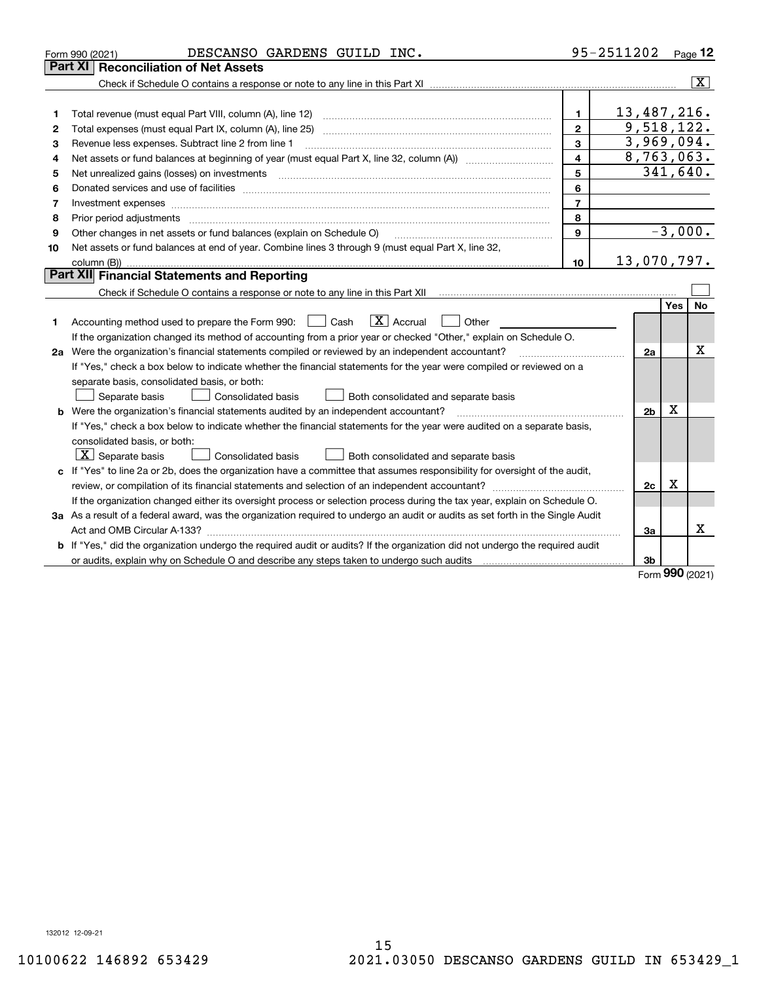|    | DESCANSO GARDENS GUILD INC.<br>Form 990 (2021)                                                                                  |                         | 95-2511202     |     | $Page$ 12      |
|----|---------------------------------------------------------------------------------------------------------------------------------|-------------------------|----------------|-----|----------------|
|    | <b>Reconciliation of Net Assets</b><br>Part XI                                                                                  |                         |                |     |                |
|    |                                                                                                                                 |                         |                |     | $ \mathbf{X} $ |
|    |                                                                                                                                 |                         |                |     |                |
| 1  | Total revenue (must equal Part VIII, column (A), line 12)                                                                       | 1.                      | 13,487,216.    |     |                |
| 2  |                                                                                                                                 | $\mathbf{2}$            | 9,518,122.     |     |                |
| 3  | Revenue less expenses. Subtract line 2 from line 1                                                                              | 3                       | 3,969,094.     |     |                |
| 4  | Net assets or fund balances at beginning of year (must equal Part X, line 32, column (A)) manured manured was                   | $\overline{\mathbf{4}}$ | 8,763,063.     |     |                |
| 5  | Net unrealized gains (losses) on investments                                                                                    | 5                       | 341,640.       |     |                |
| 6  |                                                                                                                                 | 6                       |                |     |                |
| 7  | Investment expenses www.communication.com/www.communication.com/www.communication.com/www.com                                   | $\overline{7}$          |                |     |                |
| 8  | Prior period adjustments                                                                                                        | 8                       |                |     |                |
| 9  | Other changes in net assets or fund balances (explain on Schedule O)                                                            | 9                       |                |     | $-3,000.$      |
| 10 | Net assets or fund balances at end of year. Combine lines 3 through 9 (must equal Part X, line 32,                              |                         |                |     |                |
|    |                                                                                                                                 | 10                      | 13,070,797.    |     |                |
|    | Part XII Financial Statements and Reporting                                                                                     |                         |                |     |                |
|    |                                                                                                                                 |                         |                |     |                |
|    |                                                                                                                                 |                         |                | Yes | No             |
| 1. | $\boxed{\mathbf{X}}$ Accrual<br>Accounting method used to prepare the Form 990: [16] Cash<br>Other                              |                         |                |     |                |
|    | If the organization changed its method of accounting from a prior year or checked "Other," explain on Schedule O.               |                         |                |     |                |
|    | 2a Were the organization's financial statements compiled or reviewed by an independent accountant?                              |                         | 2a             |     | Χ              |
|    | If "Yes," check a box below to indicate whether the financial statements for the year were compiled or reviewed on a            |                         |                |     |                |
|    | separate basis, consolidated basis, or both:                                                                                    |                         |                |     |                |
|    | Separate basis<br>Consolidated basis<br>Both consolidated and separate basis                                                    |                         |                |     |                |
|    | <b>b</b> Were the organization's financial statements audited by an independent accountant?                                     |                         | 2 <sub>b</sub> | х   |                |
|    | If "Yes," check a box below to indicate whether the financial statements for the year were audited on a separate basis,         |                         |                |     |                |
|    | consolidated basis, or both:                                                                                                    |                         |                |     |                |
|    | $\vert$ X $\vert$ Separate basis<br>Consolidated basis<br>Both consolidated and separate basis                                  |                         |                |     |                |
|    | c If "Yes" to line 2a or 2b, does the organization have a committee that assumes responsibility for oversight of the audit,     |                         |                |     |                |
|    |                                                                                                                                 |                         | 2c             | х   |                |
|    | If the organization changed either its oversight process or selection process during the tax year, explain on Schedule O.       |                         |                |     |                |
|    | 3a As a result of a federal award, was the organization required to undergo an audit or audits as set forth in the Single Audit |                         |                |     |                |
|    |                                                                                                                                 |                         | За             |     | x              |
|    | b If "Yes," did the organization undergo the required audit or audits? If the organization did not undergo the required audit   |                         |                |     |                |
|    | or audits, explain why on Schedule O and describe any steps taken to undergo such audits                                        |                         | 3b             |     |                |

Form (2021) **990**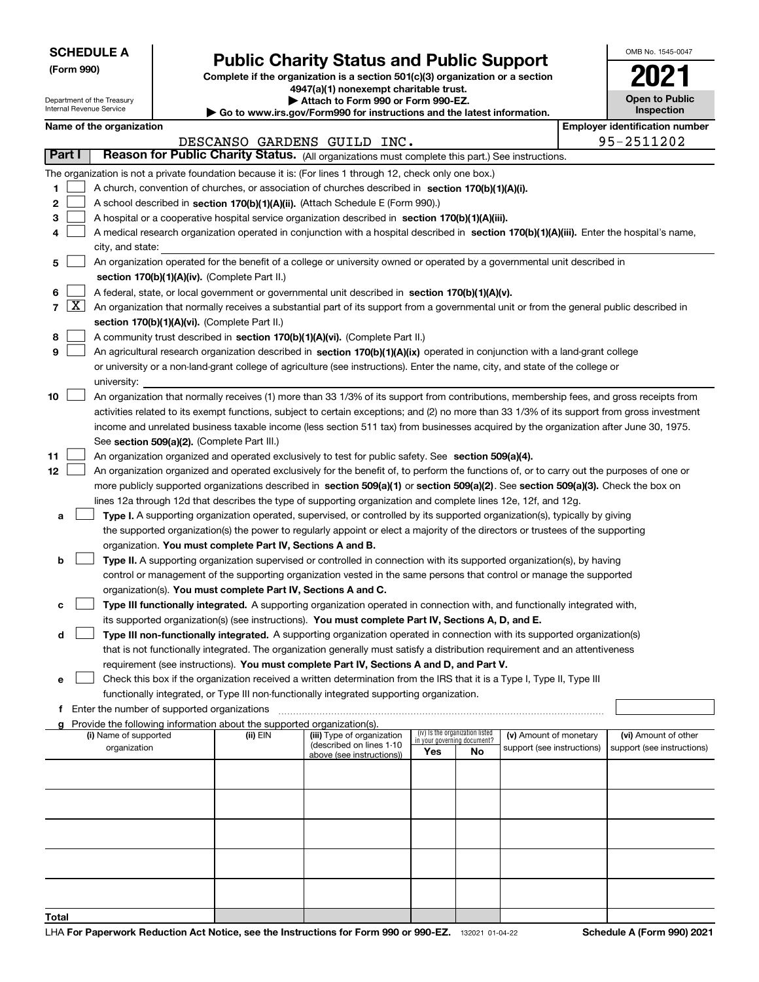Department of the Treasury Internal Revenue Service

**(Form 990)**

# **Public Charity Status and Public Support**

**Complete if the organization is a section 501(c)(3) organization or a section 4947(a)(1) nonexempt charitable trust.**

**| Attach to Form 990 or Form 990-EZ.** 

**| Go to www.irs.gov/Form990 for instructions and the latest information.**

| OMB No 1545-0047                    |
|-------------------------------------|
| U                                   |
| <b>Open to Public</b><br>Inspection |

#### **Name of the organization Employer identification Name of the organization Employer identification** number

|                  |                     |                                                                                                                                                                                                                                                                                                                                                                                                                                                                                                                                                                              |          | DESCANSO GARDENS GUILD INC.                            |                                                                |    |                            |  | 95-2511202                 |  |
|------------------|---------------------|------------------------------------------------------------------------------------------------------------------------------------------------------------------------------------------------------------------------------------------------------------------------------------------------------------------------------------------------------------------------------------------------------------------------------------------------------------------------------------------------------------------------------------------------------------------------------|----------|--------------------------------------------------------|----------------------------------------------------------------|----|----------------------------|--|----------------------------|--|
| <b>Part I</b>    |                     | Reason for Public Charity Status. (All organizations must complete this part.) See instructions.                                                                                                                                                                                                                                                                                                                                                                                                                                                                             |          |                                                        |                                                                |    |                            |  |                            |  |
| 1<br>2<br>3<br>4 |                     | The organization is not a private foundation because it is: (For lines 1 through 12, check only one box.)<br>A church, convention of churches, or association of churches described in section 170(b)(1)(A)(i).<br>A school described in section 170(b)(1)(A)(ii). (Attach Schedule E (Form 990).)<br>A hospital or a cooperative hospital service organization described in section $170(b)(1)(A)(iii)$ .<br>A medical research organization operated in conjunction with a hospital described in section 170(b)(1)(A)(iii). Enter the hospital's name,<br>city, and state: |          |                                                        |                                                                |    |                            |  |                            |  |
| 5                |                     | An organization operated for the benefit of a college or university owned or operated by a governmental unit described in                                                                                                                                                                                                                                                                                                                                                                                                                                                    |          |                                                        |                                                                |    |                            |  |                            |  |
|                  |                     | section 170(b)(1)(A)(iv). (Complete Part II.)                                                                                                                                                                                                                                                                                                                                                                                                                                                                                                                                |          |                                                        |                                                                |    |                            |  |                            |  |
| 6                |                     | A federal, state, or local government or governmental unit described in section 170(b)(1)(A)(v).                                                                                                                                                                                                                                                                                                                                                                                                                                                                             |          |                                                        |                                                                |    |                            |  |                            |  |
| $\overline{7}$   | $\lfloor x \rfloor$ | An organization that normally receives a substantial part of its support from a governmental unit or from the general public described in                                                                                                                                                                                                                                                                                                                                                                                                                                    |          |                                                        |                                                                |    |                            |  |                            |  |
|                  |                     | section 170(b)(1)(A)(vi). (Complete Part II.)                                                                                                                                                                                                                                                                                                                                                                                                                                                                                                                                |          |                                                        |                                                                |    |                            |  |                            |  |
| 8                |                     | A community trust described in section 170(b)(1)(A)(vi). (Complete Part II.)                                                                                                                                                                                                                                                                                                                                                                                                                                                                                                 |          |                                                        |                                                                |    |                            |  |                            |  |
| 9                |                     | An agricultural research organization described in section 170(b)(1)(A)(ix) operated in conjunction with a land-grant college                                                                                                                                                                                                                                                                                                                                                                                                                                                |          |                                                        |                                                                |    |                            |  |                            |  |
|                  |                     | or university or a non-land-grant college of agriculture (see instructions). Enter the name, city, and state of the college or                                                                                                                                                                                                                                                                                                                                                                                                                                               |          |                                                        |                                                                |    |                            |  |                            |  |
| 10               |                     | university:<br>An organization that normally receives (1) more than 33 1/3% of its support from contributions, membership fees, and gross receipts from                                                                                                                                                                                                                                                                                                                                                                                                                      |          |                                                        |                                                                |    |                            |  |                            |  |
|                  |                     | activities related to its exempt functions, subject to certain exceptions; and (2) no more than 33 1/3% of its support from gross investment                                                                                                                                                                                                                                                                                                                                                                                                                                 |          |                                                        |                                                                |    |                            |  |                            |  |
|                  |                     | income and unrelated business taxable income (less section 511 tax) from businesses acquired by the organization after June 30, 1975.                                                                                                                                                                                                                                                                                                                                                                                                                                        |          |                                                        |                                                                |    |                            |  |                            |  |
|                  |                     | See section 509(a)(2). (Complete Part III.)                                                                                                                                                                                                                                                                                                                                                                                                                                                                                                                                  |          |                                                        |                                                                |    |                            |  |                            |  |
| 11               |                     | An organization organized and operated exclusively to test for public safety. See section 509(a)(4).                                                                                                                                                                                                                                                                                                                                                                                                                                                                         |          |                                                        |                                                                |    |                            |  |                            |  |
| 12               |                     | An organization organized and operated exclusively for the benefit of, to perform the functions of, or to carry out the purposes of one or                                                                                                                                                                                                                                                                                                                                                                                                                                   |          |                                                        |                                                                |    |                            |  |                            |  |
|                  |                     | more publicly supported organizations described in section 509(a)(1) or section 509(a)(2). See section 509(a)(3). Check the box on                                                                                                                                                                                                                                                                                                                                                                                                                                           |          |                                                        |                                                                |    |                            |  |                            |  |
|                  |                     | lines 12a through 12d that describes the type of supporting organization and complete lines 12e, 12f, and 12g.                                                                                                                                                                                                                                                                                                                                                                                                                                                               |          |                                                        |                                                                |    |                            |  |                            |  |
| а                |                     | Type I. A supporting organization operated, supervised, or controlled by its supported organization(s), typically by giving                                                                                                                                                                                                                                                                                                                                                                                                                                                  |          |                                                        |                                                                |    |                            |  |                            |  |
|                  |                     | the supported organization(s) the power to regularly appoint or elect a majority of the directors or trustees of the supporting                                                                                                                                                                                                                                                                                                                                                                                                                                              |          |                                                        |                                                                |    |                            |  |                            |  |
|                  |                     | organization. You must complete Part IV, Sections A and B.                                                                                                                                                                                                                                                                                                                                                                                                                                                                                                                   |          |                                                        |                                                                |    |                            |  |                            |  |
| b                |                     | Type II. A supporting organization supervised or controlled in connection with its supported organization(s), by having                                                                                                                                                                                                                                                                                                                                                                                                                                                      |          |                                                        |                                                                |    |                            |  |                            |  |
|                  |                     | control or management of the supporting organization vested in the same persons that control or manage the supported                                                                                                                                                                                                                                                                                                                                                                                                                                                         |          |                                                        |                                                                |    |                            |  |                            |  |
|                  |                     | organization(s). You must complete Part IV, Sections A and C.                                                                                                                                                                                                                                                                                                                                                                                                                                                                                                                |          |                                                        |                                                                |    |                            |  |                            |  |
| с                |                     | Type III functionally integrated. A supporting organization operated in connection with, and functionally integrated with,                                                                                                                                                                                                                                                                                                                                                                                                                                                   |          |                                                        |                                                                |    |                            |  |                            |  |
|                  |                     | its supported organization(s) (see instructions). You must complete Part IV, Sections A, D, and E.                                                                                                                                                                                                                                                                                                                                                                                                                                                                           |          |                                                        |                                                                |    |                            |  |                            |  |
| d                |                     | Type III non-functionally integrated. A supporting organization operated in connection with its supported organization(s)<br>that is not functionally integrated. The organization generally must satisfy a distribution requirement and an attentiveness                                                                                                                                                                                                                                                                                                                    |          |                                                        |                                                                |    |                            |  |                            |  |
|                  |                     | requirement (see instructions). You must complete Part IV, Sections A and D, and Part V.                                                                                                                                                                                                                                                                                                                                                                                                                                                                                     |          |                                                        |                                                                |    |                            |  |                            |  |
| е                |                     | Check this box if the organization received a written determination from the IRS that it is a Type I, Type II, Type III                                                                                                                                                                                                                                                                                                                                                                                                                                                      |          |                                                        |                                                                |    |                            |  |                            |  |
|                  |                     | functionally integrated, or Type III non-functionally integrated supporting organization.                                                                                                                                                                                                                                                                                                                                                                                                                                                                                    |          |                                                        |                                                                |    |                            |  |                            |  |
|                  |                     | f Enter the number of supported organizations                                                                                                                                                                                                                                                                                                                                                                                                                                                                                                                                |          |                                                        |                                                                |    |                            |  |                            |  |
| g                |                     | Provide the following information about the supported organization(s).                                                                                                                                                                                                                                                                                                                                                                                                                                                                                                       |          |                                                        |                                                                |    |                            |  |                            |  |
|                  |                     | (i) Name of supported                                                                                                                                                                                                                                                                                                                                                                                                                                                                                                                                                        | (ii) EIN | (iii) Type of organization<br>(described on lines 1-10 | (iv) Is the organization listed<br>in your governing document? |    | (v) Amount of monetary     |  | (vi) Amount of other       |  |
|                  |                     | organization                                                                                                                                                                                                                                                                                                                                                                                                                                                                                                                                                                 |          | above (see instructions))                              | Yes                                                            | No | support (see instructions) |  | support (see instructions) |  |
|                  |                     |                                                                                                                                                                                                                                                                                                                                                                                                                                                                                                                                                                              |          |                                                        |                                                                |    |                            |  |                            |  |
|                  |                     |                                                                                                                                                                                                                                                                                                                                                                                                                                                                                                                                                                              |          |                                                        |                                                                |    |                            |  |                            |  |
|                  |                     |                                                                                                                                                                                                                                                                                                                                                                                                                                                                                                                                                                              |          |                                                        |                                                                |    |                            |  |                            |  |
|                  |                     |                                                                                                                                                                                                                                                                                                                                                                                                                                                                                                                                                                              |          |                                                        |                                                                |    |                            |  |                            |  |
|                  |                     |                                                                                                                                                                                                                                                                                                                                                                                                                                                                                                                                                                              |          |                                                        |                                                                |    |                            |  |                            |  |
|                  |                     |                                                                                                                                                                                                                                                                                                                                                                                                                                                                                                                                                                              |          |                                                        |                                                                |    |                            |  |                            |  |
|                  |                     |                                                                                                                                                                                                                                                                                                                                                                                                                                                                                                                                                                              |          |                                                        |                                                                |    |                            |  |                            |  |
| Total            |                     |                                                                                                                                                                                                                                                                                                                                                                                                                                                                                                                                                                              |          |                                                        |                                                                |    |                            |  |                            |  |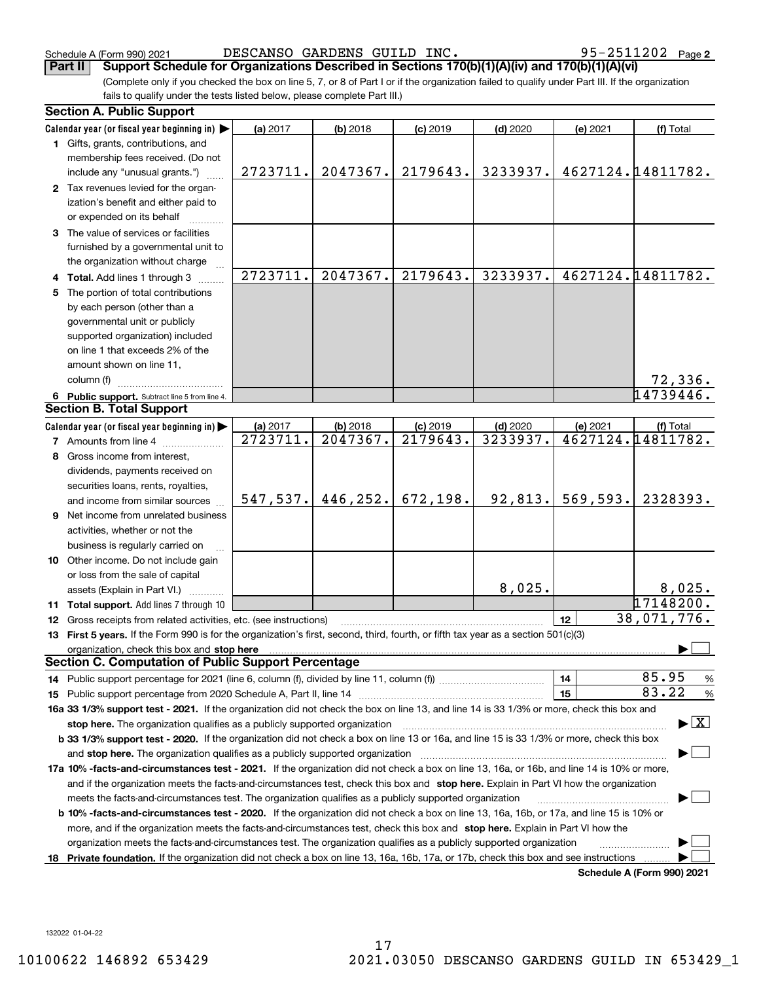Schedule A (Form 990) 2021 DESCANSO GARDENS GUILD  $\,$  INC  $\,$  .  $\,$  95-2511202  $\,$  Page

(Complete only if you checked the box on line 5, 7, or 8 of Part I or if the organization failed to qualify under Part III. If the organization fails to qualify under the tests listed below, please complete Part III.) **Part II Support Schedule for Organizations Described in Sections 170(b)(1)(A)(iv) and 170(b)(1)(A)(vi)**

|     | <b>Section A. Public Support</b>                                                                                                               |           |          |            |            |          |                                          |  |  |  |
|-----|------------------------------------------------------------------------------------------------------------------------------------------------|-----------|----------|------------|------------|----------|------------------------------------------|--|--|--|
|     | Calendar year (or fiscal year beginning in)                                                                                                    | (a) 2017  | (b) 2018 | $(c)$ 2019 | $(d)$ 2020 | (e) 2021 | (f) Total                                |  |  |  |
|     | 1 Gifts, grants, contributions, and                                                                                                            |           |          |            |            |          |                                          |  |  |  |
|     | membership fees received. (Do not                                                                                                              |           |          |            |            |          |                                          |  |  |  |
|     | include any "unusual grants.")                                                                                                                 | 2723711.  | 2047367. | 2179643.   | 3233937.   |          | 4627124.14811782.                        |  |  |  |
|     | 2 Tax revenues levied for the organ-                                                                                                           |           |          |            |            |          |                                          |  |  |  |
|     | ization's benefit and either paid to                                                                                                           |           |          |            |            |          |                                          |  |  |  |
|     | or expended on its behalf                                                                                                                      |           |          |            |            |          |                                          |  |  |  |
|     | 3 The value of services or facilities                                                                                                          |           |          |            |            |          |                                          |  |  |  |
|     | furnished by a governmental unit to                                                                                                            |           |          |            |            |          |                                          |  |  |  |
|     | the organization without charge                                                                                                                |           |          |            |            |          |                                          |  |  |  |
|     | Total. Add lines 1 through 3                                                                                                                   | 2723711.  | 2047367. | 2179643.   | 3233937.   |          | 4627124.14811782.                        |  |  |  |
|     | The portion of total contributions                                                                                                             |           |          |            |            |          |                                          |  |  |  |
|     | by each person (other than a                                                                                                                   |           |          |            |            |          |                                          |  |  |  |
|     | governmental unit or publicly                                                                                                                  |           |          |            |            |          |                                          |  |  |  |
|     | supported organization) included                                                                                                               |           |          |            |            |          |                                          |  |  |  |
|     | on line 1 that exceeds 2% of the                                                                                                               |           |          |            |            |          |                                          |  |  |  |
|     | amount shown on line 11,                                                                                                                       |           |          |            |            |          |                                          |  |  |  |
|     | column (f)                                                                                                                                     |           |          |            |            |          | 72,336.                                  |  |  |  |
|     | 6 Public support. Subtract line 5 from line 4.                                                                                                 |           |          |            |            |          | 14739446.                                |  |  |  |
|     | <b>Section B. Total Support</b>                                                                                                                |           |          |            |            |          |                                          |  |  |  |
|     | Calendar year (or fiscal year beginning in) $\blacktriangleright$                                                                              | (a) 2017  | (b) 2018 | $(c)$ 2019 | $(d)$ 2020 | (e) 2021 | (f) Total                                |  |  |  |
|     | <b>7</b> Amounts from line 4                                                                                                                   | 2723711.  | 2047367. | 2179643.   | 3233937.   |          | 4627124.14811782.                        |  |  |  |
|     | Gross income from interest,                                                                                                                    |           |          |            |            |          |                                          |  |  |  |
|     | dividends, payments received on                                                                                                                |           |          |            |            |          |                                          |  |  |  |
|     | securities loans, rents, royalties,                                                                                                            |           |          |            |            |          |                                          |  |  |  |
|     | and income from similar sources                                                                                                                | 547, 537. | 446,252. | 672,198.   | 92,813.    | 569,593. | 2328393.                                 |  |  |  |
| 9   | Net income from unrelated business                                                                                                             |           |          |            |            |          |                                          |  |  |  |
|     | activities, whether or not the                                                                                                                 |           |          |            |            |          |                                          |  |  |  |
|     | business is regularly carried on                                                                                                               |           |          |            |            |          |                                          |  |  |  |
|     | 10 Other income. Do not include gain                                                                                                           |           |          |            |            |          |                                          |  |  |  |
|     | or loss from the sale of capital                                                                                                               |           |          |            |            |          |                                          |  |  |  |
|     | assets (Explain in Part VI.)                                                                                                                   |           |          |            | 8,025.     |          | 8,025.                                   |  |  |  |
|     | 11 Total support. Add lines 7 through 10                                                                                                       |           |          |            |            |          | 17148200.                                |  |  |  |
|     | 12 Gross receipts from related activities, etc. (see instructions)                                                                             |           |          |            |            | 12       | 38,071,776.                              |  |  |  |
|     | 13 First 5 years. If the Form 990 is for the organization's first, second, third, fourth, or fifth tax year as a section 501(c)(3)             |           |          |            |            |          |                                          |  |  |  |
|     |                                                                                                                                                |           |          |            |            |          |                                          |  |  |  |
|     | <b>Section C. Computation of Public Support Percentage</b>                                                                                     |           |          |            |            |          |                                          |  |  |  |
|     |                                                                                                                                                |           |          |            |            | 14       | 85.95<br>$\frac{9}{6}$                   |  |  |  |
|     |                                                                                                                                                |           |          |            |            | 15       | 83.22<br>$\frac{9}{6}$                   |  |  |  |
|     | 16a 33 1/3% support test - 2021. If the organization did not check the box on line 13, and line 14 is 33 1/3% or more, check this box and      |           |          |            |            |          |                                          |  |  |  |
|     | stop here. The organization qualifies as a publicly supported organization                                                                     |           |          |            |            |          | $\blacktriangleright$ $\boxed{\text{X}}$ |  |  |  |
|     | b 33 1/3% support test - 2020. If the organization did not check a box on line 13 or 16a, and line 15 is 33 1/3% or more, check this box       |           |          |            |            |          |                                          |  |  |  |
|     | and stop here. The organization qualifies as a publicly supported organization                                                                 |           |          |            |            |          |                                          |  |  |  |
|     | 17a 10% -facts-and-circumstances test - 2021. If the organization did not check a box on line 13, 16a, or 16b, and line 14 is 10% or more,     |           |          |            |            |          |                                          |  |  |  |
|     | and if the organization meets the facts-and-circumstances test, check this box and stop here. Explain in Part VI how the organization          |           |          |            |            |          |                                          |  |  |  |
|     | meets the facts-and-circumstances test. The organization qualifies as a publicly supported organization                                        |           |          |            |            |          |                                          |  |  |  |
|     | <b>b 10% -facts-and-circumstances test - 2020.</b> If the organization did not check a box on line 13, 16a, 16b, or 17a, and line 15 is 10% or |           |          |            |            |          |                                          |  |  |  |
|     | more, and if the organization meets the facts-and-circumstances test, check this box and stop here. Explain in Part VI how the                 |           |          |            |            |          |                                          |  |  |  |
|     | organization meets the facts-and-circumstances test. The organization qualifies as a publicly supported organization                           |           |          |            |            |          |                                          |  |  |  |
| 18. | Private foundation. If the organization did not check a box on line 13, 16a, 16b, 17a, or 17b, check this box and see instructions             |           |          |            |            |          |                                          |  |  |  |
|     |                                                                                                                                                |           |          |            |            |          | Schedule A (Form 990) 2021               |  |  |  |

**Schedule A (Form 990) 2021**

132022 01-04-22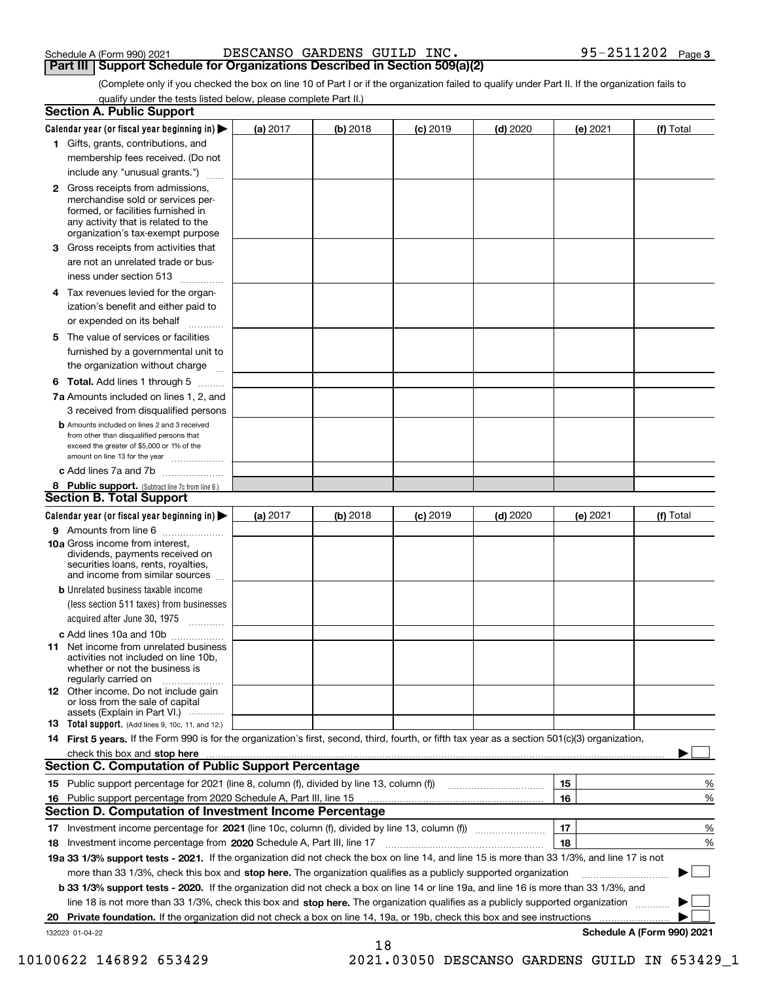| Schedule A (Form 990) 2021 |  | DESCANSO GARDENS GUILD INC.                                                         |  |  |
|----------------------------|--|-------------------------------------------------------------------------------------|--|--|
|                            |  | <b>Part III   Support Schedule for Organizations Described in Section 509(a)(2)</b> |  |  |

Schedule A (Form 990) 2021 DESCANSO GARDENS GUILD  $\,$  INC  $\,$  .  $\,$  95-2511202  $\,$  Page

(Complete only if you checked the box on line 10 of Part I or if the organization failed to qualify under Part II. If the organization fails to qualify under the tests listed below, please complete Part II.)

|    | <b>Section A. Public Support</b>                                                                                                                                                                |            |          |            |            |          |                            |
|----|-------------------------------------------------------------------------------------------------------------------------------------------------------------------------------------------------|------------|----------|------------|------------|----------|----------------------------|
|    | Calendar year (or fiscal year beginning in) $\blacktriangleright$                                                                                                                               | (a) 2017   | (b) 2018 | $(c)$ 2019 | $(d)$ 2020 | (e) 2021 | (f) Total                  |
|    | 1 Gifts, grants, contributions, and                                                                                                                                                             |            |          |            |            |          |                            |
|    | membership fees received. (Do not                                                                                                                                                               |            |          |            |            |          |                            |
|    | include any "unusual grants.")                                                                                                                                                                  |            |          |            |            |          |                            |
|    | <b>2</b> Gross receipts from admissions,<br>merchandise sold or services per-<br>formed, or facilities furnished in<br>any activity that is related to the<br>organization's tax-exempt purpose |            |          |            |            |          |                            |
|    | 3 Gross receipts from activities that<br>are not an unrelated trade or bus-                                                                                                                     |            |          |            |            |          |                            |
|    | iness under section 513                                                                                                                                                                         |            |          |            |            |          |                            |
|    | 4 Tax revenues levied for the organ-<br>ization's benefit and either paid to<br>or expended on its behalf                                                                                       |            |          |            |            |          |                            |
|    | 5 The value of services or facilities<br>furnished by a governmental unit to                                                                                                                    |            |          |            |            |          |                            |
|    | the organization without charge                                                                                                                                                                 |            |          |            |            |          |                            |
|    | <b>6 Total.</b> Add lines 1 through 5                                                                                                                                                           |            |          |            |            |          |                            |
|    | 7a Amounts included on lines 1, 2, and<br>3 received from disqualified persons                                                                                                                  |            |          |            |            |          |                            |
|    | <b>b</b> Amounts included on lines 2 and 3 received<br>from other than disqualified persons that<br>exceed the greater of \$5,000 or 1% of the<br>amount on line 13 for the year                |            |          |            |            |          |                            |
|    | c Add lines 7a and 7b                                                                                                                                                                           |            |          |            |            |          |                            |
|    | 8 Public support. (Subtract line 7c from line 6.)<br><b>Section B. Total Support</b>                                                                                                            |            |          |            |            |          |                            |
|    | Calendar year (or fiscal year beginning in)                                                                                                                                                     | (a) $2017$ | (b) 2018 | $(c)$ 2019 | $(d)$ 2020 | (e) 2021 | (f) Total                  |
|    | 9 Amounts from line 6                                                                                                                                                                           |            |          |            |            |          |                            |
|    | 10a Gross income from interest,<br>dividends, payments received on<br>securities loans, rents, royalties,<br>and income from similar sources                                                    |            |          |            |            |          |                            |
|    | <b>b</b> Unrelated business taxable income<br>(less section 511 taxes) from businesses<br>acquired after June 30, 1975                                                                          |            |          |            |            |          |                            |
|    | c Add lines 10a and 10b                                                                                                                                                                         |            |          |            |            |          |                            |
|    | <b>11</b> Net income from unrelated business<br>activities not included on line 10b.<br>whether or not the business is<br>regularly carried on                                                  |            |          |            |            |          |                            |
|    | <b>12</b> Other income. Do not include gain<br>or loss from the sale of capital<br>assets (Explain in Part VI.)                                                                                 |            |          |            |            |          |                            |
|    | <b>13 Total support.</b> (Add lines 9, 10c, 11, and 12.)                                                                                                                                        |            |          |            |            |          |                            |
|    | 14 First 5 years. If the Form 990 is for the organization's first, second, third, fourth, or fifth tax year as a section 501(c)(3) organization,                                                |            |          |            |            |          |                            |
|    | check this box and stop here with the continuum control to the state of the state of the state of the state of                                                                                  |            |          |            |            |          |                            |
|    | <b>Section C. Computation of Public Support Percentage</b>                                                                                                                                      |            |          |            |            |          |                            |
|    |                                                                                                                                                                                                 |            |          |            |            | 15       | %                          |
|    | 16 Public support percentage from 2020 Schedule A, Part III, line 15                                                                                                                            |            |          |            |            | 16       | %                          |
|    | <b>Section D. Computation of Investment Income Percentage</b>                                                                                                                                   |            |          |            |            |          |                            |
|    | 17 Investment income percentage for 2021 (line 10c, column (f), divided by line 13, column (f))<br>18 Investment income percentage from 2020 Schedule A, Part III, line 17                      |            |          |            |            | 17<br>18 | %<br>%                     |
|    | 19a 33 1/3% support tests - 2021. If the organization did not check the box on line 14, and line 15 is more than 33 1/3%, and line 17 is not                                                    |            |          |            |            |          |                            |
|    | more than 33 1/3%, check this box and stop here. The organization qualifies as a publicly supported organization                                                                                |            |          |            |            |          |                            |
|    | <b>b 33 1/3% support tests - 2020.</b> If the organization did not check a box on line 14 or line 19a, and line 16 is more than 33 1/3%, and                                                    |            |          |            |            |          |                            |
|    | line 18 is not more than 33 1/3%, check this box and stop here. The organization qualifies as a publicly supported organization                                                                 |            |          |            |            |          |                            |
| 20 | Private foundation. If the organization did not check a box on line 14, 19a, or 19b, check this box and see instructions                                                                        |            |          |            |            |          |                            |
|    | 132023 01-04-22                                                                                                                                                                                 |            |          |            |            |          | Schedule A (Form 990) 2021 |
|    |                                                                                                                                                                                                 |            | 18       |            |            |          |                            |

10100622 146892 653429 2021.03050 DESCANSO GARDENS GUILD IN 653429\_1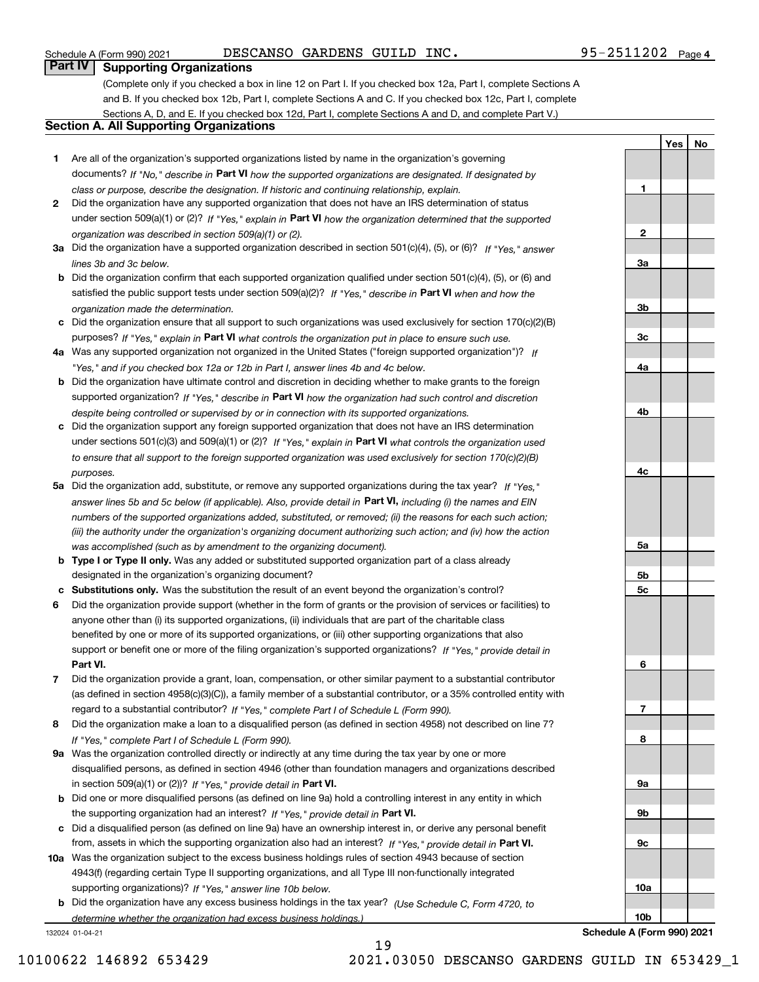#### Schedule A (Form 990) 2021 DESCANSO GARDENS GUILD  $\,$  INC  $\,$  .  $\,$  95-2511202  $\,$  Page

**1**

**2**

**YesNo**

### **Part IV Supporting Organizations**

(Complete only if you checked a box in line 12 on Part I. If you checked box 12a, Part I, complete Sections A and B. If you checked box 12b, Part I, complete Sections A and C. If you checked box 12c, Part I, complete Sections A, D, and E. If you checked box 12d, Part I, complete Sections A and D, and complete Part V.)

#### **Section A. All Supporting Organizations**

- **1** Are all of the organization's supported organizations listed by name in the organization's governing documents? If "No," describe in **Part VI** how the supported organizations are designated. If designated by *class or purpose, describe the designation. If historic and continuing relationship, explain.*
- **2** Did the organization have any supported organization that does not have an IRS determination of status under section 509(a)(1) or (2)? If "Yes," explain in Part VI how the organization determined that the supported *organization was described in section 509(a)(1) or (2).*
- **3a** Did the organization have a supported organization described in section 501(c)(4), (5), or (6)? If "Yes," answer *lines 3b and 3c below.*
- **b** Did the organization confirm that each supported organization qualified under section 501(c)(4), (5), or (6) and satisfied the public support tests under section 509(a)(2)? If "Yes," describe in **Part VI** when and how the *organization made the determination.*
- **c**Did the organization ensure that all support to such organizations was used exclusively for section 170(c)(2)(B) purposes? If "Yes," explain in **Part VI** what controls the organization put in place to ensure such use.
- **4a***If* Was any supported organization not organized in the United States ("foreign supported organization")? *"Yes," and if you checked box 12a or 12b in Part I, answer lines 4b and 4c below.*
- **b** Did the organization have ultimate control and discretion in deciding whether to make grants to the foreign supported organization? If "Yes," describe in **Part VI** how the organization had such control and discretion *despite being controlled or supervised by or in connection with its supported organizations.*
- **c** Did the organization support any foreign supported organization that does not have an IRS determination under sections 501(c)(3) and 509(a)(1) or (2)? If "Yes," explain in **Part VI** what controls the organization used *to ensure that all support to the foreign supported organization was used exclusively for section 170(c)(2)(B) purposes.*
- **5a** Did the organization add, substitute, or remove any supported organizations during the tax year? If "Yes," answer lines 5b and 5c below (if applicable). Also, provide detail in **Part VI,** including (i) the names and EIN *numbers of the supported organizations added, substituted, or removed; (ii) the reasons for each such action; (iii) the authority under the organization's organizing document authorizing such action; and (iv) how the action was accomplished (such as by amendment to the organizing document).*
- **b** Type I or Type II only. Was any added or substituted supported organization part of a class already designated in the organization's organizing document?
- **cSubstitutions only.**  Was the substitution the result of an event beyond the organization's control?
- **6** Did the organization provide support (whether in the form of grants or the provision of services or facilities) to **Part VI.** *If "Yes," provide detail in* support or benefit one or more of the filing organization's supported organizations? anyone other than (i) its supported organizations, (ii) individuals that are part of the charitable class benefited by one or more of its supported organizations, or (iii) other supporting organizations that also
- **7**Did the organization provide a grant, loan, compensation, or other similar payment to a substantial contributor *If "Yes," complete Part I of Schedule L (Form 990).* regard to a substantial contributor? (as defined in section 4958(c)(3)(C)), a family member of a substantial contributor, or a 35% controlled entity with
- **8** Did the organization make a loan to a disqualified person (as defined in section 4958) not described on line 7? *If "Yes," complete Part I of Schedule L (Form 990).*
- **9a** Was the organization controlled directly or indirectly at any time during the tax year by one or more in section 509(a)(1) or (2))? If "Yes," *provide detail in* <code>Part VI.</code> disqualified persons, as defined in section 4946 (other than foundation managers and organizations described
- **b** Did one or more disqualified persons (as defined on line 9a) hold a controlling interest in any entity in which the supporting organization had an interest? If "Yes," provide detail in P**art VI**.
- **c**Did a disqualified person (as defined on line 9a) have an ownership interest in, or derive any personal benefit from, assets in which the supporting organization also had an interest? If "Yes," provide detail in P**art VI.**
- **10a** Was the organization subject to the excess business holdings rules of section 4943 because of section supporting organizations)? If "Yes," answer line 10b below. 4943(f) (regarding certain Type II supporting organizations, and all Type III non-functionally integrated
- **b** Did the organization have any excess business holdings in the tax year? (Use Schedule C, Form 4720, to *determine whether the organization had excess business holdings.)*

132024 01-04-21

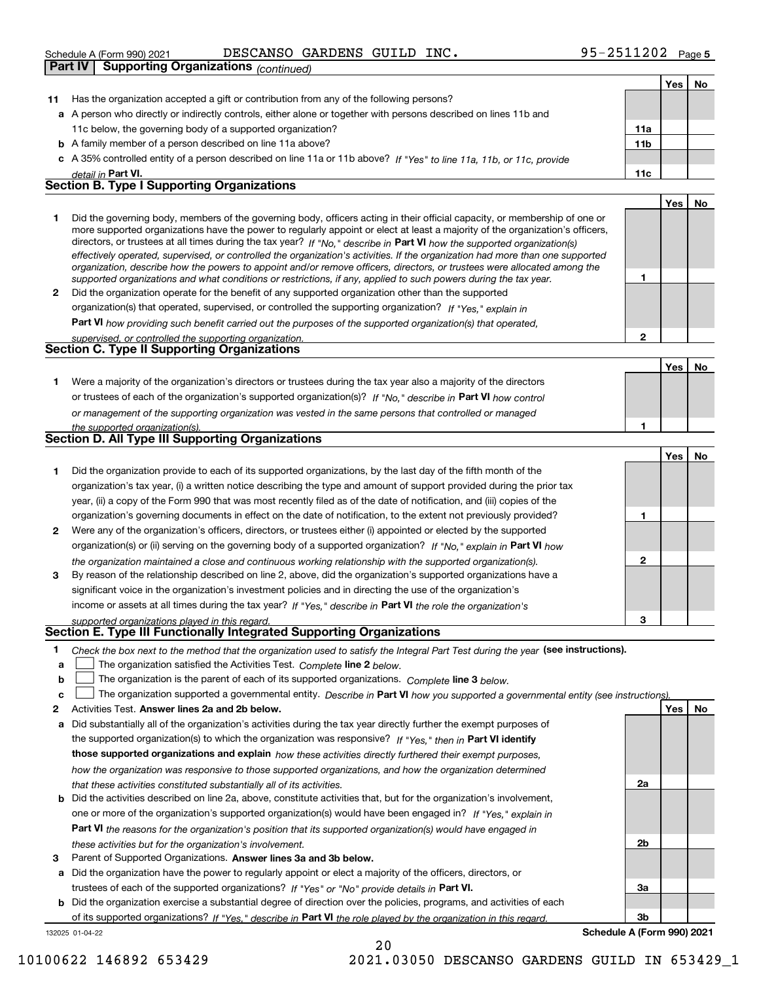| e A (Form 990) 2021 | DESCANSO GARDENS GUILD INC. |  | $95 - 2511202$ Page 5 |
|---------------------|-----------------------------|--|-----------------------|
|---------------------|-----------------------------|--|-----------------------|

|              | Schedule A (Form 990) 2021<br>DESCANSO GARDENS GUILD INC.                                                                                                                                                                                                                                                                                                                                                                                                                                                                                                                                                                                            | 95-4511404 Page5 |     |     |
|--------------|------------------------------------------------------------------------------------------------------------------------------------------------------------------------------------------------------------------------------------------------------------------------------------------------------------------------------------------------------------------------------------------------------------------------------------------------------------------------------------------------------------------------------------------------------------------------------------------------------------------------------------------------------|------------------|-----|-----|
|              | <b>Part IV</b><br><b>Supporting Organizations (continued)</b>                                                                                                                                                                                                                                                                                                                                                                                                                                                                                                                                                                                        |                  |     |     |
|              |                                                                                                                                                                                                                                                                                                                                                                                                                                                                                                                                                                                                                                                      |                  | Yes | No  |
| 11           | Has the organization accepted a gift or contribution from any of the following persons?                                                                                                                                                                                                                                                                                                                                                                                                                                                                                                                                                              |                  |     |     |
|              | a A person who directly or indirectly controls, either alone or together with persons described on lines 11b and                                                                                                                                                                                                                                                                                                                                                                                                                                                                                                                                     |                  |     |     |
|              | 11c below, the governing body of a supported organization?                                                                                                                                                                                                                                                                                                                                                                                                                                                                                                                                                                                           | 11a              |     |     |
|              | <b>b</b> A family member of a person described on line 11a above?                                                                                                                                                                                                                                                                                                                                                                                                                                                                                                                                                                                    | 11 <sub>b</sub>  |     |     |
|              | c A 35% controlled entity of a person described on line 11a or 11b above? If "Yes" to line 11a, 11b, or 11c, provide                                                                                                                                                                                                                                                                                                                                                                                                                                                                                                                                 |                  |     |     |
|              | detail in Part VI.                                                                                                                                                                                                                                                                                                                                                                                                                                                                                                                                                                                                                                   | 11c              |     |     |
|              | <b>Section B. Type I Supporting Organizations</b>                                                                                                                                                                                                                                                                                                                                                                                                                                                                                                                                                                                                    |                  |     |     |
|              |                                                                                                                                                                                                                                                                                                                                                                                                                                                                                                                                                                                                                                                      |                  | Yes | No. |
| 1            | Did the governing body, members of the governing body, officers acting in their official capacity, or membership of one or<br>more supported organizations have the power to regularly appoint or elect at least a majority of the organization's officers,<br>directors, or trustees at all times during the tax year? If "No," describe in Part VI how the supported organization(s)<br>effectively operated, supervised, or controlled the organization's activities. If the organization had more than one supported<br>organization, describe how the powers to appoint and/or remove officers, directors, or trustees were allocated among the |                  |     |     |
|              | supported organizations and what conditions or restrictions, if any, applied to such powers during the tax year.                                                                                                                                                                                                                                                                                                                                                                                                                                                                                                                                     | 1                |     |     |
| $\mathbf{2}$ | Did the organization operate for the benefit of any supported organization other than the supported                                                                                                                                                                                                                                                                                                                                                                                                                                                                                                                                                  |                  |     |     |
|              | organization(s) that operated, supervised, or controlled the supporting organization? If "Yes," explain in                                                                                                                                                                                                                                                                                                                                                                                                                                                                                                                                           |                  |     |     |
|              | Part VI how providing such benefit carried out the purposes of the supported organization(s) that operated,                                                                                                                                                                                                                                                                                                                                                                                                                                                                                                                                          |                  |     |     |
|              | supervised, or controlled the supporting organization.                                                                                                                                                                                                                                                                                                                                                                                                                                                                                                                                                                                               | $\overline{2}$   |     |     |
|              | Section C. Type II Supporting Organizations                                                                                                                                                                                                                                                                                                                                                                                                                                                                                                                                                                                                          |                  |     |     |
|              |                                                                                                                                                                                                                                                                                                                                                                                                                                                                                                                                                                                                                                                      |                  | Yes | No  |
| 1.           | Were a majority of the organization's directors or trustees during the tax year also a majority of the directors                                                                                                                                                                                                                                                                                                                                                                                                                                                                                                                                     |                  |     |     |
|              | or trustees of each of the organization's supported organization(s)? If "No," describe in Part VI how control                                                                                                                                                                                                                                                                                                                                                                                                                                                                                                                                        |                  |     |     |
|              | or management of the supporting organization was vested in the same persons that controlled or managed                                                                                                                                                                                                                                                                                                                                                                                                                                                                                                                                               |                  |     |     |
|              | the supported organization(s).                                                                                                                                                                                                                                                                                                                                                                                                                                                                                                                                                                                                                       | 1                |     |     |
|              | Section D. All Type III Supporting Organizations                                                                                                                                                                                                                                                                                                                                                                                                                                                                                                                                                                                                     |                  |     |     |
|              |                                                                                                                                                                                                                                                                                                                                                                                                                                                                                                                                                                                                                                                      |                  | Yes | No  |
| 1            | Did the organization provide to each of its supported organizations, by the last day of the fifth month of the                                                                                                                                                                                                                                                                                                                                                                                                                                                                                                                                       |                  |     |     |
|              | organization's tax year, (i) a written notice describing the type and amount of support provided during the prior tax                                                                                                                                                                                                                                                                                                                                                                                                                                                                                                                                |                  |     |     |
|              | year, (ii) a copy of the Form 990 that was most recently filed as of the date of notification, and (iii) copies of the                                                                                                                                                                                                                                                                                                                                                                                                                                                                                                                               |                  |     |     |
|              | organization's governing documents in effect on the date of notification, to the extent not previously provided?                                                                                                                                                                                                                                                                                                                                                                                                                                                                                                                                     | 1                |     |     |
| 2            | Were any of the organization's officers, directors, or trustees either (i) appointed or elected by the supported                                                                                                                                                                                                                                                                                                                                                                                                                                                                                                                                     |                  |     |     |
|              | organization(s) or (ii) serving on the governing body of a supported organization? If "No," explain in Part VI how                                                                                                                                                                                                                                                                                                                                                                                                                                                                                                                                   |                  |     |     |
|              | the organization maintained a close and continuous working relationship with the supported organization(s).                                                                                                                                                                                                                                                                                                                                                                                                                                                                                                                                          | $\mathbf{2}$     |     |     |
| 3            | By reason of the relationship described on line 2, above, did the organization's supported organizations have a                                                                                                                                                                                                                                                                                                                                                                                                                                                                                                                                      |                  |     |     |
|              | significant voice in the organization's investment policies and in directing the use of the organization's                                                                                                                                                                                                                                                                                                                                                                                                                                                                                                                                           |                  |     |     |
|              | income or assets at all times during the tax year? If "Yes," describe in Part VI the role the organization's                                                                                                                                                                                                                                                                                                                                                                                                                                                                                                                                         |                  |     |     |
|              | supported organizations played in this regard.                                                                                                                                                                                                                                                                                                                                                                                                                                                                                                                                                                                                       | 3                |     |     |
|              | Section E. Type III Functionally Integrated Supporting Organizations                                                                                                                                                                                                                                                                                                                                                                                                                                                                                                                                                                                 |                  |     |     |
| 1.<br>a      | Check the box next to the method that the organization used to satisfy the Integral Part Test during the year (see instructions).<br>The organization satisfied the Activities Test. Complete line 2 below.                                                                                                                                                                                                                                                                                                                                                                                                                                          |                  |     |     |

**bThe organization is the parent of each of its supported organizations. Complete line 3 below.** 

|  |  | The organization supported a governmental entity. Describe in Part VI how you supported a governmental entity (see instructions). |
|--|--|-----------------------------------------------------------------------------------------------------------------------------------|
|--|--|-----------------------------------------------------------------------------------------------------------------------------------|

- **2Answer lines 2a and 2b below. Yes No** Activities Test.
- **a** Did substantially all of the organization's activities during the tax year directly further the exempt purposes of the supported organization(s) to which the organization was responsive? If "Yes," then in **Part VI identify those supported organizations and explain**  *how these activities directly furthered their exempt purposes, how the organization was responsive to those supported organizations, and how the organization determined that these activities constituted substantially all of its activities.*
- **b** Did the activities described on line 2a, above, constitute activities that, but for the organization's involvement, **Part VI**  *the reasons for the organization's position that its supported organization(s) would have engaged in* one or more of the organization's supported organization(s) would have been engaged in? If "Yes," e*xplain in these activities but for the organization's involvement.*
- **3** Parent of Supported Organizations. Answer lines 3a and 3b below.

**a** Did the organization have the power to regularly appoint or elect a majority of the officers, directors, or trustees of each of the supported organizations? If "Yes" or "No" provide details in **Part VI.** 

132025 01-04-22 **b** Did the organization exercise a substantial degree of direction over the policies, programs, and activities of each of its supported organizations? If "Yes," describe in Part VI the role played by the organization in this regard.

**3bSchedule A (Form 990) 2021**

**2a**

**2b**

**3a**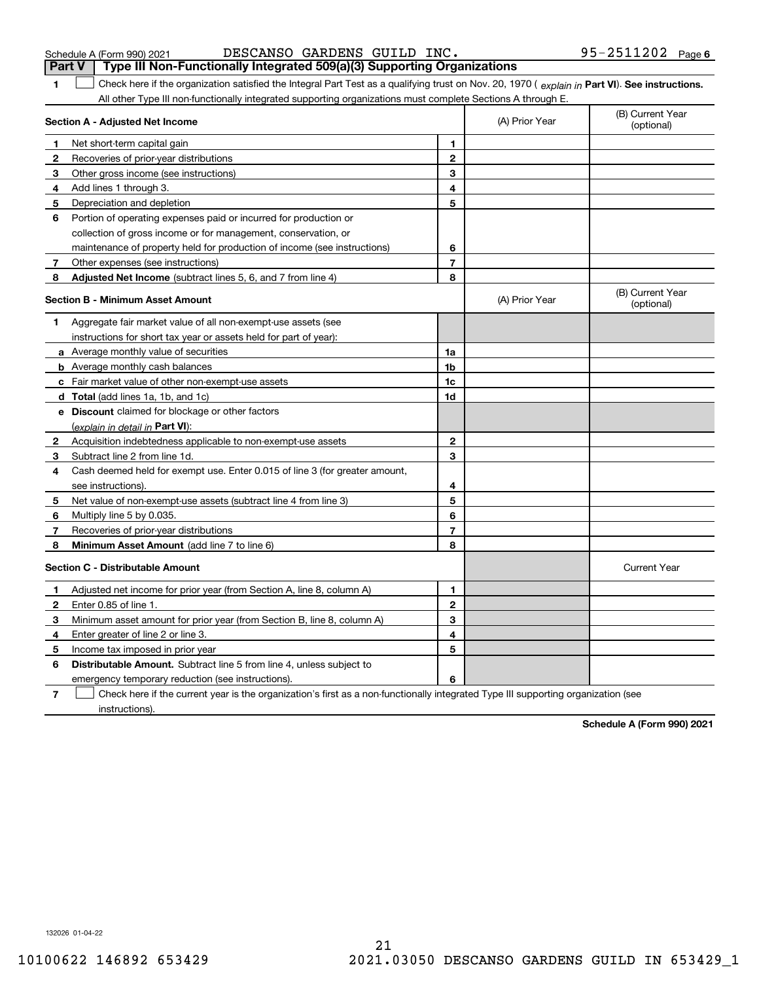| Schedule A (Form 990) 202 |  |  |  |
|---------------------------|--|--|--|
|---------------------------|--|--|--|

| Schedule A (Form 990) 2021 | DESCANSO GARDENS GUILD INC. |  | 95-2511202 | Page 6 |
|----------------------------|-----------------------------|--|------------|--------|
|                            |                             |  |            |        |

|              | <b>Part V</b><br>Type III Non-Functionally Integrated 509(a)(3) Supporting Organizations                                                       |                |                |                                |
|--------------|------------------------------------------------------------------------------------------------------------------------------------------------|----------------|----------------|--------------------------------|
| 1            | Check here if the organization satisfied the Integral Part Test as a qualifying trust on Nov. 20, 1970 (explain in Part VI). See instructions. |                |                |                                |
|              | All other Type III non-functionally integrated supporting organizations must complete Sections A through E.                                    |                |                |                                |
|              | Section A - Adjusted Net Income                                                                                                                |                | (A) Prior Year | (B) Current Year<br>(optional) |
| 1            | Net short-term capital gain                                                                                                                    | 1              |                |                                |
| 2            | Recoveries of prior-year distributions                                                                                                         | $\overline{2}$ |                |                                |
| 3            | Other gross income (see instructions)                                                                                                          | 3              |                |                                |
| 4            | Add lines 1 through 3.                                                                                                                         | 4              |                |                                |
| 5            | Depreciation and depletion                                                                                                                     | 5              |                |                                |
| 6            | Portion of operating expenses paid or incurred for production or                                                                               |                |                |                                |
|              | collection of gross income or for management, conservation, or                                                                                 |                |                |                                |
|              | maintenance of property held for production of income (see instructions)                                                                       | 6              |                |                                |
| 7            | Other expenses (see instructions)                                                                                                              | $\overline{7}$ |                |                                |
| 8            | Adjusted Net Income (subtract lines 5, 6, and 7 from line 4)                                                                                   | 8              |                |                                |
|              | <b>Section B - Minimum Asset Amount</b>                                                                                                        |                | (A) Prior Year | (B) Current Year<br>(optional) |
| 1            | Aggregate fair market value of all non-exempt-use assets (see                                                                                  |                |                |                                |
|              | instructions for short tax year or assets held for part of year):                                                                              |                |                |                                |
|              | a Average monthly value of securities                                                                                                          | 1a             |                |                                |
|              | <b>b</b> Average monthly cash balances                                                                                                         | 1b             |                |                                |
|              | c Fair market value of other non-exempt-use assets                                                                                             | 1c             |                |                                |
|              | d Total (add lines 1a, 1b, and 1c)                                                                                                             | 1d             |                |                                |
|              | e Discount claimed for blockage or other factors                                                                                               |                |                |                                |
|              | (explain in detail in Part VI):                                                                                                                |                |                |                                |
| $\mathbf{2}$ | Acquisition indebtedness applicable to non-exempt-use assets                                                                                   | $\mathbf{2}$   |                |                                |
| 3            | Subtract line 2 from line 1d.                                                                                                                  | 3              |                |                                |
| 4            | Cash deemed held for exempt use. Enter 0.015 of line 3 (for greater amount,                                                                    |                |                |                                |
|              | see instructions).                                                                                                                             | 4              |                |                                |
| 5            | Net value of non-exempt-use assets (subtract line 4 from line 3)                                                                               | 5              |                |                                |
| 6            | Multiply line 5 by 0.035.                                                                                                                      | 6              |                |                                |
| 7            | Recoveries of prior-year distributions                                                                                                         | $\overline{7}$ |                |                                |
| 8            | Minimum Asset Amount (add line 7 to line 6)                                                                                                    | 8              |                |                                |
|              | <b>Section C - Distributable Amount</b>                                                                                                        |                |                | <b>Current Year</b>            |
| 1.           | Adjusted net income for prior year (from Section A, line 8, column A)                                                                          | $\mathbf{1}$   |                |                                |
| $\mathbf{2}$ | Enter 0.85 of line 1.                                                                                                                          | $\mathbf{2}$   |                |                                |
| 3            | Minimum asset amount for prior year (from Section B, line 8, column A)                                                                         | 3              |                |                                |
| 4            | Enter greater of line 2 or line 3.                                                                                                             | 4              |                |                                |
| 5            | Income tax imposed in prior year                                                                                                               | 5              |                |                                |
| 6            | <b>Distributable Amount.</b> Subtract line 5 from line 4, unless subject to                                                                    |                |                |                                |
|              | emergency temporary reduction (see instructions).                                                                                              | 6              |                |                                |
|              |                                                                                                                                                |                |                |                                |

**7**Check here if the current year is the organization's first as a non-functionally integrated Type III supporting organization (see instructions).

**Schedule A (Form 990) 2021**

132026 01-04-22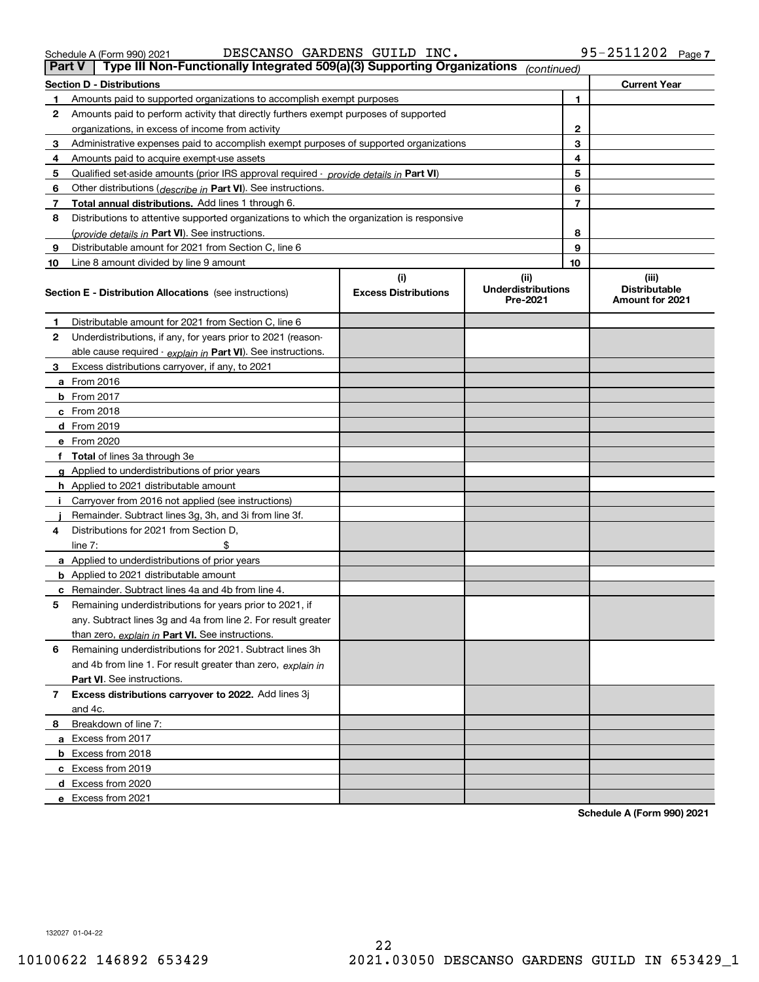**3**

| 8  | Distributions to attentive supported organizations to which the organization is responsive |                                    |                                               |    |                                                  |
|----|--------------------------------------------------------------------------------------------|------------------------------------|-----------------------------------------------|----|--------------------------------------------------|
|    | (provide details in Part VI). See instructions.                                            | 8                                  |                                               |    |                                                  |
| 9  | Distributable amount for 2021 from Section C, line 6                                       |                                    |                                               | 9  |                                                  |
| 10 | Line 8 amount divided by line 9 amount                                                     |                                    |                                               | 10 |                                                  |
|    | <b>Section E - Distribution Allocations</b> (see instructions)                             | (i)<br><b>Excess Distributions</b> | (ii)<br><b>Underdistributions</b><br>Pre-2021 |    | (iii)<br><b>Distributable</b><br>Amount for 2021 |
| 1  | Distributable amount for 2021 from Section C, line 6                                       |                                    |                                               |    |                                                  |
| 2  | Underdistributions, if any, for years prior to 2021 (reason-                               |                                    |                                               |    |                                                  |
|    | able cause required - explain in Part VI). See instructions.                               |                                    |                                               |    |                                                  |
| 3  | Excess distributions carryover, if any, to 2021                                            |                                    |                                               |    |                                                  |
|    | a From 2016                                                                                |                                    |                                               |    |                                                  |
| b  | From 2017                                                                                  |                                    |                                               |    |                                                  |
|    | c From 2018                                                                                |                                    |                                               |    |                                                  |
|    | d From 2019                                                                                |                                    |                                               |    |                                                  |
|    | e From 2020                                                                                |                                    |                                               |    |                                                  |
| f  | Total of lines 3a through 3e                                                               |                                    |                                               |    |                                                  |
|    | g Applied to underdistributions of prior years                                             |                                    |                                               |    |                                                  |
|    | h Applied to 2021 distributable amount                                                     |                                    |                                               |    |                                                  |
|    | Carryover from 2016 not applied (see instructions)                                         |                                    |                                               |    |                                                  |
|    | Remainder. Subtract lines 3g, 3h, and 3i from line 3f.                                     |                                    |                                               |    |                                                  |
| 4  | Distributions for 2021 from Section D,                                                     |                                    |                                               |    |                                                  |
|    | line $7:$                                                                                  |                                    |                                               |    |                                                  |
|    | a Applied to underdistributions of prior years                                             |                                    |                                               |    |                                                  |
|    | <b>b</b> Applied to 2021 distributable amount                                              |                                    |                                               |    |                                                  |
|    | c Remainder. Subtract lines 4a and 4b from line 4.                                         |                                    |                                               |    |                                                  |
| 5  | Remaining underdistributions for years prior to 2021, if                                   |                                    |                                               |    |                                                  |
|    | any. Subtract lines 3g and 4a from line 2. For result greater                              |                                    |                                               |    |                                                  |
|    | than zero, explain in Part VI. See instructions.                                           |                                    |                                               |    |                                                  |
| 6  | Remaining underdistributions for 2021. Subtract lines 3h                                   |                                    |                                               |    |                                                  |
|    | and 4b from line 1. For result greater than zero, explain in                               |                                    |                                               |    |                                                  |
|    | <b>Part VI.</b> See instructions.                                                          |                                    |                                               |    |                                                  |
| 7  | Excess distributions carryover to 2022. Add lines 3j                                       |                                    |                                               |    |                                                  |

**1** Amounts paid to supported organizations to accomplish exempt purposes

**4**Amounts paid to acquire exempt-use assets

organizations, in excess of income from activity

**6** Other distributions ( *describe in* Part VI). See instructions. **7Total annual distributions.** Add lines 1 through 6.

**2**Amounts paid to perform activity that directly furthers exempt purposes of supported

Administrative expenses paid to accomplish exempt purposes of supported organizations

**5** Qualified set-aside amounts (prior IRS approval required - *provide details in* Part VI)

**Section D - Distributions Current Year**

**1**

**Schedule A (Form 990) 2021**

132027 01-04-22

**8**Breakdown of line 7:

and 4c.

**a** Excess from 2017 **b** Excess from 2018 **c**Excess from 2019 **d**Excess from 2020 **e**Excess from 2021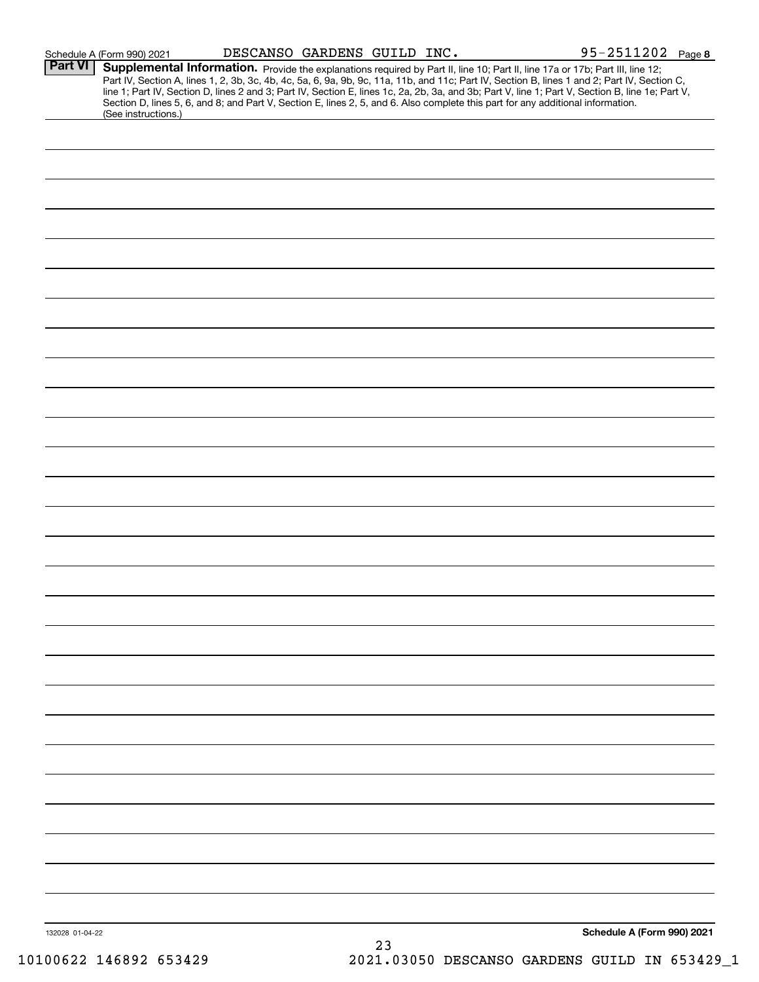|                 | Schedule A (Form 990) 2021                                                                                                                             | DESCANSO GARDENS GUILD INC. |  | 95-2511202 Page 8                                                                                                                                                                                                                                                                                                                                                                                                                 |  |
|-----------------|--------------------------------------------------------------------------------------------------------------------------------------------------------|-----------------------------|--|-----------------------------------------------------------------------------------------------------------------------------------------------------------------------------------------------------------------------------------------------------------------------------------------------------------------------------------------------------------------------------------------------------------------------------------|--|
| <b>Part VI</b>  |                                                                                                                                                        |                             |  | Supplemental Information. Provide the explanations required by Part II, line 10; Part II, line 17a or 17b; Part III, line 12;<br>Part IV, Section A, lines 1, 2, 3b, 3c, 4b, 4c, 5a, 6, 9a, 9b, 9c, 11a, 11b, and 11c; Part IV, Section B, lines 1 and 2; Part IV, Section C,<br>line 1; Part IV, Section D, lines 2 and 3; Part IV, Section E, lines 1c, 2a, 2b, 3a, and 3b; Part V, line 1; Part V, Section B, line 1e; Part V, |  |
|                 | Section D, lines 5, 6, and 8; and Part V, Section E, lines 2, 5, and 6. Also complete this part for any additional information.<br>(See instructions.) |                             |  |                                                                                                                                                                                                                                                                                                                                                                                                                                   |  |
|                 |                                                                                                                                                        |                             |  |                                                                                                                                                                                                                                                                                                                                                                                                                                   |  |
|                 |                                                                                                                                                        |                             |  |                                                                                                                                                                                                                                                                                                                                                                                                                                   |  |
|                 |                                                                                                                                                        |                             |  |                                                                                                                                                                                                                                                                                                                                                                                                                                   |  |
|                 |                                                                                                                                                        |                             |  |                                                                                                                                                                                                                                                                                                                                                                                                                                   |  |
|                 |                                                                                                                                                        |                             |  |                                                                                                                                                                                                                                                                                                                                                                                                                                   |  |
|                 |                                                                                                                                                        |                             |  |                                                                                                                                                                                                                                                                                                                                                                                                                                   |  |
|                 |                                                                                                                                                        |                             |  |                                                                                                                                                                                                                                                                                                                                                                                                                                   |  |
|                 |                                                                                                                                                        |                             |  |                                                                                                                                                                                                                                                                                                                                                                                                                                   |  |
|                 |                                                                                                                                                        |                             |  |                                                                                                                                                                                                                                                                                                                                                                                                                                   |  |
|                 |                                                                                                                                                        |                             |  |                                                                                                                                                                                                                                                                                                                                                                                                                                   |  |
|                 |                                                                                                                                                        |                             |  |                                                                                                                                                                                                                                                                                                                                                                                                                                   |  |
|                 |                                                                                                                                                        |                             |  |                                                                                                                                                                                                                                                                                                                                                                                                                                   |  |
|                 |                                                                                                                                                        |                             |  |                                                                                                                                                                                                                                                                                                                                                                                                                                   |  |
|                 |                                                                                                                                                        |                             |  |                                                                                                                                                                                                                                                                                                                                                                                                                                   |  |
|                 |                                                                                                                                                        |                             |  |                                                                                                                                                                                                                                                                                                                                                                                                                                   |  |
|                 |                                                                                                                                                        |                             |  |                                                                                                                                                                                                                                                                                                                                                                                                                                   |  |
|                 |                                                                                                                                                        |                             |  |                                                                                                                                                                                                                                                                                                                                                                                                                                   |  |
|                 |                                                                                                                                                        |                             |  |                                                                                                                                                                                                                                                                                                                                                                                                                                   |  |
|                 |                                                                                                                                                        |                             |  |                                                                                                                                                                                                                                                                                                                                                                                                                                   |  |
|                 |                                                                                                                                                        |                             |  |                                                                                                                                                                                                                                                                                                                                                                                                                                   |  |
|                 |                                                                                                                                                        |                             |  |                                                                                                                                                                                                                                                                                                                                                                                                                                   |  |
|                 |                                                                                                                                                        |                             |  |                                                                                                                                                                                                                                                                                                                                                                                                                                   |  |
|                 |                                                                                                                                                        |                             |  |                                                                                                                                                                                                                                                                                                                                                                                                                                   |  |
|                 |                                                                                                                                                        |                             |  |                                                                                                                                                                                                                                                                                                                                                                                                                                   |  |
|                 |                                                                                                                                                        |                             |  |                                                                                                                                                                                                                                                                                                                                                                                                                                   |  |
|                 |                                                                                                                                                        |                             |  |                                                                                                                                                                                                                                                                                                                                                                                                                                   |  |
|                 |                                                                                                                                                        |                             |  |                                                                                                                                                                                                                                                                                                                                                                                                                                   |  |
|                 |                                                                                                                                                        |                             |  |                                                                                                                                                                                                                                                                                                                                                                                                                                   |  |
|                 |                                                                                                                                                        |                             |  |                                                                                                                                                                                                                                                                                                                                                                                                                                   |  |
|                 |                                                                                                                                                        |                             |  |                                                                                                                                                                                                                                                                                                                                                                                                                                   |  |
|                 |                                                                                                                                                        |                             |  |                                                                                                                                                                                                                                                                                                                                                                                                                                   |  |
|                 |                                                                                                                                                        |                             |  |                                                                                                                                                                                                                                                                                                                                                                                                                                   |  |
|                 |                                                                                                                                                        |                             |  |                                                                                                                                                                                                                                                                                                                                                                                                                                   |  |
| 132028 01-04-22 |                                                                                                                                                        |                             |  | Schedule A (Form 990) 2021                                                                                                                                                                                                                                                                                                                                                                                                        |  |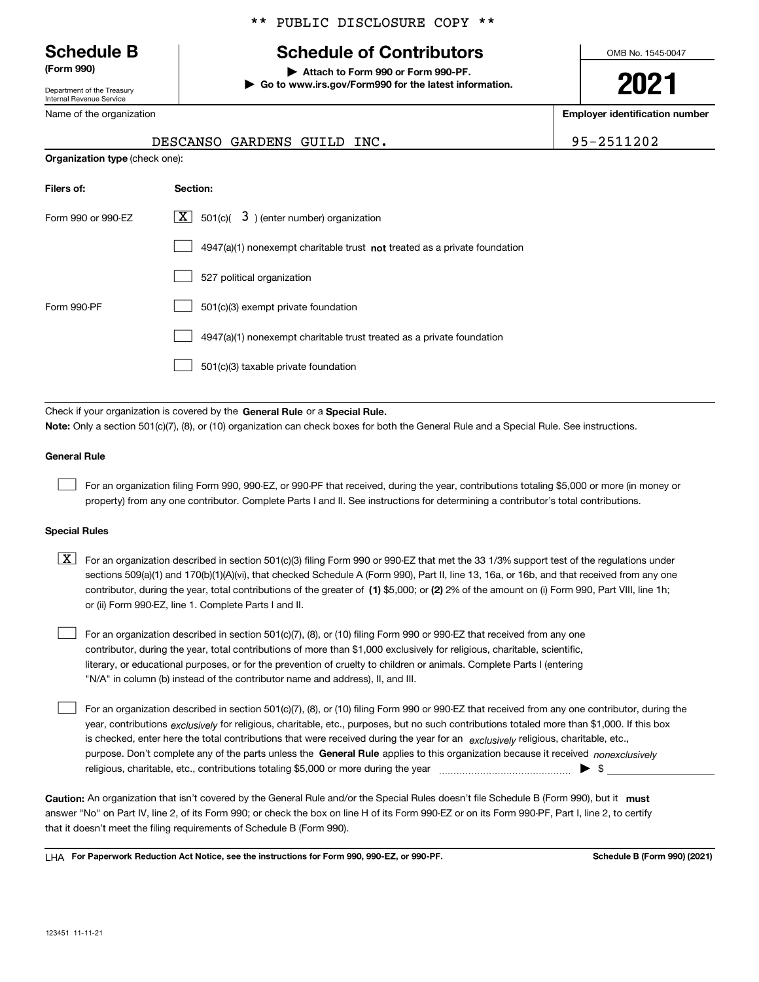Department of the Treasury Internal Revenue Service

Name of the organization

#### \*\* PUBLIC DISCLOSURE COPY \*\*

# **Schedule B Schedule of Contributors**

**(Form 990) | Attach to Form 990 or Form 990-PF. | Go to www.irs.gov/Form990 for the latest information.** OMB No. 1545-0047

**2021**

**Employer identification number**

|  | 2511202 |  |  |  |
|--|---------|--|--|--|
|  |         |  |  |  |

|                                       | DESCANSO GARDENS GUILD INC.                                 | 95-2511202 |
|---------------------------------------|-------------------------------------------------------------|------------|
| <b>Organization type (check one):</b> |                                                             |            |
| Filers of:                            | Section:                                                    |            |
| Form 990 or 990-EZ                    | $\boxed{\mathbf{X}}$ 501(c)( 3) (enter number) organization |            |

|             | $4947(a)(1)$ nonexempt charitable trust not treated as a private foundation |
|-------------|-----------------------------------------------------------------------------|
|             | 527 political organization                                                  |
| Form 990-PF | 501(c)(3) exempt private foundation                                         |
|             | 4947(a)(1) nonexempt charitable trust treated as a private foundation       |
|             | 501(c)(3) taxable private foundation                                        |

Check if your organization is covered by the **General Rule** or a **Special Rule. Note:**  Only a section 501(c)(7), (8), or (10) organization can check boxes for both the General Rule and a Special Rule. See instructions.

#### **General Rule**

 $\mathcal{L}^{\text{max}}$ 

For an organization filing Form 990, 990-EZ, or 990-PF that received, during the year, contributions totaling \$5,000 or more (in money or property) from any one contributor. Complete Parts I and II. See instructions for determining a contributor's total contributions.

#### **Special Rules**

contributor, during the year, total contributions of the greater of (1**)** \$5,000; or (2) 2% of the amount on (i) Form 990, Part VIII, line 1h;  $\boxed{\textbf{X}}$  For an organization described in section 501(c)(3) filing Form 990 or 990-EZ that met the 33 1/3% support test of the regulations under sections 509(a)(1) and 170(b)(1)(A)(vi), that checked Schedule A (Form 990), Part II, line 13, 16a, or 16b, and that received from any one or (ii) Form 990-EZ, line 1. Complete Parts I and II.

For an organization described in section 501(c)(7), (8), or (10) filing Form 990 or 990-EZ that received from any one contributor, during the year, total contributions of more than \$1,000 exclusively for religious, charitable, scientific, literary, or educational purposes, or for the prevention of cruelty to children or animals. Complete Parts I (entering "N/A" in column (b) instead of the contributor name and address), II, and III.  $\mathcal{L}^{\text{max}}$ 

purpose. Don't complete any of the parts unless the **General Rule** applies to this organization because it received *nonexclusively* year, contributions <sub>exclusively</sub> for religious, charitable, etc., purposes, but no such contributions totaled more than \$1,000. If this box is checked, enter here the total contributions that were received during the year for an  $\;$ exclusively religious, charitable, etc., For an organization described in section 501(c)(7), (8), or (10) filing Form 990 or 990-EZ that received from any one contributor, during the religious, charitable, etc., contributions totaling \$5,000 or more during the year  $\Box$ — $\Box$   $\Box$  $\mathcal{L}^{\text{max}}$ 

Caution: An organization that isn't covered by the General Rule and/or the Special Rules doesn't file Schedule B (Form 990), but it **must** answer "No" on Part IV, line 2, of its Form 990; or check the box on line H of its Form 990-EZ or on its Form 990-PF, Part I, line 2, to certify that it doesn't meet the filing requirements of Schedule B (Form 990).

LHA For Paperwork Reduction Act Notice, see the instructions for Form 990, 990-EZ, or 990-PF. **In the act and Schedule B** (Form 990) (2021)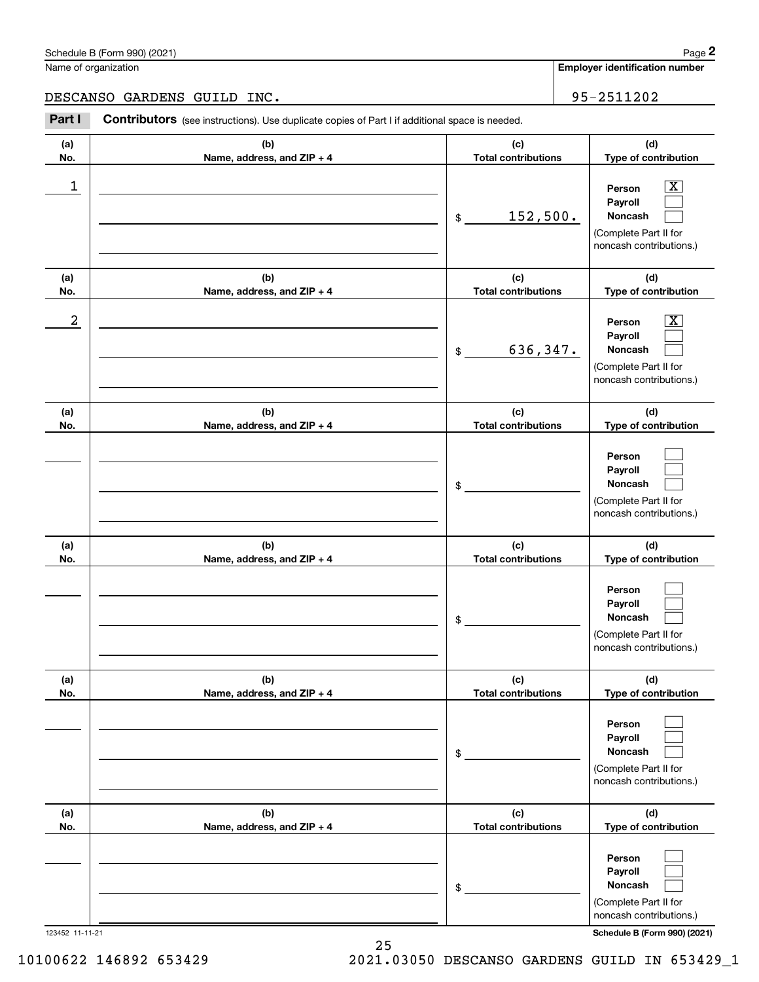|                  | Schedule B (Form 990) (2021)                                                                          |                                   | Page 2                                                                                                      |
|------------------|-------------------------------------------------------------------------------------------------------|-----------------------------------|-------------------------------------------------------------------------------------------------------------|
|                  | Name of organization                                                                                  |                                   | <b>Employer identification number</b>                                                                       |
|                  | DESCANSO GARDENS GUILD INC.                                                                           |                                   | 95-2511202                                                                                                  |
| Part I           | <b>Contributors</b> (see instructions). Use duplicate copies of Part I if additional space is needed. |                                   |                                                                                                             |
| (a)<br>No.       | (b)<br>Name, address, and ZIP + 4                                                                     | (c)<br><b>Total contributions</b> | (d)<br>Type of contribution                                                                                 |
| 1                |                                                                                                       | 152,500.<br>$\$\$                 | $\mathbf{X}$<br>Person<br>Payroll<br>Noncash<br>(Complete Part II for<br>noncash contributions.)            |
| (a)<br>No.       | (b)<br>Name, address, and ZIP + 4                                                                     | (c)<br><b>Total contributions</b> | (d)<br>Type of contribution                                                                                 |
| $\boldsymbol{2}$ |                                                                                                       | 636,347.<br>$\$\$                 | $\overline{\mathbf{X}}$<br>Person<br>Payroll<br>Noncash<br>(Complete Part II for<br>noncash contributions.) |
| (a)<br>No.       | (b)<br>Name, address, and ZIP + 4                                                                     | (c)<br><b>Total contributions</b> | (d)<br>Type of contribution                                                                                 |
|                  |                                                                                                       | \$                                | Person<br>Payroll<br>Noncash<br>(Complete Part II for<br>noncash contributions.)                            |
| (a)<br>No.       | (b)<br>Name, address, and ZIP + 4                                                                     | (c)<br><b>Total contributions</b> | (d)<br>Type of contribution                                                                                 |
|                  |                                                                                                       | \$                                | Person<br>Payroll<br>Noncash<br>(Complete Part II for<br>noncash contributions.)                            |
| (a)<br>No.       | (b)<br>Name, address, and ZIP + 4                                                                     | (c)<br><b>Total contributions</b> | (d)<br>Type of contribution                                                                                 |
|                  |                                                                                                       | \$                                | Person<br>Payroll<br>Noncash<br>(Complete Part II for<br>noncash contributions.)                            |
| (a)<br>No.       | (b)<br>Name, address, and ZIP + 4                                                                     | (c)<br><b>Total contributions</b> | (d)<br>Type of contribution                                                                                 |
|                  |                                                                                                       | \$                                | Person<br>Payroll<br>Noncash<br>(Complete Part II for<br>noncash contributions.)                            |

123452 11-11-21 **Schedule B (Form 990) (2021)**

10100622 146892 653429 2021.03050 DESCANSO GARDENS GUILD IN 653429\_1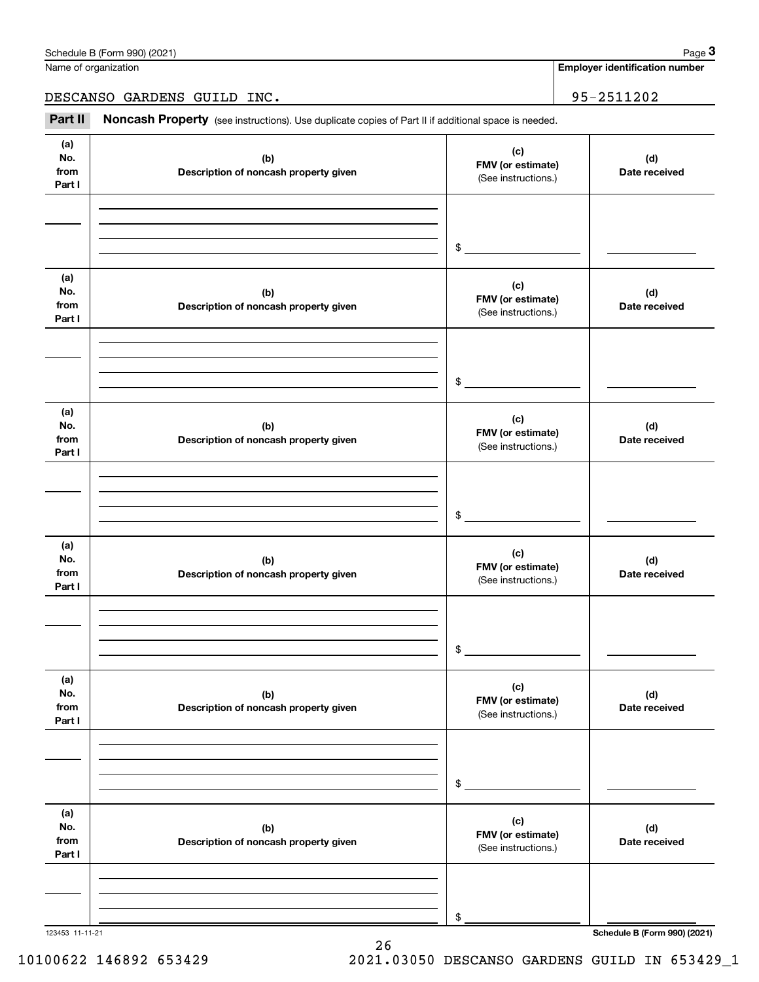| (a)<br>No.<br>from<br>Part I | (b)<br>Description of noncash property given | (c)<br>FMV (or estimate)<br>(See instructions.) | (d)<br>Date received                |
|------------------------------|----------------------------------------------|-------------------------------------------------|-------------------------------------|
|                              |                                              | \$                                              |                                     |
| (a)<br>No.<br>from<br>Part I | (b)<br>Description of noncash property given | (c)<br>FMV (or estimate)<br>(See instructions.) | (d)<br>Date received                |
|                              |                                              | \$                                              |                                     |
| (a)<br>No.<br>from<br>Part I | (b)<br>Description of noncash property given | (c)<br>FMV (or estimate)<br>(See instructions.) | (d)<br>Date received                |
|                              |                                              | \$                                              |                                     |
| (a)<br>No.<br>from<br>Part I | (b)<br>Description of noncash property given | (c)<br>FMV (or estimate)<br>(See instructions.) | (d)<br>Date received                |
|                              |                                              | \$                                              |                                     |
| (a)<br>No.<br>from<br>Part I | (b)<br>Description of noncash property given | (c)<br>FMV (or estimate)<br>(See instructions.) | (d)<br>Date received                |
|                              |                                              | \$                                              |                                     |
| (a)<br>No.<br>from<br>Part I | (b)<br>Description of noncash property given | (c)<br>FMV (or estimate)<br>(See instructions.) | (d)<br>Date received                |
|                              |                                              | \$                                              |                                     |
| 123453 11-11-21              |                                              |                                                 | <b>Schedule B (Form 990) (2021)</b> |

26

Name of organization

**Employer identification number** Chedule B (Form 990) (2021)<br>
lame of organization<br> **3Part II Noncash Property** (see instructions). Use duplicate copies of Part II if additional space is needed.<br> **Part II Noncash Property** (see instructions). Use dupl

DESCANSO GARDENS GUILD INC. 95-2511202

Τ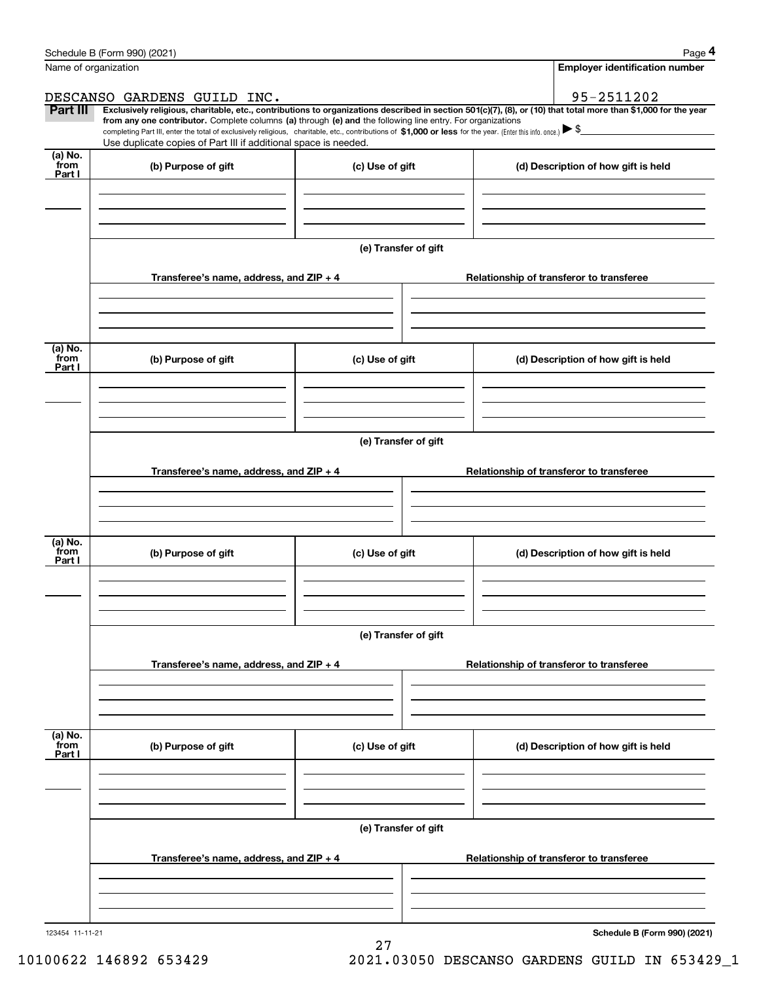|                           | Schedule B (Form 990) (2021)                                                                                                                                                                                                                                                                    |                      |                                          | Page 4                                   |  |  |  |
|---------------------------|-------------------------------------------------------------------------------------------------------------------------------------------------------------------------------------------------------------------------------------------------------------------------------------------------|----------------------|------------------------------------------|------------------------------------------|--|--|--|
|                           | Name of organization                                                                                                                                                                                                                                                                            |                      |                                          | <b>Employer identification number</b>    |  |  |  |
|                           | DESCANSO GARDENS GUILD INC.                                                                                                                                                                                                                                                                     |                      |                                          | 95-2511202                               |  |  |  |
| Part III                  | Exclusively religious, charitable, etc., contributions to organizations described in section 501(c)(7), (8), or (10) that total more than \$1,000 for the year                                                                                                                                  |                      |                                          |                                          |  |  |  |
|                           | from any one contributor. Complete columns (a) through (e) and the following line entry. For organizations<br>completing Part III, enter the total of exclusively religious, charitable, etc., contributions of \$1,000 or less for the year. (Enter this info. once.) $\blacktriangleright$ \$ |                      |                                          |                                          |  |  |  |
|                           | Use duplicate copies of Part III if additional space is needed.                                                                                                                                                                                                                                 |                      |                                          |                                          |  |  |  |
| (a) No.<br>from<br>Part I | (b) Purpose of gift                                                                                                                                                                                                                                                                             | (c) Use of gift      |                                          | (d) Description of how gift is held      |  |  |  |
|                           |                                                                                                                                                                                                                                                                                                 |                      |                                          |                                          |  |  |  |
|                           |                                                                                                                                                                                                                                                                                                 |                      |                                          |                                          |  |  |  |
|                           |                                                                                                                                                                                                                                                                                                 | (e) Transfer of gift |                                          |                                          |  |  |  |
|                           | Transferee's name, address, and ZIP + 4                                                                                                                                                                                                                                                         |                      |                                          | Relationship of transferor to transferee |  |  |  |
| (a) No.                   |                                                                                                                                                                                                                                                                                                 |                      |                                          |                                          |  |  |  |
| from<br>Part I            | (b) Purpose of gift                                                                                                                                                                                                                                                                             | (c) Use of gift      |                                          | (d) Description of how gift is held      |  |  |  |
|                           |                                                                                                                                                                                                                                                                                                 |                      |                                          |                                          |  |  |  |
|                           | (e) Transfer of gift                                                                                                                                                                                                                                                                            |                      |                                          |                                          |  |  |  |
|                           | Transferee's name, address, and $ZIP + 4$                                                                                                                                                                                                                                                       |                      |                                          | Relationship of transferor to transferee |  |  |  |
|                           |                                                                                                                                                                                                                                                                                                 |                      |                                          |                                          |  |  |  |
| (a) No.                   |                                                                                                                                                                                                                                                                                                 |                      |                                          |                                          |  |  |  |
| from<br>Part I            | (b) Purpose of gift                                                                                                                                                                                                                                                                             | (c) Use of gift      |                                          | (d) Description of how gift is held      |  |  |  |
|                           |                                                                                                                                                                                                                                                                                                 |                      |                                          |                                          |  |  |  |
|                           |                                                                                                                                                                                                                                                                                                 | (e) Transfer of gift |                                          |                                          |  |  |  |
|                           | Transferee's name, address, and ZIP + 4                                                                                                                                                                                                                                                         |                      | Relationship of transferor to transferee |                                          |  |  |  |
|                           |                                                                                                                                                                                                                                                                                                 |                      |                                          |                                          |  |  |  |
|                           |                                                                                                                                                                                                                                                                                                 |                      |                                          |                                          |  |  |  |
| (a) No.<br>from<br>Part I | (b) Purpose of gift                                                                                                                                                                                                                                                                             | (c) Use of gift      |                                          | (d) Description of how gift is held      |  |  |  |
|                           |                                                                                                                                                                                                                                                                                                 |                      |                                          |                                          |  |  |  |
|                           |                                                                                                                                                                                                                                                                                                 | (e) Transfer of gift |                                          |                                          |  |  |  |
|                           |                                                                                                                                                                                                                                                                                                 |                      |                                          |                                          |  |  |  |
|                           | Transferee's name, address, and ZIP + 4                                                                                                                                                                                                                                                         |                      |                                          | Relationship of transferor to transferee |  |  |  |
|                           |                                                                                                                                                                                                                                                                                                 |                      |                                          |                                          |  |  |  |
| 123454 11-11-21           |                                                                                                                                                                                                                                                                                                 |                      |                                          | Schedule B (Form 990) (2021)             |  |  |  |

27

**Schedule B (Form 990) (2021)**

10100622 146892 653429 2021.03050 DESCANSO GARDENS GUILD IN 653429\_1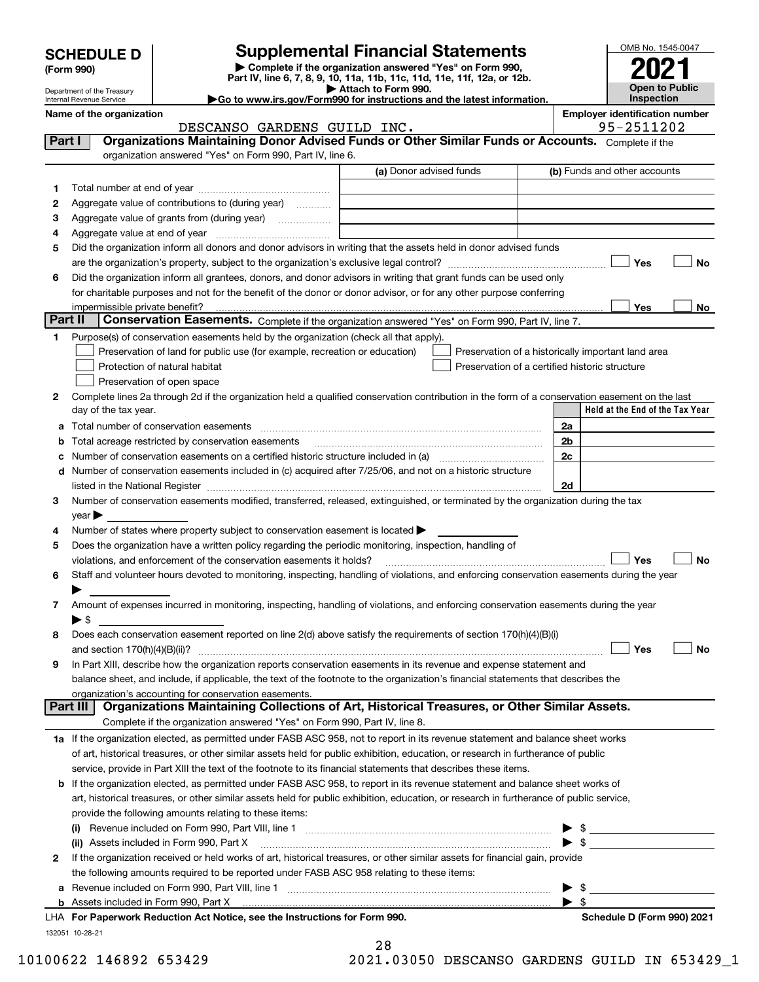| <b>SCHEDULE D</b> |  |  |
|-------------------|--|--|
|-------------------|--|--|

| (Form 990) |  |
|------------|--|
|------------|--|

## **Supplemental Financial Statements**

**| Complete if the organization answered "Yes" on Form 990, Part IV, line 6, 7, 8, 9, 10, 11a, 11b, 11c, 11d, 11e, 11f, 12a, or 12b. | Attach to Form 990.**

| OMB No. 1545-0047                   |
|-------------------------------------|
|                                     |
| 2021                                |
|                                     |
| <b>Open to Public</b><br>Inspection |
|                                     |

|         | Department of the Treasury<br>Internal Revenue Service |                                                                                                                                                                                                                                               | ▶ Attach to Form 990.<br>Go to www.irs.gov/Form990 for instructions and the latest information. |                                                    | <b>Open to Public</b><br>Inspection   |
|---------|--------------------------------------------------------|-----------------------------------------------------------------------------------------------------------------------------------------------------------------------------------------------------------------------------------------------|-------------------------------------------------------------------------------------------------|----------------------------------------------------|---------------------------------------|
|         | Name of the organization                               |                                                                                                                                                                                                                                               |                                                                                                 |                                                    | <b>Employer identification number</b> |
|         |                                                        | DESCANSO GARDENS GUILD INC.                                                                                                                                                                                                                   |                                                                                                 |                                                    | 95-2511202                            |
| Part I  |                                                        | Organizations Maintaining Donor Advised Funds or Other Similar Funds or Accounts. Complete if the                                                                                                                                             |                                                                                                 |                                                    |                                       |
|         |                                                        | organization answered "Yes" on Form 990, Part IV, line 6.                                                                                                                                                                                     |                                                                                                 |                                                    |                                       |
|         |                                                        |                                                                                                                                                                                                                                               | (a) Donor advised funds                                                                         |                                                    | (b) Funds and other accounts          |
| 1.      |                                                        |                                                                                                                                                                                                                                               |                                                                                                 |                                                    |                                       |
| 2       |                                                        | Aggregate value of contributions to (during year)                                                                                                                                                                                             |                                                                                                 |                                                    |                                       |
| з       |                                                        | Aggregate value of grants from (during year)                                                                                                                                                                                                  |                                                                                                 |                                                    |                                       |
| 4       |                                                        |                                                                                                                                                                                                                                               |                                                                                                 |                                                    |                                       |
| 5       |                                                        | Did the organization inform all donors and donor advisors in writing that the assets held in donor advised funds                                                                                                                              |                                                                                                 |                                                    |                                       |
|         |                                                        |                                                                                                                                                                                                                                               |                                                                                                 |                                                    | Yes<br>No                             |
| 6       |                                                        | Did the organization inform all grantees, donors, and donor advisors in writing that grant funds can be used only                                                                                                                             |                                                                                                 |                                                    |                                       |
|         |                                                        | for charitable purposes and not for the benefit of the donor or donor advisor, or for any other purpose conferring                                                                                                                            |                                                                                                 |                                                    |                                       |
|         | impermissible private benefit?                         |                                                                                                                                                                                                                                               |                                                                                                 |                                                    | Yes<br>No                             |
| Part II |                                                        | Conservation Easements. Complete if the organization answered "Yes" on Form 990, Part IV, line 7.                                                                                                                                             |                                                                                                 |                                                    |                                       |
| 1.      |                                                        | Purpose(s) of conservation easements held by the organization (check all that apply).                                                                                                                                                         |                                                                                                 |                                                    |                                       |
|         |                                                        | Preservation of land for public use (for example, recreation or education)                                                                                                                                                                    |                                                                                                 | Preservation of a historically important land area |                                       |
|         |                                                        | Protection of natural habitat                                                                                                                                                                                                                 |                                                                                                 | Preservation of a certified historic structure     |                                       |
|         |                                                        | Preservation of open space                                                                                                                                                                                                                    |                                                                                                 |                                                    |                                       |
| 2       | day of the tax year.                                   | Complete lines 2a through 2d if the organization held a qualified conservation contribution in the form of a conservation easement on the last                                                                                                |                                                                                                 |                                                    | Held at the End of the Tax Year       |
|         |                                                        |                                                                                                                                                                                                                                               |                                                                                                 |                                                    |                                       |
| a       |                                                        | Total number of conservation easements                                                                                                                                                                                                        |                                                                                                 | 2a                                                 |                                       |
| b       |                                                        | Total acreage restricted by conservation easements                                                                                                                                                                                            |                                                                                                 | 2b<br>2c                                           |                                       |
| c       |                                                        | Number of conservation easements included in (c) acquired after 7/25/06, and not on a historic structure                                                                                                                                      |                                                                                                 |                                                    |                                       |
| d       |                                                        | listed in the National Register [111] Marshall Register [11] Marshall Register [11] Marshall Register [11] Marshall Register [11] Marshall Register [11] Marshall Register [11] Marshall Register [11] Marshall Register [11]                 |                                                                                                 | 2d                                                 |                                       |
| 3       |                                                        | Number of conservation easements modified, transferred, released, extinguished, or terminated by the organization during the tax                                                                                                              |                                                                                                 |                                                    |                                       |
|         | year                                                   |                                                                                                                                                                                                                                               |                                                                                                 |                                                    |                                       |
| 4       |                                                        | Number of states where property subject to conservation easement is located >                                                                                                                                                                 |                                                                                                 |                                                    |                                       |
| 5       |                                                        | Does the organization have a written policy regarding the periodic monitoring, inspection, handling of                                                                                                                                        |                                                                                                 |                                                    |                                       |
|         |                                                        | violations, and enforcement of the conservation easements it holds?                                                                                                                                                                           |                                                                                                 |                                                    | No<br>Yes                             |
| 6       |                                                        | Staff and volunteer hours devoted to monitoring, inspecting, handling of violations, and enforcing conservation easements during the year                                                                                                     |                                                                                                 |                                                    |                                       |
|         |                                                        |                                                                                                                                                                                                                                               |                                                                                                 |                                                    |                                       |
| 7       |                                                        | Amount of expenses incurred in monitoring, inspecting, handling of violations, and enforcing conservation easements during the year                                                                                                           |                                                                                                 |                                                    |                                       |
|         | $\blacktriangleright$ \$                               |                                                                                                                                                                                                                                               |                                                                                                 |                                                    |                                       |
| 8       |                                                        | Does each conservation easement reported on line 2(d) above satisfy the requirements of section 170(h)(4)(B)(i)                                                                                                                               |                                                                                                 |                                                    |                                       |
|         | and section 170(h)(4)(B)(ii)?                          |                                                                                                                                                                                                                                               |                                                                                                 |                                                    | Yes<br>No                             |
| 9       |                                                        | In Part XIII, describe how the organization reports conservation easements in its revenue and expense statement and                                                                                                                           |                                                                                                 |                                                    |                                       |
|         |                                                        | balance sheet, and include, if applicable, the text of the footnote to the organization's financial statements that describes the                                                                                                             |                                                                                                 |                                                    |                                       |
|         | Part III                                               | organization's accounting for conservation easements.<br>Organizations Maintaining Collections of Art, Historical Treasures, or Other Similar Assets.                                                                                         |                                                                                                 |                                                    |                                       |
|         |                                                        |                                                                                                                                                                                                                                               |                                                                                                 |                                                    |                                       |
|         |                                                        | Complete if the organization answered "Yes" on Form 990, Part IV, line 8.                                                                                                                                                                     |                                                                                                 |                                                    |                                       |
|         |                                                        | 1a If the organization elected, as permitted under FASB ASC 958, not to report in its revenue statement and balance sheet works                                                                                                               |                                                                                                 |                                                    |                                       |
|         |                                                        | of art, historical treasures, or other similar assets held for public exhibition, education, or research in furtherance of public                                                                                                             |                                                                                                 |                                                    |                                       |
|         |                                                        | service, provide in Part XIII the text of the footnote to its financial statements that describes these items.<br>If the organization elected, as permitted under FASB ASC 958, to report in its revenue statement and balance sheet works of |                                                                                                 |                                                    |                                       |
| b       |                                                        | art, historical treasures, or other similar assets held for public exhibition, education, or research in furtherance of public service,                                                                                                       |                                                                                                 |                                                    |                                       |
|         |                                                        | provide the following amounts relating to these items:                                                                                                                                                                                        |                                                                                                 |                                                    |                                       |
|         | $\mathbf{u}$                                           |                                                                                                                                                                                                                                               |                                                                                                 | \$                                                 |                                       |
|         |                                                        | (ii) Assets included in Form 990, Part X                                                                                                                                                                                                      |                                                                                                 | $\mathbb{S}$                                       |                                       |
| 2       |                                                        | If the organization received or held works of art, historical treasures, or other similar assets for financial gain, provide                                                                                                                  |                                                                                                 |                                                    |                                       |
|         |                                                        | the following amounts required to be reported under FASB ASC 958 relating to these items:                                                                                                                                                     |                                                                                                 |                                                    |                                       |
| а       |                                                        |                                                                                                                                                                                                                                               |                                                                                                 | $\blacktriangleright$ \$                           |                                       |

Assets included in Form 990, Part X

**b**

28

**For Paperwork Reduction Act Notice, see the Instructions for Form 990. Schedule D (Form 990) 2021** LHA

 $\blacktriangleright$  \$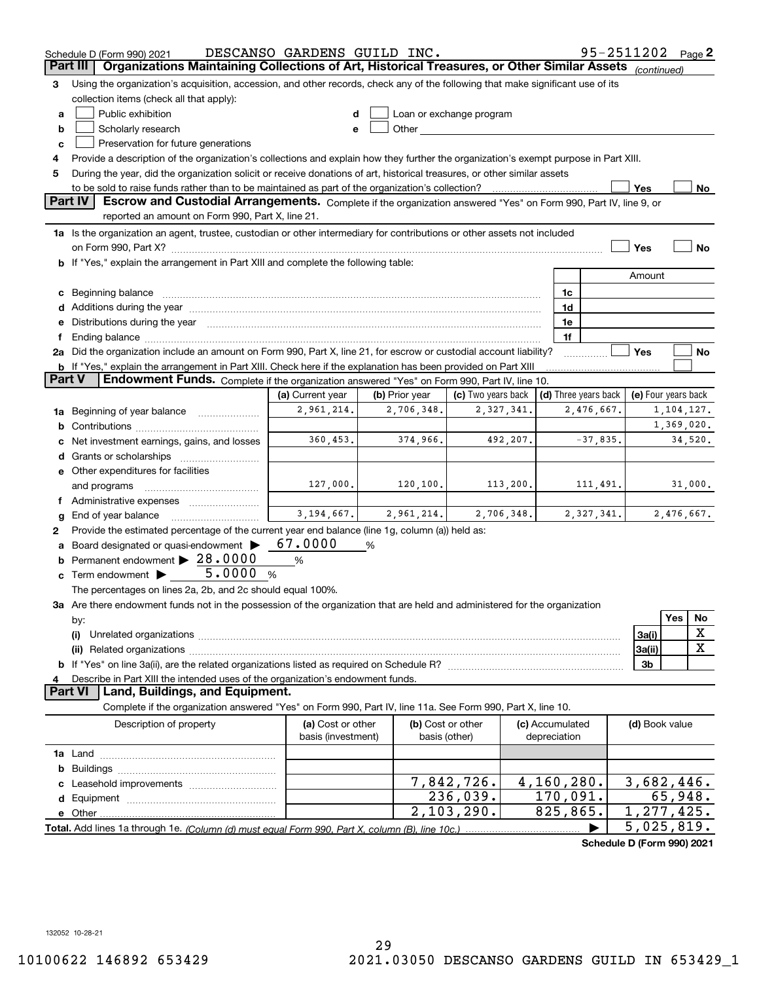|                 | Schedule D (Form 990) 2021                                                                                                                                                                                                     | DESCANSO GARDENS GUILD INC.             |                |                                    |                                 | 95-2511202 Page 2    |                         |              |             |
|-----------------|--------------------------------------------------------------------------------------------------------------------------------------------------------------------------------------------------------------------------------|-----------------------------------------|----------------|------------------------------------|---------------------------------|----------------------|-------------------------|--------------|-------------|
| <b>Part III</b> | Organizations Maintaining Collections of Art, Historical Treasures, or Other Similar Assets (continued)                                                                                                                        |                                         |                |                                    |                                 |                      |                         |              |             |
| 3               | Using the organization's acquisition, accession, and other records, check any of the following that make significant use of its                                                                                                |                                         |                |                                    |                                 |                      |                         |              |             |
|                 | collection items (check all that apply):                                                                                                                                                                                       |                                         |                |                                    |                                 |                      |                         |              |             |
| a               | Public exhibition                                                                                                                                                                                                              |                                         |                | Loan or exchange program           |                                 |                      |                         |              |             |
| b               | Scholarly research                                                                                                                                                                                                             | e                                       |                |                                    |                                 |                      |                         |              |             |
| c               | Preservation for future generations                                                                                                                                                                                            |                                         |                |                                    |                                 |                      |                         |              |             |
|                 | Provide a description of the organization's collections and explain how they further the organization's exempt purpose in Part XIII.                                                                                           |                                         |                |                                    |                                 |                      |                         |              |             |
| 5               | During the year, did the organization solicit or receive donations of art, historical treasures, or other similar assets                                                                                                       |                                         |                |                                    |                                 |                      |                         |              |             |
|                 | to be sold to raise funds rather than to be maintained as part of the organization's collection?                                                                                                                               |                                         |                |                                    |                                 |                      | Yes                     |              | No          |
| Part IV         | Escrow and Custodial Arrangements. Complete if the organization answered "Yes" on Form 990, Part IV, line 9, or                                                                                                                |                                         |                |                                    |                                 |                      |                         |              |             |
|                 | reported an amount on Form 990, Part X, line 21.                                                                                                                                                                               |                                         |                |                                    |                                 |                      |                         |              |             |
|                 | 1a Is the organization an agent, trustee, custodian or other intermediary for contributions or other assets not included                                                                                                       |                                         |                |                                    |                                 |                      |                         |              |             |
|                 |                                                                                                                                                                                                                                |                                         |                |                                    |                                 |                      | Yes                     |              | No          |
|                 | b If "Yes," explain the arrangement in Part XIII and complete the following table:                                                                                                                                             |                                         |                |                                    |                                 |                      |                         |              |             |
|                 |                                                                                                                                                                                                                                |                                         |                |                                    |                                 |                      | Amount                  |              |             |
|                 | c Beginning balance                                                                                                                                                                                                            |                                         |                |                                    | 1c                              |                      |                         |              |             |
|                 |                                                                                                                                                                                                                                |                                         |                |                                    | 1d                              |                      |                         |              |             |
|                 | e Distributions during the year manufactured and continuum and contact the year manufactured and contact the year manufactured and contact the year manufactured and contact the year manufactured and contact the year manufa |                                         |                |                                    | 1e<br>1f                        |                      |                         |              |             |
|                 | 2a Did the organization include an amount on Form 990, Part X, line 21, for escrow or custodial account liability?                                                                                                             |                                         |                |                                    |                                 |                      | Yes                     |              | No          |
|                 | <b>b</b> If "Yes," explain the arrangement in Part XIII. Check here if the explanation has been provided on Part XIII                                                                                                          |                                         |                |                                    |                                 |                      |                         |              |             |
| <b>Part V</b>   | Endowment Funds. Complete if the organization answered "Yes" on Form 990, Part IV, line 10.                                                                                                                                    |                                         |                |                                    |                                 |                      |                         |              |             |
|                 |                                                                                                                                                                                                                                | (a) Current year                        | (b) Prior year | (c) Two years back                 |                                 | (d) Three years back | (e) Four years back     |              |             |
|                 | 1a Beginning of year balance                                                                                                                                                                                                   | 2,961,214.                              | 2,706,348.     | 2,327,341.                         |                                 | 2,476,667.           |                         | 1, 104, 127. |             |
| b               |                                                                                                                                                                                                                                |                                         |                |                                    |                                 |                      | 1,369,020.              |              |             |
|                 | Net investment earnings, gains, and losses                                                                                                                                                                                     | 360,453.                                | 374,966.       | 492,207.                           | $-37,835.$                      |                      |                         |              | 34,520.     |
|                 | Grants or scholarships                                                                                                                                                                                                         |                                         |                |                                    |                                 |                      |                         |              |             |
|                 | e Other expenditures for facilities                                                                                                                                                                                            |                                         |                |                                    |                                 |                      |                         |              |             |
|                 | and programs                                                                                                                                                                                                                   | 127,000.                                | 120, 100.      | 113,200.                           |                                 | 111,491.             |                         |              | 31,000.     |
|                 | Administrative expenses                                                                                                                                                                                                        |                                         |                |                                    |                                 |                      |                         |              |             |
|                 | End of year balance                                                                                                                                                                                                            | 3, 194, 667.                            | 2,961,214.     | 2,706,348.                         |                                 | 2,327,341.           |                         | 2,476,667.   |             |
| 2               | Provide the estimated percentage of the current year end balance (line 1g, column (a)) held as:                                                                                                                                |                                         |                |                                    |                                 |                      |                         |              |             |
|                 | Board designated or quasi-endowment                                                                                                                                                                                            | 67.0000                                 | %              |                                    |                                 |                      |                         |              |             |
| b               | Permanent endowment > 28.0000                                                                                                                                                                                                  | %                                       |                |                                    |                                 |                      |                         |              |             |
| c               | 5.0000<br>Term endowment >                                                                                                                                                                                                     | %                                       |                |                                    |                                 |                      |                         |              |             |
|                 | The percentages on lines 2a, 2b, and 2c should equal 100%.                                                                                                                                                                     |                                         |                |                                    |                                 |                      |                         |              |             |
|                 | <b>3a</b> Are there endowment funds not in the possession of the organization that are held and administered for the organization                                                                                              |                                         |                |                                    |                                 |                      |                         |              |             |
|                 | by:                                                                                                                                                                                                                            |                                         |                |                                    |                                 |                      |                         | <b>Yes</b>   | No          |
|                 | (i)                                                                                                                                                                                                                            |                                         |                |                                    |                                 |                      | 3a(i)                   |              | X           |
|                 | (ii)                                                                                                                                                                                                                           |                                         |                |                                    |                                 |                      | 3a(ii)                  |              | $\mathbf X$ |
|                 |                                                                                                                                                                                                                                |                                         |                |                                    |                                 |                      | 3b                      |              |             |
|                 | Describe in Part XIII the intended uses of the organization's endowment funds.                                                                                                                                                 |                                         |                |                                    |                                 |                      |                         |              |             |
|                 | Land, Buildings, and Equipment.<br><b>Part VI</b>                                                                                                                                                                              |                                         |                |                                    |                                 |                      |                         |              |             |
|                 | Complete if the organization answered "Yes" on Form 990, Part IV, line 11a. See Form 990, Part X, line 10.                                                                                                                     |                                         |                |                                    |                                 |                      |                         |              |             |
|                 | Description of property                                                                                                                                                                                                        | (a) Cost or other<br>basis (investment) |                | (b) Cost or other<br>basis (other) | (c) Accumulated<br>depreciation |                      | (d) Book value          |              |             |
|                 |                                                                                                                                                                                                                                |                                         |                |                                    |                                 |                      |                         |              |             |
| b               |                                                                                                                                                                                                                                |                                         |                |                                    |                                 |                      |                         |              |             |
|                 |                                                                                                                                                                                                                                |                                         |                | 7,842,726.                         | 4,160,280.                      |                      | 3,682,446.              |              |             |
|                 |                                                                                                                                                                                                                                |                                         |                | $\overline{236}$ , 039.            | 170,091.                        |                      |                         | 65,948.      |             |
|                 |                                                                                                                                                                                                                                |                                         |                | 2, 103, 290.                       | 825, 865.                       |                      | 1,277,425.              |              |             |
|                 |                                                                                                                                                                                                                                |                                         |                |                                    |                                 |                      | 5,025,819.              |              |             |
|                 |                                                                                                                                                                                                                                |                                         |                |                                    |                                 |                      | <b>B</b> (F.  000) 0004 |              |             |

**Schedule D (Form 990) 2021**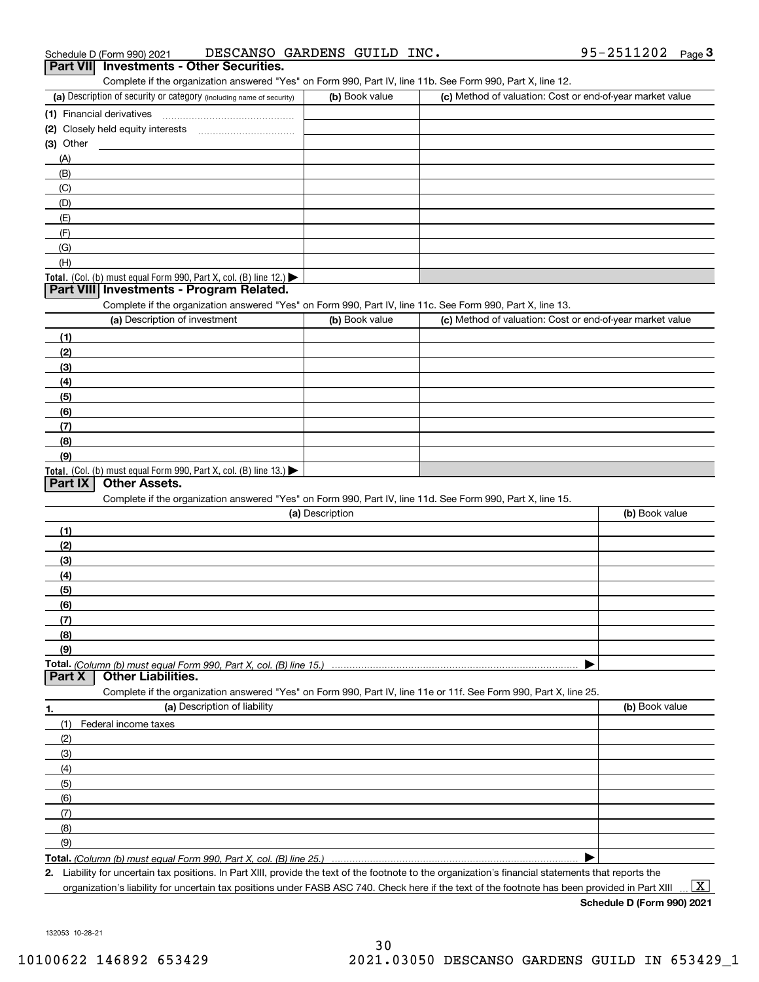| (a) Description of security or category (including name of security)                                                                                 | (b) Book value  | (c) Method of valuation: Cost or end-of-year market value |                    |
|------------------------------------------------------------------------------------------------------------------------------------------------------|-----------------|-----------------------------------------------------------|--------------------|
| (1) Financial derivatives                                                                                                                            |                 |                                                           |                    |
| (2) Closely held equity interests                                                                                                                    |                 |                                                           |                    |
| (3) Other                                                                                                                                            |                 |                                                           |                    |
| (A)                                                                                                                                                  |                 |                                                           |                    |
| (B)                                                                                                                                                  |                 |                                                           |                    |
| (C)                                                                                                                                                  |                 |                                                           |                    |
| (D)                                                                                                                                                  |                 |                                                           |                    |
| (E)                                                                                                                                                  |                 |                                                           |                    |
| (F)                                                                                                                                                  |                 |                                                           |                    |
| (G)                                                                                                                                                  |                 |                                                           |                    |
| (H)                                                                                                                                                  |                 |                                                           |                    |
| Total. (Col. (b) must equal Form 990, Part X, col. (B) line 12.)                                                                                     |                 |                                                           |                    |
| Part VIII Investments - Program Related.                                                                                                             |                 |                                                           |                    |
| Complete if the organization answered "Yes" on Form 990, Part IV, line 11c. See Form 990, Part X, line 13.                                           |                 |                                                           |                    |
| (a) Description of investment                                                                                                                        | (b) Book value  | (c) Method of valuation: Cost or end-of-year market value |                    |
| (1)                                                                                                                                                  |                 |                                                           |                    |
| (2)                                                                                                                                                  |                 |                                                           |                    |
| (3)                                                                                                                                                  |                 |                                                           |                    |
| (4)                                                                                                                                                  |                 |                                                           |                    |
| (5)                                                                                                                                                  |                 |                                                           |                    |
| (6)                                                                                                                                                  |                 |                                                           |                    |
|                                                                                                                                                      |                 |                                                           |                    |
| (7)                                                                                                                                                  |                 |                                                           |                    |
| (8)                                                                                                                                                  |                 |                                                           |                    |
| (9)                                                                                                                                                  |                 |                                                           |                    |
| <b>Total.</b> (Col. (b) must equal Form 990, Part X, col. (B) line 13.)<br><b>Other Assets.</b><br>Part IX                                           |                 |                                                           |                    |
|                                                                                                                                                      |                 |                                                           |                    |
|                                                                                                                                                      |                 |                                                           |                    |
| Complete if the organization answered "Yes" on Form 990, Part IV, line 11d. See Form 990, Part X, line 15.                                           |                 |                                                           |                    |
|                                                                                                                                                      | (a) Description |                                                           | (b) Book value     |
| (1)                                                                                                                                                  |                 |                                                           |                    |
| (2)                                                                                                                                                  |                 |                                                           |                    |
| (3)                                                                                                                                                  |                 |                                                           |                    |
| (4)                                                                                                                                                  |                 |                                                           |                    |
| (5)                                                                                                                                                  |                 |                                                           |                    |
| (6)                                                                                                                                                  |                 |                                                           |                    |
| (7)                                                                                                                                                  |                 |                                                           |                    |
| (8)                                                                                                                                                  |                 |                                                           |                    |
| (9)                                                                                                                                                  |                 |                                                           |                    |
|                                                                                                                                                      |                 |                                                           |                    |
| <b>Other Liabilities.</b><br>Part X                                                                                                                  |                 |                                                           |                    |
| Complete if the organization answered "Yes" on Form 990, Part IV, line 11e or 11f. See Form 990, Part X, line 25.                                    |                 |                                                           |                    |
| (a) Description of liability<br>1.                                                                                                                   |                 |                                                           | (b) Book value     |
| Federal income taxes<br>(1)                                                                                                                          |                 |                                                           |                    |
| (2)                                                                                                                                                  |                 |                                                           |                    |
| (3)                                                                                                                                                  |                 |                                                           |                    |
| (4)                                                                                                                                                  |                 |                                                           |                    |
| (5)                                                                                                                                                  |                 |                                                           |                    |
| (6)                                                                                                                                                  |                 |                                                           |                    |
| (7)                                                                                                                                                  |                 |                                                           |                    |
| (8)                                                                                                                                                  |                 |                                                           |                    |
| (9)                                                                                                                                                  |                 |                                                           |                    |
|                                                                                                                                                      |                 |                                                           |                    |
| 2. Liability for uncertain tax positions. In Part XIII, provide the text of the footnote to the organization's financial statements that reports the |                 |                                                           | $\boxed{\text{X}}$ |

**Schedule D (Form 990) 2021**

132053 10-28-21

# Schedule D (Form 990) 2021 DESCANSO GARDENS GUILD INC **.** 95-2511202 <sub>Page</sub> 3<br>| **Part VII** | Investments - Other Securities.

| Part VIII Investments - Other Securities.                                                                  |                |                                                 |
|------------------------------------------------------------------------------------------------------------|----------------|-------------------------------------------------|
| Complete if the organization answered "Yes" on Form 990, Part IV, line 11b. See Form 990, Part X, line 12. |                |                                                 |
| (a) Description of security or category (including name of security)                                       | (b) Book value | (c) Method of valuation: Cost or end-of-year ma |
|                                                                                                            |                |                                                 |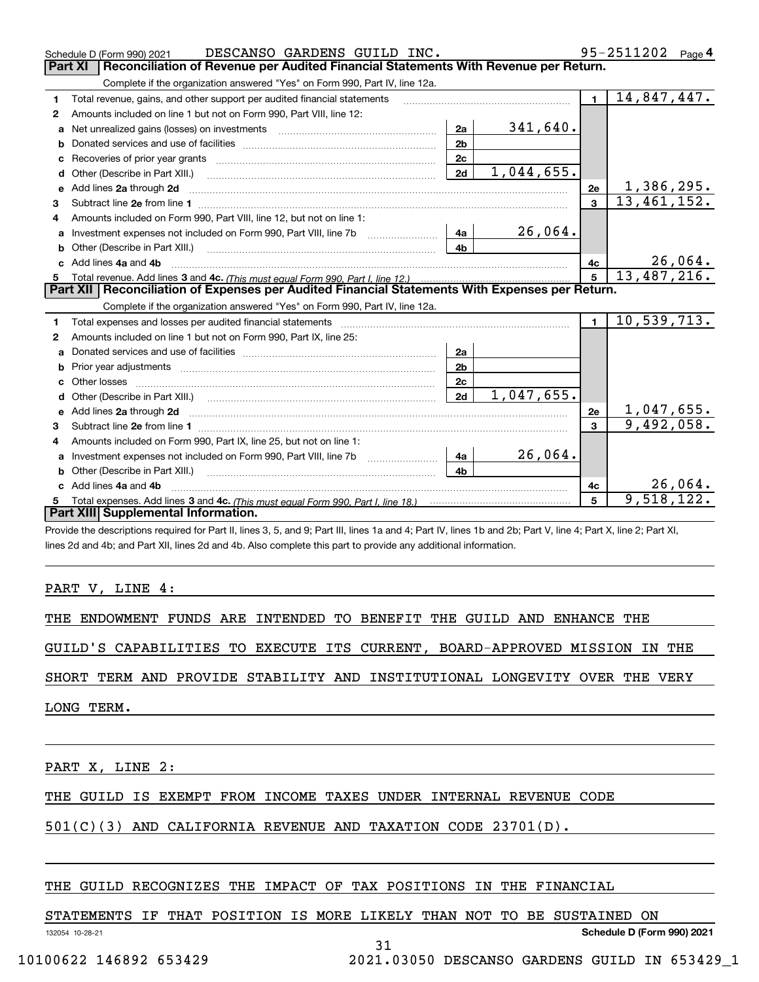|    | DESCANSO GARDENS GUILD INC.<br>Schedule D (Form 990) 2021                                                                                                                                                                           |                 | $95 - 2511202$ Page 4                             |
|----|-------------------------------------------------------------------------------------------------------------------------------------------------------------------------------------------------------------------------------------|-----------------|---------------------------------------------------|
|    | Reconciliation of Revenue per Audited Financial Statements With Revenue per Return.<br><b>Part XI</b>                                                                                                                               |                 |                                                   |
|    | Complete if the organization answered "Yes" on Form 990, Part IV, line 12a.                                                                                                                                                         |                 |                                                   |
| 1  | Total revenue, gains, and other support per audited financial statements                                                                                                                                                            | $\blacksquare$  | 14,847,447.                                       |
| 2  | Amounts included on line 1 but not on Form 990, Part VIII, line 12:                                                                                                                                                                 |                 |                                                   |
| a  | 341,640.<br>2a                                                                                                                                                                                                                      |                 |                                                   |
|    | 2 <sub>b</sub>                                                                                                                                                                                                                      |                 |                                                   |
| c  | 2c                                                                                                                                                                                                                                  |                 |                                                   |
| d  | 1,044,655.<br>2d<br>Other (Describe in Part XIII.)                                                                                                                                                                                  |                 |                                                   |
| e  | Add lines 2a through 2d <b>contained a contained a contained a contained a</b> contained a contained a contained a contained a contained a contained a contained a contained a contained a contained a contained a contained a cont | 2e              | 1,386,295.                                        |
| 3  |                                                                                                                                                                                                                                     | $\overline{3}$  | $\overline{13}, \overline{461}, \overline{152}$ . |
| 4  | Amounts included on Form 990, Part VIII, line 12, but not on line 1:                                                                                                                                                                |                 |                                                   |
|    | 26,064.<br>4a                                                                                                                                                                                                                       |                 |                                                   |
| b  | 4 <sub>b</sub><br>Other (Describe in Part XIII.) [100] [100] [100] [100] [100] [100] [100] [100] [100] [100] [100] [100] [100] [                                                                                                    |                 |                                                   |
| c. | Add lines 4a and 4b                                                                                                                                                                                                                 | 4с              | 26,064.                                           |
| 5  |                                                                                                                                                                                                                                     | $5\overline{5}$ | 13,487,216.                                       |
|    | Part XII   Reconciliation of Expenses per Audited Financial Statements With Expenses per Return.                                                                                                                                    |                 |                                                   |
|    | Complete if the organization answered "Yes" on Form 990, Part IV, line 12a.                                                                                                                                                         |                 |                                                   |
| 1  | Total expenses and losses per audited financial statements [11] [12] contain an intervention and contain a statements [13] [13] and the statements [13] [13] and the statements [13] and the statements [13] and the statement      | $\blacksquare$  | 10,539,713.                                       |
| 2  | Amounts included on line 1 but not on Form 990, Part IX, line 25:                                                                                                                                                                   |                 |                                                   |
| a  | 2a                                                                                                                                                                                                                                  |                 |                                                   |
| b  | 2 <sub>b</sub>                                                                                                                                                                                                                      |                 |                                                   |
| C. | 2c                                                                                                                                                                                                                                  |                 |                                                   |
| d  | 1,047,655.<br>2d                                                                                                                                                                                                                    |                 |                                                   |
|    |                                                                                                                                                                                                                                     | 2e              | 1,047,655.                                        |
| 3  |                                                                                                                                                                                                                                     | $\mathbf{a}$    | 9,492,058.                                        |
| 4  | Amounts included on Form 990, Part IX, line 25, but not on line 1:                                                                                                                                                                  |                 |                                                   |
| a  | 26,064.<br>4a                                                                                                                                                                                                                       |                 |                                                   |
| b  | 4 <sub>h</sub>                                                                                                                                                                                                                      |                 |                                                   |
|    | Add lines 4a and 4b                                                                                                                                                                                                                 | 4с              | 26,064.                                           |
|    |                                                                                                                                                                                                                                     |                 |                                                   |
|    | Part XIII Supplemental Information.                                                                                                                                                                                                 | 5               | 9,518,122.                                        |

Provide the descriptions required for Part II, lines 3, 5, and 9; Part III, lines 1a and 4; Part IV, lines 1b and 2b; Part V, line 4; Part X, line 2; Part XI, lines 2d and 4b; and Part XII, lines 2d and 4b. Also complete this part to provide any additional information.

#### PART V, LINE 4:

THE ENDOWMENT FUNDS ARE INTENDED TO BENEFIT THE GUILD AND ENHANCE THE

GUILD'S CAPABILITIES TO EXECUTE ITS CURRENT, BOARD-APPROVED MISSION IN THE

SHORT TERM AND PROVIDE STABILITY AND INSTITUTIONAL LONGEVITY OVER THE VERY

LONG TERM.

PART X, LINE 2:

#### THE GUILD IS EXEMPT FROM INCOME TAXES UNDER INTERNAL REVENUE CODE

#### 501(C)(3) AND CALIFORNIA REVENUE AND TAXATION CODE 23701(D).

#### THE GUILD RECOGNIZES THE IMPACT OF TAX POSITIONS IN THE FINANCIAL

#### STATEMENTS IF THAT POSITION IS MORE LIKELY THAN NOT TO BE SUSTAINED ON

31

132054 10-28-21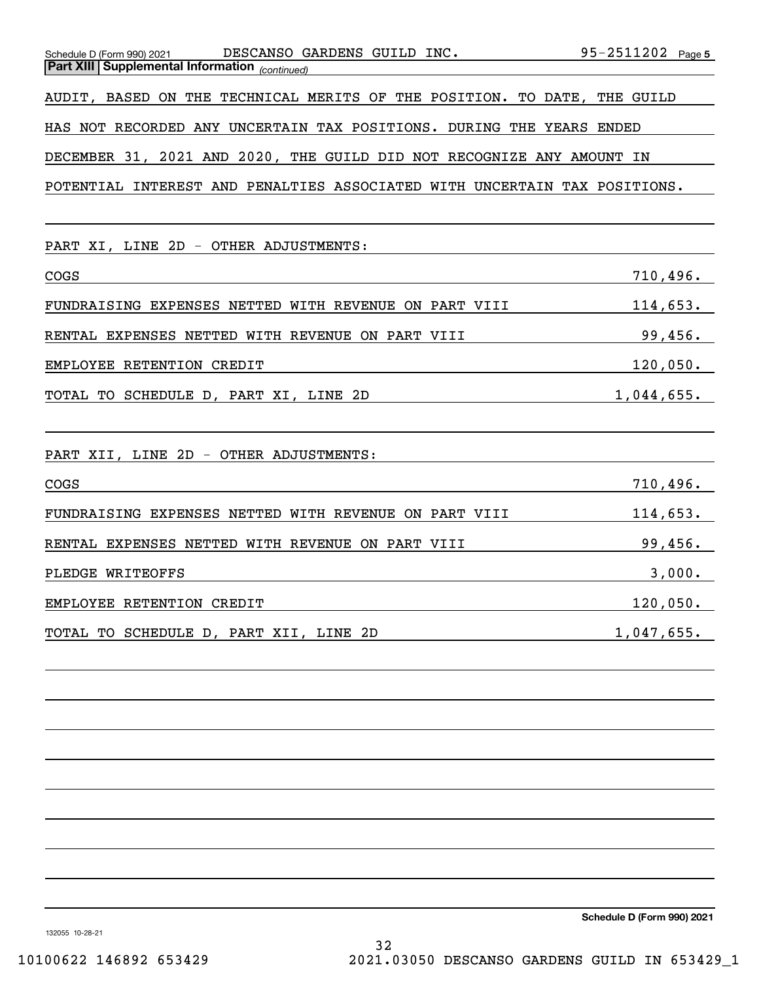| Schedule D (Form 990) 2021 DESCANSO GARDENS GUILD INC. $95-2511202$ Page 5 |
|----------------------------------------------------------------------------|
| AUDIT, BASED ON THE TECHNICAL MERITS OF THE POSITION. TO DATE, THE GUILD   |
|                                                                            |
|                                                                            |
| POTENTIAL INTEREST AND PENALTIES ASSOCIATED WITH UNCERTAIN TAX POSITIONS.  |
|                                                                            |
|                                                                            |
| 710,496.                                                                   |
| 114,653.                                                                   |
| 99,456.                                                                    |
| 120,050.                                                                   |
| 1,044,655.                                                                 |
|                                                                            |
|                                                                            |
| 710,496.                                                                   |
| 114,653.                                                                   |
| 99,456.                                                                    |
| 3,000.                                                                     |
| 120,050.                                                                   |
| 1,047,655.                                                                 |
|                                                                            |
|                                                                            |
|                                                                            |
|                                                                            |
|                                                                            |
|                                                                            |
|                                                                            |
|                                                                            |

**Schedule D (Form 990) 2021**

132055 10-28-21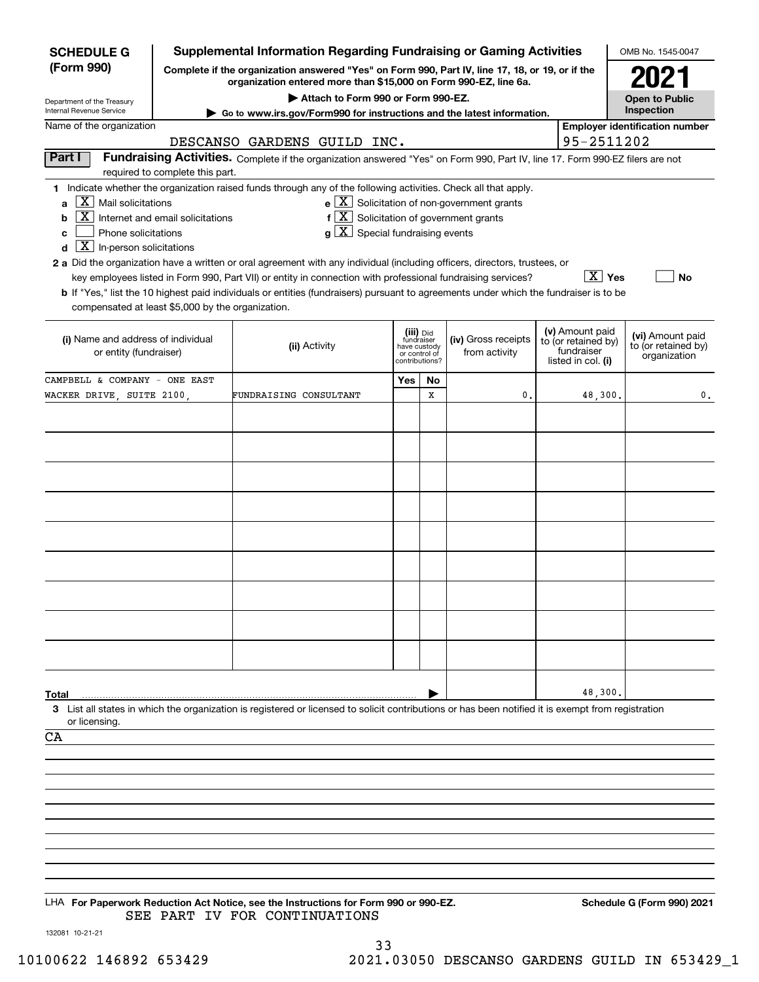| <b>SCHEDULE G</b>                                        |                                                                                                                                                                     | <b>Supplemental Information Regarding Fundraising or Gaming Activities</b>                                                                         |                                                 |    |                                                              |  |                                        | OMB No. 1545-0047                     |
|----------------------------------------------------------|---------------------------------------------------------------------------------------------------------------------------------------------------------------------|----------------------------------------------------------------------------------------------------------------------------------------------------|-------------------------------------------------|----|--------------------------------------------------------------|--|----------------------------------------|---------------------------------------|
| (Form 990)                                               | Complete if the organization answered "Yes" on Form 990, Part IV, line 17, 18, or 19, or if the<br>organization entered more than \$15,000 on Form 990-EZ, line 6a. |                                                                                                                                                    |                                                 |    |                                                              |  |                                        |                                       |
| Department of the Treasury                               | Attach to Form 990 or Form 990-EZ.                                                                                                                                  |                                                                                                                                                    |                                                 |    |                                                              |  |                                        |                                       |
| Internal Revenue Service                                 | ► Go to www.irs.gov/Form990 for instructions and the latest information.                                                                                            |                                                                                                                                                    |                                                 |    |                                                              |  |                                        |                                       |
| Name of the organization                                 |                                                                                                                                                                     | DESCANSO GARDENS GUILD INC.                                                                                                                        |                                                 |    |                                                              |  | 95-2511202                             | <b>Employer identification number</b> |
| Part I                                                   |                                                                                                                                                                     | Fundraising Activities. Complete if the organization answered "Yes" on Form 990, Part IV, line 17. Form 990-EZ filers are not                      |                                                 |    |                                                              |  |                                        |                                       |
|                                                          | required to complete this part.                                                                                                                                     |                                                                                                                                                    |                                                 |    |                                                              |  |                                        |                                       |
| $X$ Mail solicitations<br>$\mathbf{a}$                   |                                                                                                                                                                     | 1 Indicate whether the organization raised funds through any of the following activities. Check all that apply.                                    |                                                 |    | $e$ $\boxed{\text{X}}$ Solicitation of non-government grants |  |                                        |                                       |
| $\boxed{\text{X}}$ Internet and email solicitations<br>b |                                                                                                                                                                     | $f\left[\frac{X}{X}\right]$ Solicitation of government grants                                                                                      |                                                 |    |                                                              |  |                                        |                                       |
| Phone solicitations<br>c                                 |                                                                                                                                                                     | $g\mid X$ Special fundraising events                                                                                                               |                                                 |    |                                                              |  |                                        |                                       |
| $\boxed{\mathbf{X}}$ In-person solicitations<br>d        |                                                                                                                                                                     | 2 a Did the organization have a written or oral agreement with any individual (including officers, directors, trustees, or                         |                                                 |    |                                                              |  |                                        |                                       |
|                                                          |                                                                                                                                                                     | key employees listed in Form 990, Part VII) or entity in connection with professional fundraising services?                                        |                                                 |    |                                                              |  | $\lfloor x \rfloor$ Yes                | No                                    |
|                                                          |                                                                                                                                                                     | <b>b</b> If "Yes," list the 10 highest paid individuals or entities (fundraisers) pursuant to agreements under which the fundraiser is to be       |                                                 |    |                                                              |  |                                        |                                       |
| compensated at least \$5,000 by the organization.        |                                                                                                                                                                     |                                                                                                                                                    |                                                 |    |                                                              |  |                                        |                                       |
| (i) Name and address of individual                       |                                                                                                                                                                     |                                                                                                                                                    | (iii) Did<br>fundraiser                         |    | (iv) Gross receipts                                          |  | (v) Amount paid<br>to (or retained by) | (vi) Amount paid                      |
| or entity (fundraiser)                                   |                                                                                                                                                                     | (ii) Activity                                                                                                                                      | have custody<br>or control of<br>contributions? |    | from activity                                                |  | fundraiser<br>listed in col. (i)       | to (or retained by)<br>organization   |
| CAMPBELL & COMPANY - ONE EAST                            |                                                                                                                                                                     |                                                                                                                                                    | Yes                                             | No |                                                              |  |                                        |                                       |
| WACKER DRIVE, SUITE 2100,                                |                                                                                                                                                                     | FUNDRAISING CONSULTANT                                                                                                                             |                                                 | х  | 0                                                            |  | 48,300.                                | 0.                                    |
|                                                          |                                                                                                                                                                     |                                                                                                                                                    |                                                 |    |                                                              |  |                                        |                                       |
|                                                          |                                                                                                                                                                     |                                                                                                                                                    |                                                 |    |                                                              |  |                                        |                                       |
|                                                          |                                                                                                                                                                     |                                                                                                                                                    |                                                 |    |                                                              |  |                                        |                                       |
|                                                          |                                                                                                                                                                     |                                                                                                                                                    |                                                 |    |                                                              |  |                                        |                                       |
|                                                          |                                                                                                                                                                     |                                                                                                                                                    |                                                 |    |                                                              |  |                                        |                                       |
|                                                          |                                                                                                                                                                     |                                                                                                                                                    |                                                 |    |                                                              |  |                                        |                                       |
|                                                          |                                                                                                                                                                     |                                                                                                                                                    |                                                 |    |                                                              |  |                                        |                                       |
|                                                          |                                                                                                                                                                     |                                                                                                                                                    |                                                 |    |                                                              |  |                                        |                                       |
|                                                          |                                                                                                                                                                     |                                                                                                                                                    |                                                 |    |                                                              |  |                                        |                                       |
|                                                          |                                                                                                                                                                     |                                                                                                                                                    |                                                 |    |                                                              |  |                                        |                                       |
|                                                          |                                                                                                                                                                     |                                                                                                                                                    |                                                 |    |                                                              |  |                                        |                                       |
|                                                          |                                                                                                                                                                     |                                                                                                                                                    |                                                 |    |                                                              |  |                                        |                                       |
|                                                          |                                                                                                                                                                     |                                                                                                                                                    |                                                 |    |                                                              |  |                                        |                                       |
|                                                          |                                                                                                                                                                     |                                                                                                                                                    |                                                 |    |                                                              |  |                                        |                                       |
| Total                                                    |                                                                                                                                                                     | 3 List all states in which the organization is registered or licensed to solicit contributions or has been notified it is exempt from registration |                                                 |    |                                                              |  | 48,300                                 |                                       |
| or licensing.                                            |                                                                                                                                                                     |                                                                                                                                                    |                                                 |    |                                                              |  |                                        |                                       |
| CA                                                       |                                                                                                                                                                     |                                                                                                                                                    |                                                 |    |                                                              |  |                                        |                                       |
|                                                          |                                                                                                                                                                     |                                                                                                                                                    |                                                 |    |                                                              |  |                                        |                                       |
|                                                          |                                                                                                                                                                     |                                                                                                                                                    |                                                 |    |                                                              |  |                                        |                                       |
|                                                          |                                                                                                                                                                     |                                                                                                                                                    |                                                 |    |                                                              |  |                                        |                                       |
|                                                          |                                                                                                                                                                     |                                                                                                                                                    |                                                 |    |                                                              |  |                                        |                                       |
|                                                          |                                                                                                                                                                     |                                                                                                                                                    |                                                 |    |                                                              |  |                                        |                                       |
|                                                          |                                                                                                                                                                     |                                                                                                                                                    |                                                 |    |                                                              |  |                                        |                                       |
|                                                          |                                                                                                                                                                     |                                                                                                                                                    |                                                 |    |                                                              |  |                                        |                                       |
|                                                          |                                                                                                                                                                     | LHA For Paperwork Reduction Act Notice, see the Instructions for Form 990 or 990-EZ.                                                               |                                                 |    |                                                              |  |                                        | Schedule G (Form 990) 2021            |
| 132081 10-21-21                                          |                                                                                                                                                                     | SEE PART IV FOR CONTINUATIONS                                                                                                                      |                                                 |    |                                                              |  |                                        |                                       |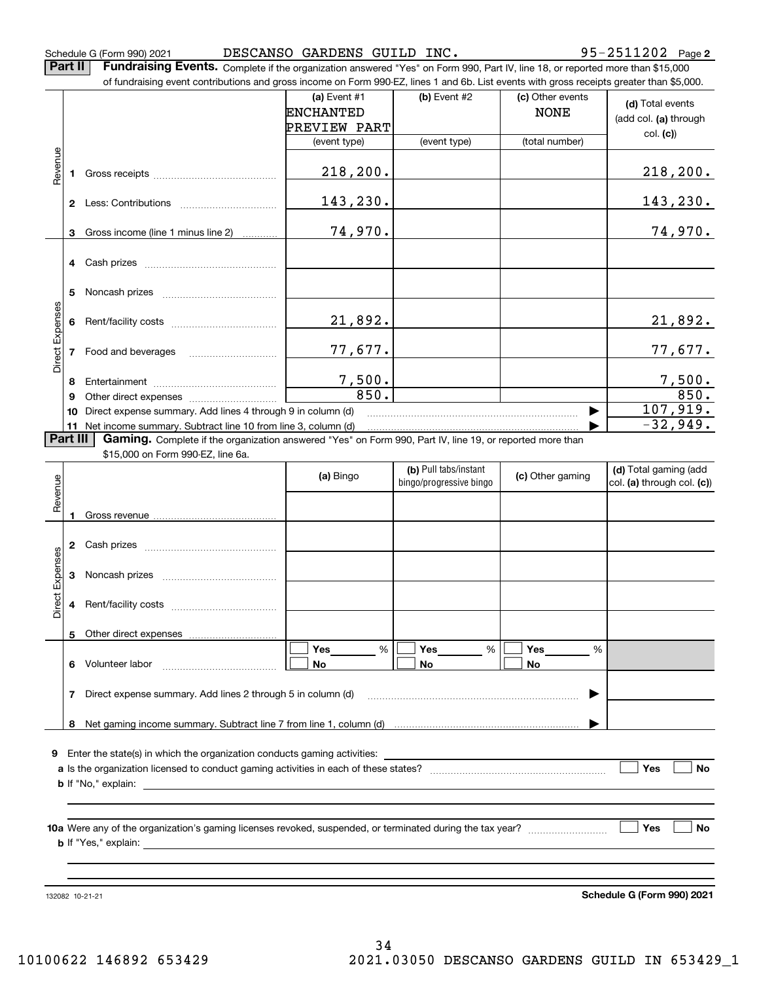**2** Schedule G (Form 990) 2021 Page DESCANSO GARDENS GUILD INC. 95-2511202

**Part II** | Fundraising Events. Complete if the organization answered "Yes" on Form 990, Part IV, line 18, or reported more than \$15,000

|                 |          | of fundraising event contributions and gross income on Form 990-EZ, lines 1 and 6b. List events with gross receipts greater than \$5,000.                                                                                                 |                                                           |                                                  |                                 |                                                     |
|-----------------|----------|-------------------------------------------------------------------------------------------------------------------------------------------------------------------------------------------------------------------------------------------|-----------------------------------------------------------|--------------------------------------------------|---------------------------------|-----------------------------------------------------|
|                 |          |                                                                                                                                                                                                                                           | (a) Event $#1$<br><b>ENCHANTED</b><br><b>PREVIEW PART</b> | (b) Event #2                                     | (c) Other events<br><b>NONE</b> | (d) Total events<br>(add col. (a) through           |
|                 |          |                                                                                                                                                                                                                                           | (event type)                                              | (event type)                                     | (total number)                  | col. (c)                                            |
|                 |          |                                                                                                                                                                                                                                           |                                                           |                                                  |                                 |                                                     |
| Revenue         |          |                                                                                                                                                                                                                                           | 218, 200.                                                 |                                                  |                                 | 218, 200.                                           |
|                 |          |                                                                                                                                                                                                                                           | 143,230.                                                  |                                                  |                                 | 143,230.                                            |
|                 |          | 3 Gross income (line 1 minus line 2)                                                                                                                                                                                                      | 74,970.                                                   |                                                  |                                 | 74,970 <b>.</b>                                     |
|                 |          |                                                                                                                                                                                                                                           |                                                           |                                                  |                                 |                                                     |
|                 | 5.       |                                                                                                                                                                                                                                           |                                                           |                                                  |                                 |                                                     |
| Direct Expenses |          |                                                                                                                                                                                                                                           | 21,892.                                                   |                                                  |                                 | 21,892.                                             |
|                 |          | 7 Food and beverages                                                                                                                                                                                                                      | 77,677.                                                   |                                                  |                                 | 77,677 <b>.</b>                                     |
|                 | 8        |                                                                                                                                                                                                                                           | 7,500.                                                    |                                                  |                                 | 7,500.                                              |
|                 | 9        |                                                                                                                                                                                                                                           | 850.                                                      |                                                  |                                 | 850.                                                |
|                 | 10       | Direct expense summary. Add lines 4 through 9 in column (d)                                                                                                                                                                               |                                                           |                                                  |                                 | 107,919.                                            |
|                 |          | 11 Net income summary. Subtract line 10 from line 3, column (d)                                                                                                                                                                           |                                                           |                                                  |                                 | $-32,949.$                                          |
|                 | Part III | Gaming. Complete if the organization answered "Yes" on Form 990, Part IV, line 19, or reported more than                                                                                                                                  |                                                           |                                                  |                                 |                                                     |
|                 |          | \$15,000 on Form 990-EZ, line 6a.                                                                                                                                                                                                         |                                                           |                                                  |                                 |                                                     |
|                 |          |                                                                                                                                                                                                                                           |                                                           |                                                  |                                 |                                                     |
|                 |          |                                                                                                                                                                                                                                           | (a) Bingo                                                 | (b) Pull tabs/instant<br>bingo/progressive bingo | (c) Other gaming                | (d) Total gaming (add<br>col. (a) through col. (c)) |
| Revenue         |          |                                                                                                                                                                                                                                           |                                                           |                                                  |                                 |                                                     |
|                 |          |                                                                                                                                                                                                                                           |                                                           |                                                  |                                 |                                                     |
|                 |          |                                                                                                                                                                                                                                           |                                                           |                                                  |                                 |                                                     |
|                 | 3        |                                                                                                                                                                                                                                           |                                                           |                                                  |                                 |                                                     |
| Direct Expenses | 4        |                                                                                                                                                                                                                                           |                                                           |                                                  |                                 |                                                     |
|                 | 5        | Other direct expenses                                                                                                                                                                                                                     |                                                           |                                                  |                                 |                                                     |
|                 |          | 6 Volunteer labor                                                                                                                                                                                                                         | Yes<br>%<br>No                                            | Yes<br>$\%$<br>No                                | Yes<br>%<br>No                  |                                                     |
|                 |          | 7 Direct expense summary. Add lines 2 through 5 in column (d)                                                                                                                                                                             |                                                           |                                                  |                                 |                                                     |
|                 | 8        |                                                                                                                                                                                                                                           |                                                           |                                                  |                                 |                                                     |
|                 |          |                                                                                                                                                                                                                                           |                                                           |                                                  |                                 |                                                     |
|                 |          | 9 Enter the state(s) in which the organization conducts gaming activities:                                                                                                                                                                |                                                           |                                                  |                                 |                                                     |
|                 |          | <b>b</b> If "No," explain: <u>example and the set of the set of the set of the set of the set of the set of the set of the set of the set of the set of the set of the set of the set of the set of the set of the set of the set of </u> |                                                           |                                                  |                                 | Yes<br>No                                           |
|                 |          |                                                                                                                                                                                                                                           |                                                           |                                                  |                                 | No                                                  |

132082 10-21-21

**Schedule G (Form 990) 2021**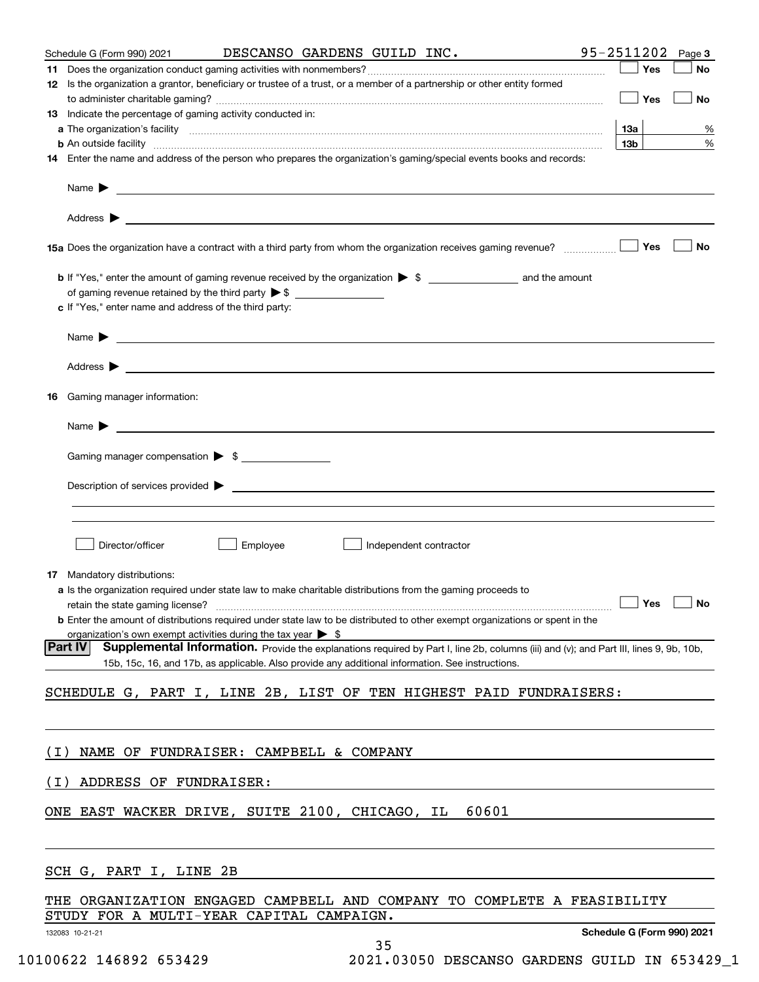|       | Schedule G (Form 990) 2021                                                                                                                                                                                                           |          |                        | DESCANSO GARDENS GUILD INC. | $95 - 2511202$ Page 3      |        |
|-------|--------------------------------------------------------------------------------------------------------------------------------------------------------------------------------------------------------------------------------------|----------|------------------------|-----------------------------|----------------------------|--------|
|       |                                                                                                                                                                                                                                      |          |                        |                             | Yes                        | No     |
|       | 12 Is the organization a grantor, beneficiary or trustee of a trust, or a member of a partnership or other entity formed                                                                                                             |          |                        |                             |                            |        |
|       |                                                                                                                                                                                                                                      |          |                        |                             | $\Box$ Yes                 | No     |
|       | 13 Indicate the percentage of gaming activity conducted in:                                                                                                                                                                          |          |                        |                             |                            |        |
|       | <b>b</b> An outside facility <i>www.communicality www.communicality.communicality www.communicality www.communicality.com</i>                                                                                                        |          |                        |                             | 13a<br>13b                 | %<br>% |
|       | 14 Enter the name and address of the person who prepares the organization's gaming/special events books and records:                                                                                                                 |          |                        |                             |                            |        |
|       |                                                                                                                                                                                                                                      |          |                        |                             |                            |        |
|       |                                                                                                                                                                                                                                      |          |                        |                             |                            |        |
|       |                                                                                                                                                                                                                                      |          |                        |                             |                            |        |
|       |                                                                                                                                                                                                                                      |          |                        |                             |                            |        |
|       | 15a Does the organization have a contract with a third party from whom the organization receives gaming revenue?                                                                                                                     |          |                        |                             | Yes                        | No     |
|       |                                                                                                                                                                                                                                      |          |                        |                             |                            |        |
|       |                                                                                                                                                                                                                                      |          |                        |                             |                            |        |
|       | c If "Yes," enter name and address of the third party:                                                                                                                                                                               |          |                        |                             |                            |        |
|       |                                                                                                                                                                                                                                      |          |                        |                             |                            |        |
|       | Name <b>Decision of the Community of the Community of the Community of the Community of the Community of the Community of the Community of the Community of the Community of the Community of the Community of the Community of </b> |          |                        |                             |                            |        |
|       |                                                                                                                                                                                                                                      |          |                        |                             |                            |        |
|       |                                                                                                                                                                                                                                      |          |                        |                             |                            |        |
|       | <b>16</b> Gaming manager information:                                                                                                                                                                                                |          |                        |                             |                            |        |
|       |                                                                                                                                                                                                                                      |          |                        |                             |                            |        |
|       | Name $\blacktriangleright$ $\bot$                                                                                                                                                                                                    |          |                        |                             |                            |        |
|       |                                                                                                                                                                                                                                      |          |                        |                             |                            |        |
|       | Gaming manager compensation > \$                                                                                                                                                                                                     |          |                        |                             |                            |        |
|       |                                                                                                                                                                                                                                      |          |                        |                             |                            |        |
|       |                                                                                                                                                                                                                                      |          |                        |                             |                            |        |
|       |                                                                                                                                                                                                                                      |          |                        |                             |                            |        |
|       | Director/officer                                                                                                                                                                                                                     | Employee | Independent contractor |                             |                            |        |
|       |                                                                                                                                                                                                                                      |          |                        |                             |                            |        |
|       | 17 Mandatory distributions:                                                                                                                                                                                                          |          |                        |                             |                            |        |
|       | a Is the organization required under state law to make charitable distributions from the gaming proceeds to                                                                                                                          |          |                        |                             |                            |        |
|       | retain the state gaming license?<br><b>b</b> Enter the amount of distributions required under state law to be distributed to other exempt organizations or spent in the                                                              |          |                        | $\Box$ Yes $\Box$ No        |                            |        |
|       | organization's own exempt activities during the tax year $\triangleright$ \$                                                                                                                                                         |          |                        |                             |                            |        |
|       | Supplemental Information. Provide the explanations required by Part I, line 2b, columns (iii) and (v); and Part III, lines 9, 9b, 10b,<br> Part IV                                                                                   |          |                        |                             |                            |        |
|       | 15b, 15c, 16, and 17b, as applicable. Also provide any additional information. See instructions.                                                                                                                                     |          |                        |                             |                            |        |
|       | SCHEDULE G, PART I, LINE 2B, LIST OF TEN HIGHEST PAID FUNDRAISERS:                                                                                                                                                                   |          |                        |                             |                            |        |
|       |                                                                                                                                                                                                                                      |          |                        |                             |                            |        |
|       |                                                                                                                                                                                                                                      |          |                        |                             |                            |        |
|       |                                                                                                                                                                                                                                      |          |                        |                             |                            |        |
| ( L ) | NAME OF FUNDRAISER: CAMPBELL & COMPANY                                                                                                                                                                                               |          |                        |                             |                            |        |
| ( I ) | ADDRESS OF FUNDRAISER:                                                                                                                                                                                                               |          |                        |                             |                            |        |
|       |                                                                                                                                                                                                                                      |          |                        |                             |                            |        |
|       | ONE EAST WACKER DRIVE, SUITE 2100, CHICAGO, IL                                                                                                                                                                                       |          |                        | 60601                       |                            |        |
|       |                                                                                                                                                                                                                                      |          |                        |                             |                            |        |
|       |                                                                                                                                                                                                                                      |          |                        |                             |                            |        |
|       | SCH G, PART I, LINE 2B                                                                                                                                                                                                               |          |                        |                             |                            |        |
|       |                                                                                                                                                                                                                                      |          |                        |                             |                            |        |
|       | THE ORGANIZATION ENGAGED CAMPBELL AND COMPANY TO COMPLETE A FEASIBILITY                                                                                                                                                              |          |                        |                             |                            |        |
|       | STUDY FOR A MULTI-YEAR CAPITAL CAMPAIGN.                                                                                                                                                                                             |          |                        |                             |                            |        |
|       | 132083 10-21-21                                                                                                                                                                                                                      |          | 35                     |                             | Schedule G (Form 990) 2021 |        |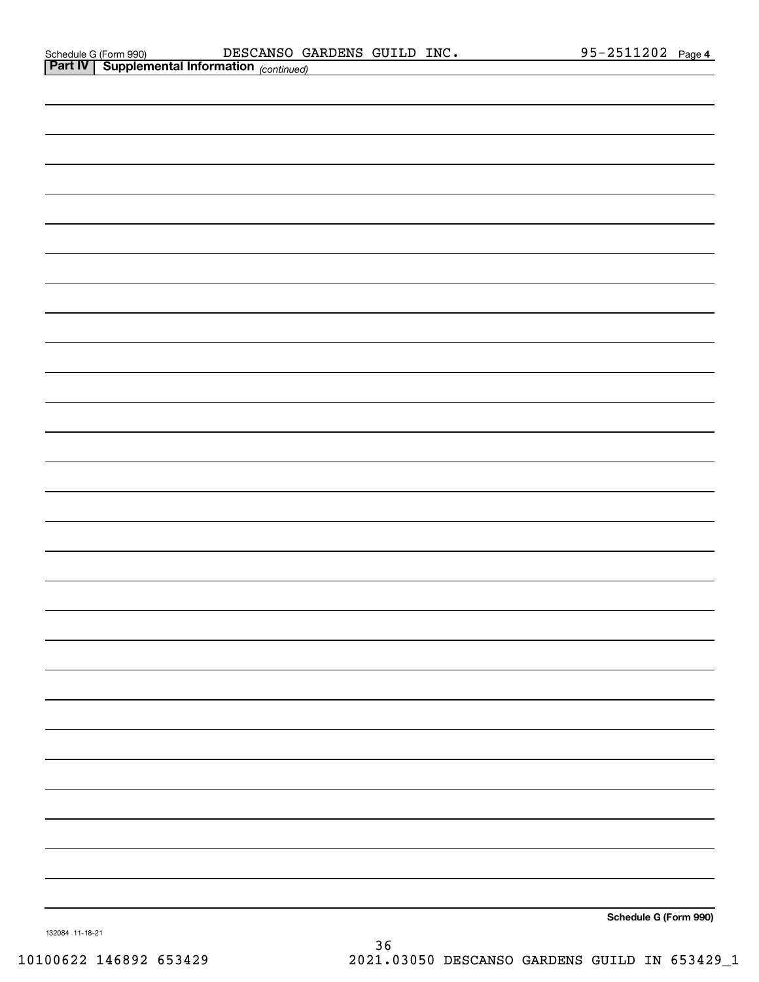| <b>Part IV   Supplemental Information</b> (continued) |
|-------------------------------------------------------|
|                                                       |
|                                                       |
|                                                       |
|                                                       |
|                                                       |
|                                                       |
|                                                       |
|                                                       |
|                                                       |
|                                                       |
|                                                       |
|                                                       |
|                                                       |
|                                                       |
|                                                       |
|                                                       |
|                                                       |
|                                                       |
|                                                       |
|                                                       |
|                                                       |
|                                                       |
|                                                       |
|                                                       |
|                                                       |
|                                                       |
|                                                       |
|                                                       |
| Schedule G (Form 990)                                 |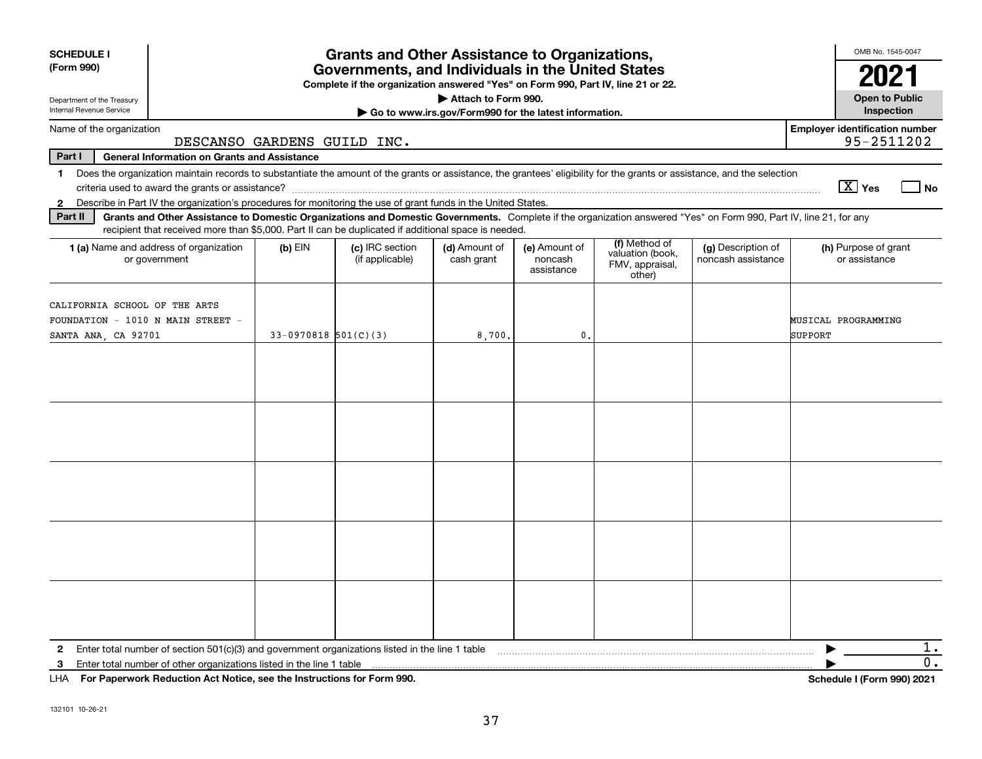| <b>SCHEDULE I</b><br>(Form 990)                                                           |                                                                                                                                                                                                                                                                                                                                                                                            |                          | <b>Grants and Other Assistance to Organizations,</b><br>Governments, and Individuals in the United States<br>Complete if the organization answered "Yes" on Form 990, Part IV, line 21 or 22. |                                                                              |                                        |                                                                |                                          | OMB No. 1545-0047                                   |
|-------------------------------------------------------------------------------------------|--------------------------------------------------------------------------------------------------------------------------------------------------------------------------------------------------------------------------------------------------------------------------------------------------------------------------------------------------------------------------------------------|--------------------------|-----------------------------------------------------------------------------------------------------------------------------------------------------------------------------------------------|------------------------------------------------------------------------------|----------------------------------------|----------------------------------------------------------------|------------------------------------------|-----------------------------------------------------|
| Department of the Treasury<br>Internal Revenue Service                                    |                                                                                                                                                                                                                                                                                                                                                                                            |                          |                                                                                                                                                                                               | Attach to Form 990.<br>Go to www.irs.gov/Form990 for the latest information. |                                        |                                                                |                                          | <b>Open to Public</b><br>Inspection                 |
| Name of the organization                                                                  | DESCANSO GARDENS GUILD INC.                                                                                                                                                                                                                                                                                                                                                                |                          |                                                                                                                                                                                               |                                                                              |                                        |                                                                |                                          | <b>Employer identification number</b><br>95-2511202 |
| Part I                                                                                    | <b>General Information on Grants and Assistance</b>                                                                                                                                                                                                                                                                                                                                        |                          |                                                                                                                                                                                               |                                                                              |                                        |                                                                |                                          |                                                     |
| $\mathbf{1}$                                                                              | Does the organization maintain records to substantiate the amount of the grants or assistance, the grantees' eligibility for the grants or assistance, and the selection                                                                                                                                                                                                                   |                          |                                                                                                                                                                                               |                                                                              |                                        |                                                                |                                          | $\boxed{\text{X}}$ Yes<br>l No                      |
| 2<br>Part II                                                                              | Describe in Part IV the organization's procedures for monitoring the use of grant funds in the United States.<br>Grants and Other Assistance to Domestic Organizations and Domestic Governments. Complete if the organization answered "Yes" on Form 990, Part IV, line 21, for any<br>recipient that received more than \$5,000. Part II can be duplicated if additional space is needed. |                          |                                                                                                                                                                                               |                                                                              |                                        |                                                                |                                          |                                                     |
|                                                                                           | 1 (a) Name and address of organization<br>or government                                                                                                                                                                                                                                                                                                                                    | $(b)$ EIN                | (c) IRC section<br>(if applicable)                                                                                                                                                            | (d) Amount of<br>cash grant                                                  | (e) Amount of<br>noncash<br>assistance | (f) Method of<br>valuation (book,<br>FMV, appraisal,<br>other) | (g) Description of<br>noncash assistance | (h) Purpose of grant<br>or assistance               |
| CALIFORNIA SCHOOL OF THE ARTS<br>FOUNDATION - 1010 N MAIN STREET -<br>SANTA ANA, CA 92701 |                                                                                                                                                                                                                                                                                                                                                                                            | $33-0970818$ $501(C)(3)$ |                                                                                                                                                                                               | 8,700,                                                                       | 0.                                     |                                                                |                                          | MUSICAL PROGRAMMING<br>SUPPORT                      |
|                                                                                           |                                                                                                                                                                                                                                                                                                                                                                                            |                          |                                                                                                                                                                                               |                                                                              |                                        |                                                                |                                          |                                                     |
|                                                                                           |                                                                                                                                                                                                                                                                                                                                                                                            |                          |                                                                                                                                                                                               |                                                                              |                                        |                                                                |                                          |                                                     |
|                                                                                           |                                                                                                                                                                                                                                                                                                                                                                                            |                          |                                                                                                                                                                                               |                                                                              |                                        |                                                                |                                          |                                                     |
|                                                                                           |                                                                                                                                                                                                                                                                                                                                                                                            |                          |                                                                                                                                                                                               |                                                                              |                                        |                                                                |                                          |                                                     |
|                                                                                           |                                                                                                                                                                                                                                                                                                                                                                                            |                          |                                                                                                                                                                                               |                                                                              |                                        |                                                                |                                          |                                                     |
| 2                                                                                         | Enter total number of section 501(c)(3) and government organizations listed in the line 1 table                                                                                                                                                                                                                                                                                            |                          |                                                                                                                                                                                               |                                                                              |                                        |                                                                |                                          | 1.                                                  |
| 3<br>LHA                                                                                  | Enter total number of other organizations listed in the line 1 table<br>For Paperwork Reduction Act Notice, see the Instructions for Form 990.                                                                                                                                                                                                                                             |                          |                                                                                                                                                                                               |                                                                              |                                        |                                                                |                                          | 0.<br>Schedule I (Form 990) 2021                    |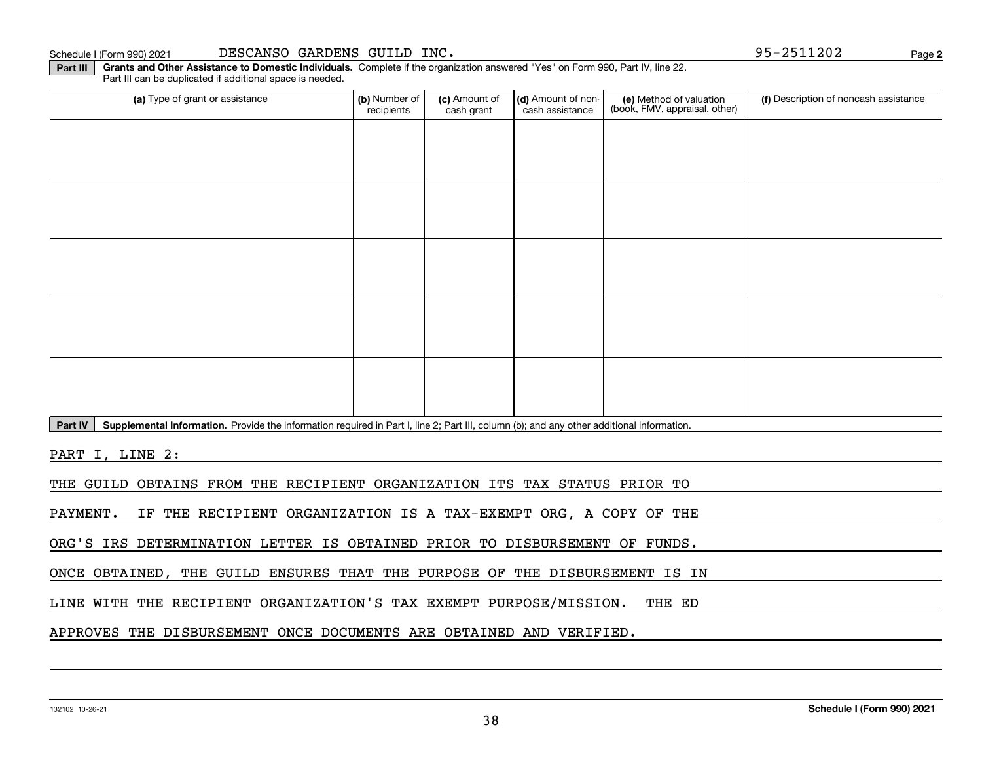#### Schedule I (Form 990) 2021 DESCANSO GARDENS GUILD INC。 95-2511202 Page

**Part III Grants and Other Assistance to Domestic Individuals.**  Complete if the organization answered "Yes" on Form 990, Part IV, line 22.

(a) Type of grant or assistance **Audity Commet Audio Commet Commet Commet Commet Commet Commet Commet Commet Comme** Part III can be duplicated if additional space is needed. (e) Method of valuation (book, FMV, appraisal, other) recipients(c) Amount of cash grant (d) Amount of noncash assistance **(f)** Description of noncash assistance

Part IV | Supplemental Information. Provide the information required in Part I, line 2; Part III, column (b); and any other additional information.

PART I, LINE 2:

THE GUILD OBTAINS FROM THE RECIPIENT ORGANIZATION ITS TAX STATUS PRIOR TO

PAYMENT. IF THE RECIPIENT ORGANIZATION IS A TAX-EXEMPT ORG, A COPY OF THE

ORG'S IRS DETERMINATION LETTER IS OBTAINED PRIOR TO DISBURSEMENT OF FUNDS.

ONCE OBTAINED, THE GUILD ENSURES THAT THE PURPOSE OF THE DISBURSEMENT IS IN

LINE WITH THE RECIPIENT ORGANIZATION'S TAX EXEMPT PURPOSE/MISSION. THE ED

APPROVES THE DISBURSEMENT ONCE DOCUMENTS ARE OBTAINED AND VERIFIED.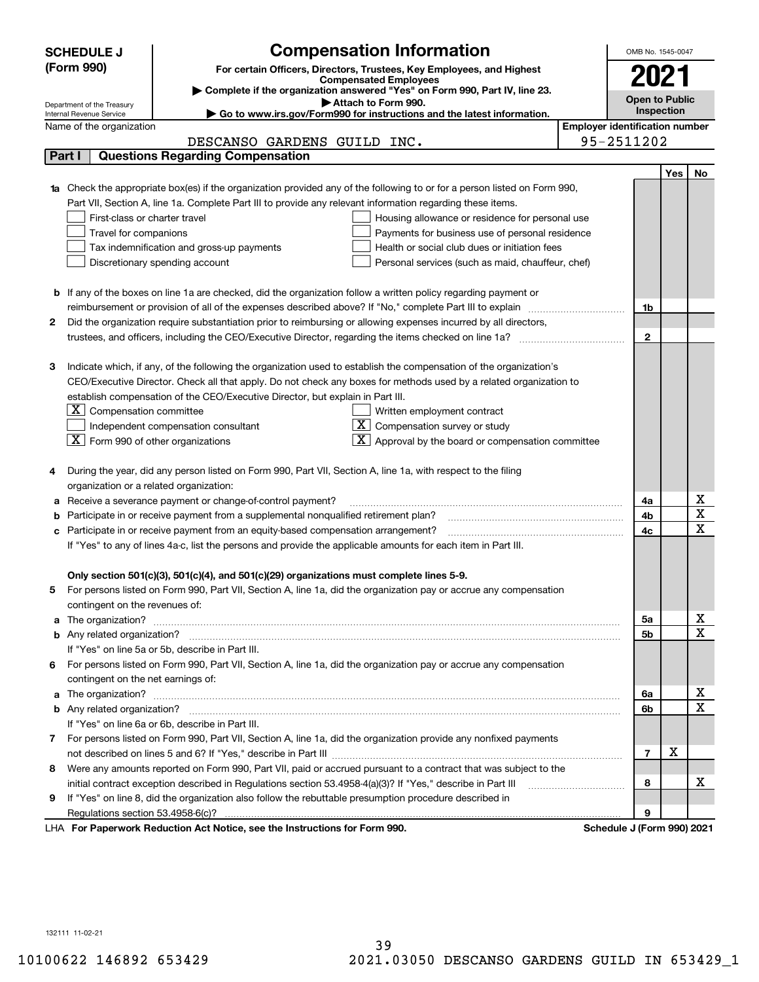|        | <b>SCHEDULE J</b>                                      | <b>Compensation Information</b>                                                                                                                                                                                                     |                                       | OMB No. 1545-0047          |     |                         |
|--------|--------------------------------------------------------|-------------------------------------------------------------------------------------------------------------------------------------------------------------------------------------------------------------------------------------|---------------------------------------|----------------------------|-----|-------------------------|
|        | (Form 990)                                             |                                                                                                                                                                                                                                     |                                       |                            |     |                         |
|        |                                                        | For certain Officers, Directors, Trustees, Key Employees, and Highest<br><b>Compensated Employees</b>                                                                                                                               |                                       | 2021                       |     |                         |
|        |                                                        | Complete if the organization answered "Yes" on Form 990, Part IV, line 23.                                                                                                                                                          |                                       | <b>Open to Public</b>      |     |                         |
|        | Department of the Treasury<br>Internal Revenue Service | Attach to Form 990.<br>Go to www.irs.gov/Form990 for instructions and the latest information.                                                                                                                                       |                                       | Inspection                 |     |                         |
|        | Name of the organization                               |                                                                                                                                                                                                                                     | <b>Employer identification number</b> |                            |     |                         |
|        |                                                        | DESCANSO GARDENS GUILD INC.                                                                                                                                                                                                         |                                       | 95-2511202                 |     |                         |
| Part I |                                                        | <b>Questions Regarding Compensation</b>                                                                                                                                                                                             |                                       |                            |     |                         |
|        |                                                        |                                                                                                                                                                                                                                     |                                       |                            | Yes | No.                     |
|        |                                                        | 1a Check the appropriate box(es) if the organization provided any of the following to or for a person listed on Form 990,                                                                                                           |                                       |                            |     |                         |
|        |                                                        | Part VII, Section A, line 1a. Complete Part III to provide any relevant information regarding these items.                                                                                                                          |                                       |                            |     |                         |
|        | First-class or charter travel                          | Housing allowance or residence for personal use                                                                                                                                                                                     |                                       |                            |     |                         |
|        | Travel for companions                                  | Payments for business use of personal residence                                                                                                                                                                                     |                                       |                            |     |                         |
|        |                                                        | Tax indemnification and gross-up payments<br>Health or social club dues or initiation fees                                                                                                                                          |                                       |                            |     |                         |
|        |                                                        | Discretionary spending account<br>Personal services (such as maid, chauffeur, chef)                                                                                                                                                 |                                       |                            |     |                         |
|        |                                                        |                                                                                                                                                                                                                                     |                                       |                            |     |                         |
|        |                                                        | <b>b</b> If any of the boxes on line 1a are checked, did the organization follow a written policy regarding payment or                                                                                                              |                                       |                            |     |                         |
|        |                                                        | reimbursement or provision of all of the expenses described above? If "No," complete Part III to explain                                                                                                                            |                                       | 1b                         |     |                         |
| 2      |                                                        | Did the organization require substantiation prior to reimbursing or allowing expenses incurred by all directors,                                                                                                                    |                                       |                            |     |                         |
|        |                                                        |                                                                                                                                                                                                                                     |                                       | $\mathbf{2}$               |     |                         |
|        |                                                        |                                                                                                                                                                                                                                     |                                       |                            |     |                         |
| з      |                                                        | Indicate which, if any, of the following the organization used to establish the compensation of the organization's                                                                                                                  |                                       |                            |     |                         |
|        |                                                        | CEO/Executive Director. Check all that apply. Do not check any boxes for methods used by a related organization to                                                                                                                  |                                       |                            |     |                         |
|        |                                                        | establish compensation of the CEO/Executive Director, but explain in Part III.                                                                                                                                                      |                                       |                            |     |                         |
|        | Compensation committee<br>ΣI.                          | Written employment contract                                                                                                                                                                                                         |                                       |                            |     |                         |
|        |                                                        | $X$ Compensation survey or study<br>Independent compensation consultant                                                                                                                                                             |                                       |                            |     |                         |
|        | $ \mathbf{X} $ Form 990 of other organizations         | Approval by the board or compensation committee                                                                                                                                                                                     |                                       |                            |     |                         |
|        |                                                        |                                                                                                                                                                                                                                     |                                       |                            |     |                         |
|        |                                                        | During the year, did any person listed on Form 990, Part VII, Section A, line 1a, with respect to the filing                                                                                                                        |                                       |                            |     |                         |
|        | organization or a related organization:                |                                                                                                                                                                                                                                     |                                       |                            |     |                         |
| а      |                                                        | Receive a severance payment or change-of-control payment?                                                                                                                                                                           |                                       | 4a                         |     | х                       |
|        |                                                        | Participate in or receive payment from a supplemental nonqualified retirement plan?                                                                                                                                                 |                                       | 4b                         |     | $\overline{\textbf{x}}$ |
|        |                                                        | c Participate in or receive payment from an equity-based compensation arrangement?                                                                                                                                                  |                                       | 4c                         |     | $\overline{\mathbf{x}}$ |
|        |                                                        | If "Yes" to any of lines 4a-c, list the persons and provide the applicable amounts for each item in Part III.                                                                                                                       |                                       |                            |     |                         |
|        |                                                        |                                                                                                                                                                                                                                     |                                       |                            |     |                         |
|        |                                                        | Only section 501(c)(3), 501(c)(4), and 501(c)(29) organizations must complete lines 5-9.                                                                                                                                            |                                       |                            |     |                         |
| 5      |                                                        | For persons listed on Form 990, Part VII, Section A, line 1a, did the organization pay or accrue any compensation                                                                                                                   |                                       |                            |     |                         |
|        | contingent on the revenues of:                         |                                                                                                                                                                                                                                     |                                       |                            |     |                         |
|        |                                                        | a The organization? <b>Entitation</b> 2008 Communication of the contract of the contract of the contract of the contract of the contract of the contract of the contract of the contract of the contract of the contract of the con |                                       | 5a                         |     | x                       |
|        |                                                        |                                                                                                                                                                                                                                     |                                       | 5b                         |     | $\overline{\mathbf{x}}$ |
|        |                                                        | If "Yes" on line 5a or 5b, describe in Part III.                                                                                                                                                                                    |                                       |                            |     |                         |
|        |                                                        | 6 For persons listed on Form 990, Part VII, Section A, line 1a, did the organization pay or accrue any compensation                                                                                                                 |                                       |                            |     |                         |
|        | contingent on the net earnings of:                     |                                                                                                                                                                                                                                     |                                       |                            |     |                         |
|        |                                                        |                                                                                                                                                                                                                                     |                                       | 6a                         |     | х                       |
|        |                                                        |                                                                                                                                                                                                                                     |                                       | 6b                         |     | $\mathbf X$             |
|        |                                                        | If "Yes" on line 6a or 6b, describe in Part III.                                                                                                                                                                                    |                                       |                            |     |                         |
|        |                                                        | 7 For persons listed on Form 990, Part VII, Section A, line 1a, did the organization provide any nonfixed payments                                                                                                                  |                                       |                            |     |                         |
|        |                                                        |                                                                                                                                                                                                                                     |                                       | 7                          | х   |                         |
| 8      |                                                        | Were any amounts reported on Form 990, Part VII, paid or accrued pursuant to a contract that was subject to the                                                                                                                     |                                       |                            |     |                         |
|        |                                                        |                                                                                                                                                                                                                                     |                                       | 8                          |     | х                       |
| 9      |                                                        | If "Yes" on line 8, did the organization also follow the rebuttable presumption procedure described in                                                                                                                              |                                       |                            |     |                         |
|        |                                                        |                                                                                                                                                                                                                                     |                                       | 9                          |     |                         |
|        |                                                        | LHA For Paperwork Reduction Act Notice, see the Instructions for Form 990.                                                                                                                                                          |                                       | Schedule J (Form 990) 2021 |     |                         |

132111 11-02-21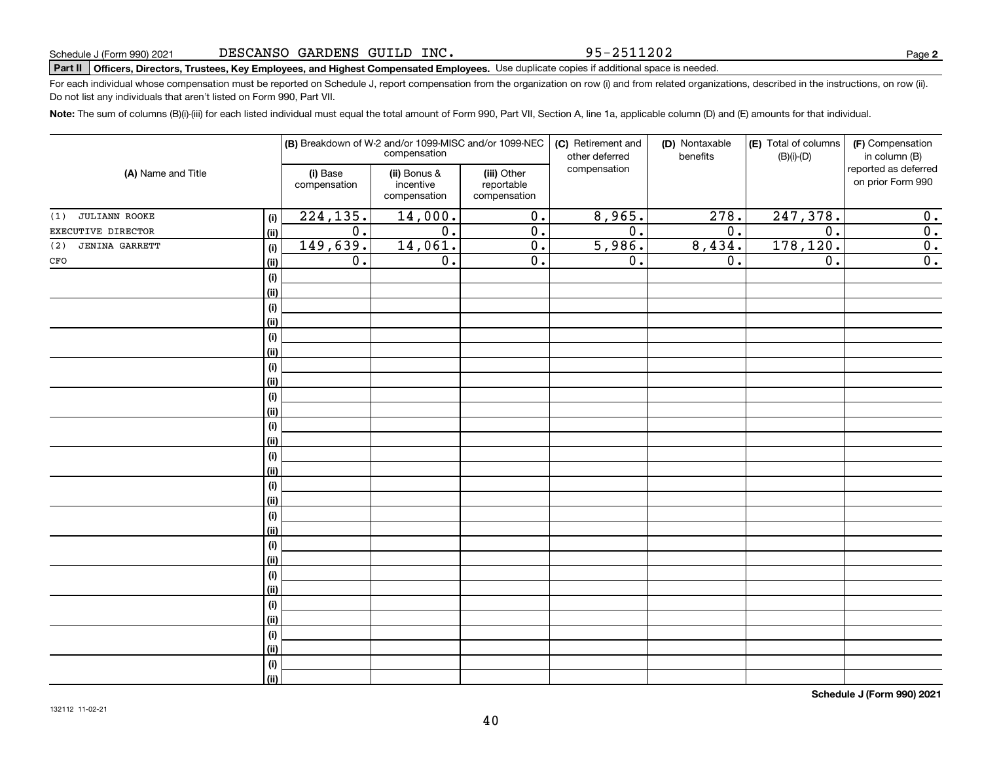95-2511202

# **Part II Officers, Directors, Trustees, Key Employees, and Highest Compensated Employees.**  Schedule J (Form 990) 2021 Page Use duplicate copies if additional space is needed.

For each individual whose compensation must be reported on Schedule J, report compensation from the organization on row (i) and from related organizations, described in the instructions, on row (ii). Do not list any individuals that aren't listed on Form 990, Part VII.

**Note:**  The sum of columns (B)(i)-(iii) for each listed individual must equal the total amount of Form 990, Part VII, Section A, line 1a, applicable column (D) and (E) amounts for that individual.

| (A) Name and Title           |                           | (B) Breakdown of W-2 and/or 1099-MISC and/or 1099-NEC | compensation                              |                                           | (C) Retirement and<br>other deferred | (D) Nontaxable<br>benefits | (E) Total of columns<br>$(B)(i)-(D)$ | (F) Compensation<br>in column (B)         |
|------------------------------|---------------------------|-------------------------------------------------------|-------------------------------------------|-------------------------------------------|--------------------------------------|----------------------------|--------------------------------------|-------------------------------------------|
|                              |                           | (i) Base<br>compensation                              | (ii) Bonus &<br>incentive<br>compensation | (iii) Other<br>reportable<br>compensation | compensation                         |                            |                                      | reported as deferred<br>on prior Form 990 |
| <b>JULIANN ROOKE</b><br>(1)  | (i)                       | 224, 135.                                             | 14,000.                                   | $\overline{0}$ .                          | 8,965.                               | 278.                       | 247,378.                             | 0.                                        |
| EXECUTIVE DIRECTOR           | <u>(ii)</u>               | $\overline{0}$ .                                      | $\overline{0}$ .                          | $\overline{0}$ .                          | $\overline{0}$ .                     | $\overline{0}$ .           | $\overline{0}$ .                     | $\overline{\mathbf{0}}$ .                 |
| <b>JENINA GARRETT</b><br>(2) | (i)                       | 149,639.                                              | 14,061.                                   | $\overline{0}$ .                          | 5,986.                               | 8,434.                     | 178,120.                             | $\overline{\mathbf{0}}$ .                 |
| ${\tt CFO}$                  | <u>(ii)</u>               | $\overline{0}$ .                                      | $\mathbf 0$ .                             | $\overline{0}$ .                          | $0$ .                                | 0.                         | $\overline{0}$ .                     | $\overline{0}$ .                          |
|                              | (i)                       |                                                       |                                           |                                           |                                      |                            |                                      |                                           |
|                              | <u>(ii)</u>               |                                                       |                                           |                                           |                                      |                            |                                      |                                           |
|                              | (i)                       |                                                       |                                           |                                           |                                      |                            |                                      |                                           |
|                              | <u>(ii)</u>               |                                                       |                                           |                                           |                                      |                            |                                      |                                           |
|                              | (i)                       |                                                       |                                           |                                           |                                      |                            |                                      |                                           |
|                              | <u>(ii)</u>               |                                                       |                                           |                                           |                                      |                            |                                      |                                           |
|                              | (i)                       |                                                       |                                           |                                           |                                      |                            |                                      |                                           |
|                              | <u>(ii)</u>               |                                                       |                                           |                                           |                                      |                            |                                      |                                           |
|                              | (i)                       |                                                       |                                           |                                           |                                      |                            |                                      |                                           |
|                              | <u>(ii)</u>               |                                                       |                                           |                                           |                                      |                            |                                      |                                           |
|                              | (i)                       |                                                       |                                           |                                           |                                      |                            |                                      |                                           |
|                              | <u>(ii)</u>               |                                                       |                                           |                                           |                                      |                            |                                      |                                           |
|                              | $(\sf{i})$<br><u>(ii)</u> |                                                       |                                           |                                           |                                      |                            |                                      |                                           |
|                              | (i)                       |                                                       |                                           |                                           |                                      |                            |                                      |                                           |
|                              | (ii)                      |                                                       |                                           |                                           |                                      |                            |                                      |                                           |
|                              | (i)                       |                                                       |                                           |                                           |                                      |                            |                                      |                                           |
|                              | (ii)                      |                                                       |                                           |                                           |                                      |                            |                                      |                                           |
|                              | (i)                       |                                                       |                                           |                                           |                                      |                            |                                      |                                           |
|                              | (ii)                      |                                                       |                                           |                                           |                                      |                            |                                      |                                           |
|                              | (i)                       |                                                       |                                           |                                           |                                      |                            |                                      |                                           |
|                              | <u>(ii)</u>               |                                                       |                                           |                                           |                                      |                            |                                      |                                           |
|                              | (i)                       |                                                       |                                           |                                           |                                      |                            |                                      |                                           |
|                              | <u>(ii)</u>               |                                                       |                                           |                                           |                                      |                            |                                      |                                           |
|                              | $(\sf{i})$                |                                                       |                                           |                                           |                                      |                            |                                      |                                           |
|                              | <u>(ii)</u>               |                                                       |                                           |                                           |                                      |                            |                                      |                                           |
|                              | (i)                       |                                                       |                                           |                                           |                                      |                            |                                      |                                           |
|                              | (ii)                      |                                                       |                                           |                                           |                                      |                            |                                      |                                           |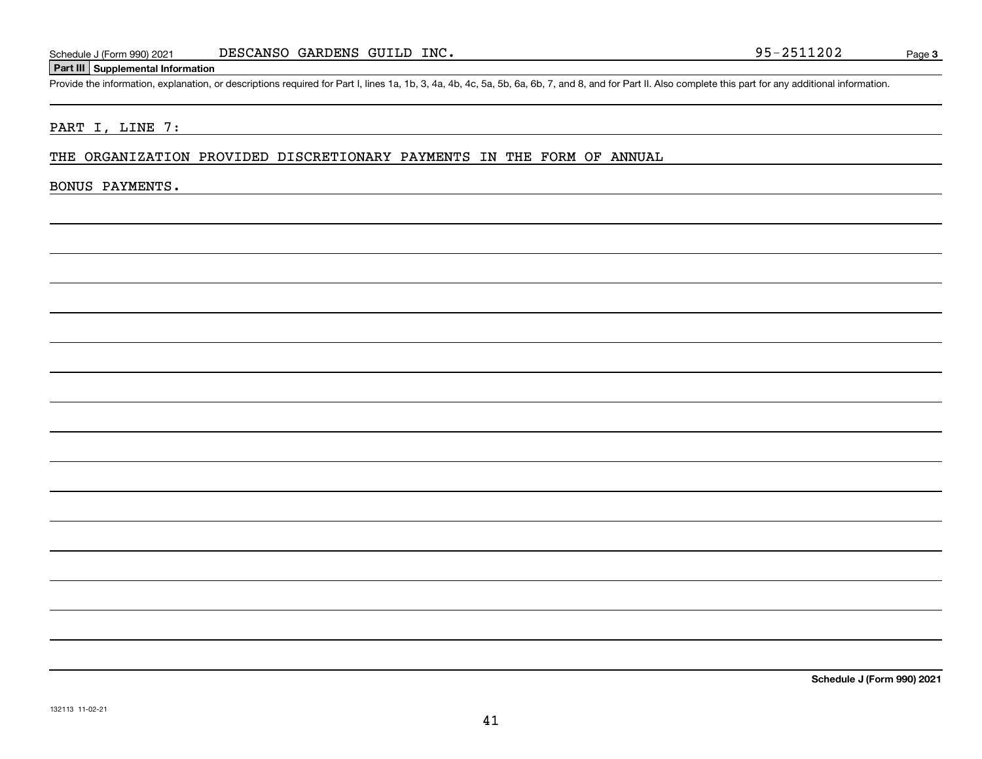#### **Part III Supplemental Information**

Schedule J (Form 990) 2021 DESCANSO GARDENS GUILD INC.<br>Part III Supplemental Information<br>Provide the information, explanation, or descriptions required for Part I, lines 1a, 1b, 3, 4a, 4b, 4c, 5a, 5b, 6a, 6b, 7, and 8, and

#### PART I, LINE 7:

#### THE ORGANIZATION PROVIDED DISCRETIONARY PAYMENTS IN THE FORM OF ANNUAL

#### BONUS PAYMENTS.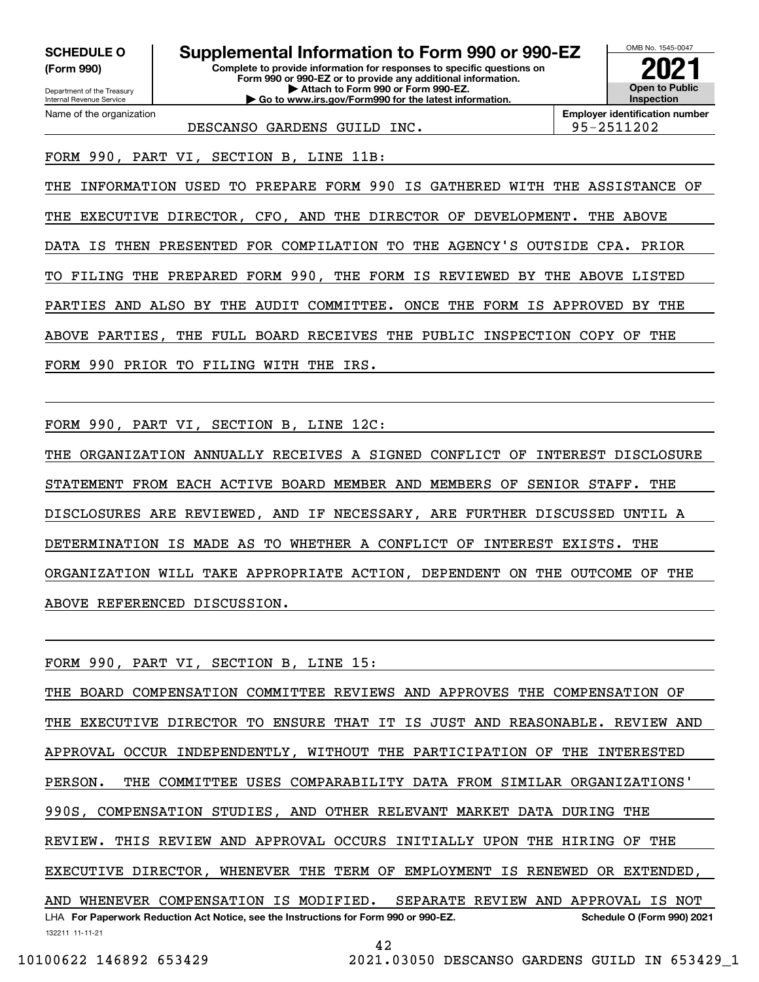**(Form 990)**

**Complete to provide information for responses to specific questions on Form 990 or 990-EZ or to provide any additional information. | Attach to Form 990 or Form 990-EZ. | Go to www.irs.gov/Form990 for the latest information. SCHEDULE O Supplemental Information to Form 990 or 990-EZ** OMB No. 1545-0047 **Open to Public Inspection2021**

**Employer identification number** DESCANSO GARDENS GUILD INC. 195-2511202

FORM 990, PART VI, SECTION B, LINE 11B:

THE INFORMATION USED TO PREPARE FORM 990 IS GATHERED WITH THE ASSISTANCE OF THE EXECUTIVE DIRECTOR, CFO, AND THE DIRECTOR OF DEVELOPMENT. THE ABOVE DATA IS THEN PRESENTED FOR COMPILATION TO THE AGENCY'S OUTSIDE CPA. PRIOR TO FILING THE PREPARED FORM 990, THE FORM IS REVIEWED BY THE ABOVE LISTED PARTIES AND ALSO BY THE AUDIT COMMITTEE. ONCE THE FORM IS APPROVED BY THE ABOVE PARTIES, THE FULL BOARD RECEIVES THE PUBLIC INSPECTION COPY OF THE FORM 990 PRIOR TO FILING WITH THE IRS.

FORM 990, PART VI, SECTION B, LINE 12C:

THE ORGANIZATION ANNUALLY RECEIVES A SIGNED CONFLICT OF INTEREST DISCLOSURE STATEMENT FROM EACH ACTIVE BOARD MEMBER AND MEMBERS OF SENIOR STAFF. THE DISCLOSURES ARE REVIEWED, AND IF NECESSARY, ARE FURTHER DISCUSSED UNTIL A DETERMINATION IS MADE AS TO WHETHER A CONFLICT OF INTEREST EXISTS. THE ORGANIZATION WILL TAKE APPROPRIATE ACTION, DEPENDENT ON THE OUTCOME OF THE ABOVE REFERENCED DISCUSSION.

FORM 990, PART VI, SECTION B, LINE 15:

132211 11-11-21 LHA For Paperwork Reduction Act Notice, see the Instructions for Form 990 or 990-EZ. Schedule O (Form 990) 2021 THE BOARD COMPENSATION COMMITTEE REVIEWS AND APPROVES THE COMPENSATION OF THE EXECUTIVE DIRECTOR TO ENSURE THAT IT IS JUST AND REASONABLE. REVIEW AND APPROVAL OCCUR INDEPENDENTLY, WITHOUT THE PARTICIPATION OF THE INTERESTED PERSON. THE COMMITTEE USES COMPARABILITY DATA FROM SIMILAR ORGANIZATIONS' 990S, COMPENSATION STUDIES, AND OTHER RELEVANT MARKET DATA DURING THE REVIEW. THIS REVIEW AND APPROVAL OCCURS INITIALLY UPON THE HIRING OF THE EXECUTIVE DIRECTOR, WHENEVER THE TERM OF EMPLOYMENT IS RENEWED OR EXTENDED, AND WHENEVER COMPENSATION IS MODIFIED. SEPARATE REVIEW AND APPROVAL IS NOT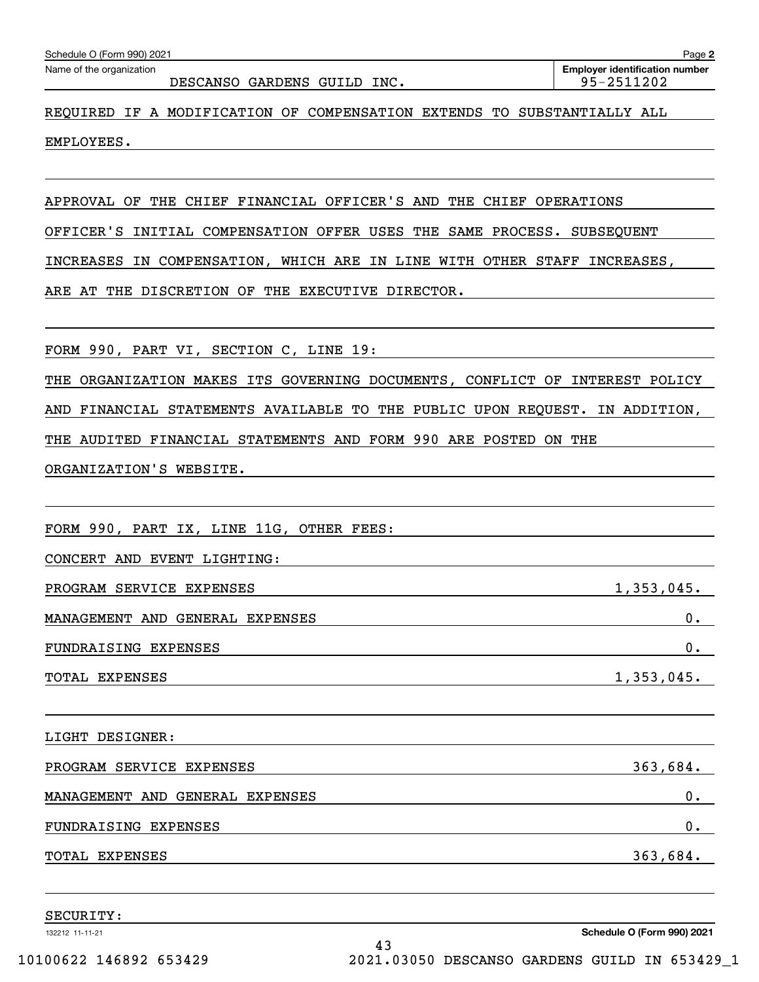| REQUIRED IF A MODIFICATION OF COMPENSATION EXTENDS TO SUBSTANTIALLY ALL<br>EMPLOYEES. |
|---------------------------------------------------------------------------------------|
|                                                                                       |
| APPROVAL OF THE CHIEF FINANCIAL OFFICER'S AND THE CHIEF OPERATIONS                    |
| OFFICER'S INITIAL COMPENSATION OFFER USES THE SAME PROCESS. SUBSEQUENT                |
| IN COMPENSATION, WHICH ARE IN LINE WITH OTHER STAFF INCREASES,<br>INCREASES           |
| ARE AT THE DISCRETION OF THE EXECUTIVE DIRECTOR.                                      |
| FORM 990, PART VI, SECTION C, LINE 19:                                                |
| THE ORGANIZATION MAKES ITS GOVERNING DOCUMENTS, CONFLICT OF INTEREST POLICY           |
| AND FINANCIAL STATEMENTS AVAILABLE TO THE PUBLIC UPON REQUEST. IN ADDITION,           |
| THE AUDITED FINANCIAL STATEMENTS AND FORM 990 ARE POSTED ON THE                       |
| ORGANIZATION'S WEBSITE.                                                               |
|                                                                                       |
| FORM 990, PART IX, LINE 11G, OTHER FEES:                                              |
| CONCERT AND EVENT LIGHTING:                                                           |
| PROGRAM SERVICE EXPENSES<br>$1,353,045$ .                                             |
| MANAGEMENT AND GENERAL EXPENSES<br>0.                                                 |
| FUNDRAISING EXPENSES<br>0.                                                            |
| 1,353,045.<br>TOTAL EXPENSES                                                          |
| LIGHT DESIGNER:                                                                       |
| 363,684.<br>PROGRAM SERVICE EXPENSES                                                  |
| 0.<br>MANAGEMENT AND GENERAL EXPENSES                                                 |
| 0.<br>FUNDRAISING EXPENSES                                                            |
| 363,684.<br>TOTAL EXPENSES                                                            |
| SECURITY:                                                                             |

132212 11-11-21

DESCANSO GARDENS GUILD INC. 25-2511202

**Employer identification number** Schedule O (Form 990) 2021 Page Name of the organization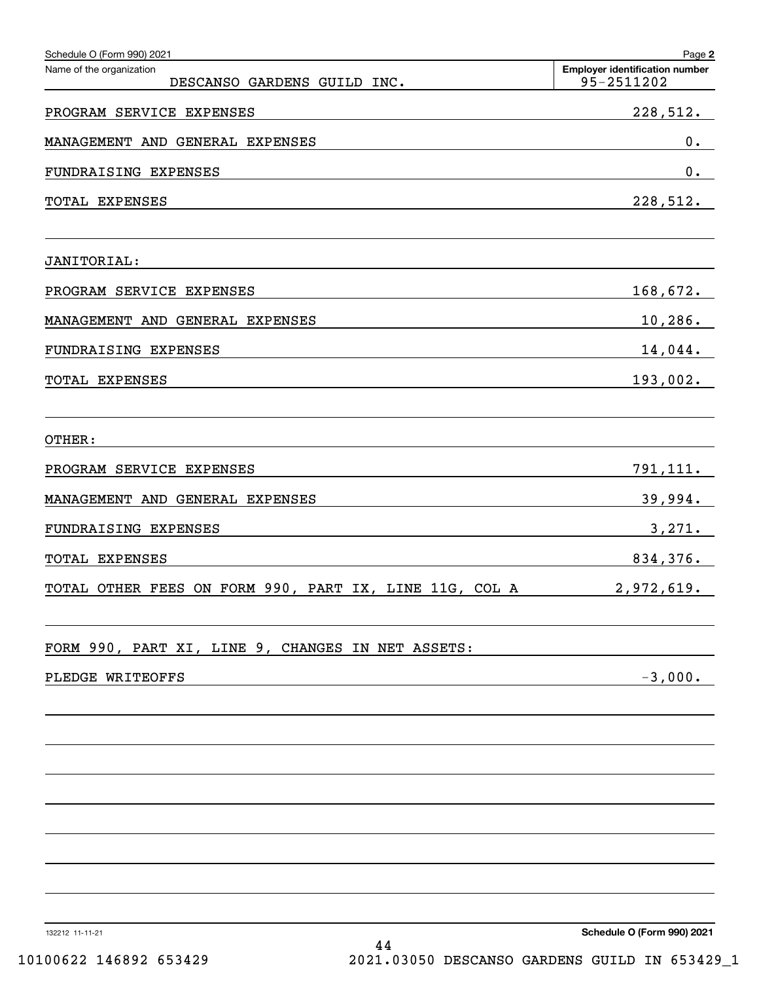| Schedule O (Form 990) 2021                                                                                                                                                                                                                      | Page 2                                              |
|-------------------------------------------------------------------------------------------------------------------------------------------------------------------------------------------------------------------------------------------------|-----------------------------------------------------|
| Name of the organization<br>DESCANSO GARDENS GUILD INC.                                                                                                                                                                                         | <b>Employer identification number</b><br>95-2511202 |
| PROGRAM SERVICE EXPENSES                                                                                                                                                                                                                        | 228,512.                                            |
| MANAGEMENT AND GENERAL EXPENSES                                                                                                                                                                                                                 | $0$ .                                               |
| FUNDRAISING EXPENSES                                                                                                                                                                                                                            | $0$ .                                               |
| TOTAL EXPENSES<br><u> 1989 - Johann Stein, mars an deutscher Stein und der Stein und der Stein und der Stein und der Stein und der</u>                                                                                                          | 228,512.                                            |
| <b>JANITORIAL:</b>                                                                                                                                                                                                                              |                                                     |
| PROGRAM SERVICE EXPENSES                                                                                                                                                                                                                        | 168,672.                                            |
| MANAGEMENT AND GENERAL EXPENSES                                                                                                                                                                                                                 | $10,286$ .                                          |
| FUNDRAISING EXPENSES                                                                                                                                                                                                                            | 14,044.                                             |
| TOTAL EXPENSES<br>the control of the control of the control of the control of the control of the control of the control of the control of the control of the control of the control of the control of the control of the control of the control | 193,002.                                            |
|                                                                                                                                                                                                                                                 |                                                     |
| OTHER:                                                                                                                                                                                                                                          |                                                     |
| PROGRAM SERVICE EXPENSES                                                                                                                                                                                                                        | 791,111 <b>.</b>                                    |
| MANAGEMENT AND GENERAL EXPENSES                                                                                                                                                                                                                 | 39,994.                                             |
| FUNDRAISING EXPENSES                                                                                                                                                                                                                            | 3,271.                                              |
| TOTAL EXPENSES                                                                                                                                                                                                                                  | 834,376.                                            |
| TOTAL OTHER FEES ON FORM 990, PART IX, LINE 11G, COL A                                                                                                                                                                                          | 2,972,619.                                          |
| FORM 990, PART XI, LINE 9, CHANGES IN NET ASSETS:                                                                                                                                                                                               |                                                     |
| PLEDGE WRITEOFFS                                                                                                                                                                                                                                | $-3,000.$                                           |
|                                                                                                                                                                                                                                                 |                                                     |
|                                                                                                                                                                                                                                                 |                                                     |
|                                                                                                                                                                                                                                                 |                                                     |
|                                                                                                                                                                                                                                                 |                                                     |
|                                                                                                                                                                                                                                                 |                                                     |
|                                                                                                                                                                                                                                                 |                                                     |
|                                                                                                                                                                                                                                                 |                                                     |
|                                                                                                                                                                                                                                                 |                                                     |

132212 11-11-21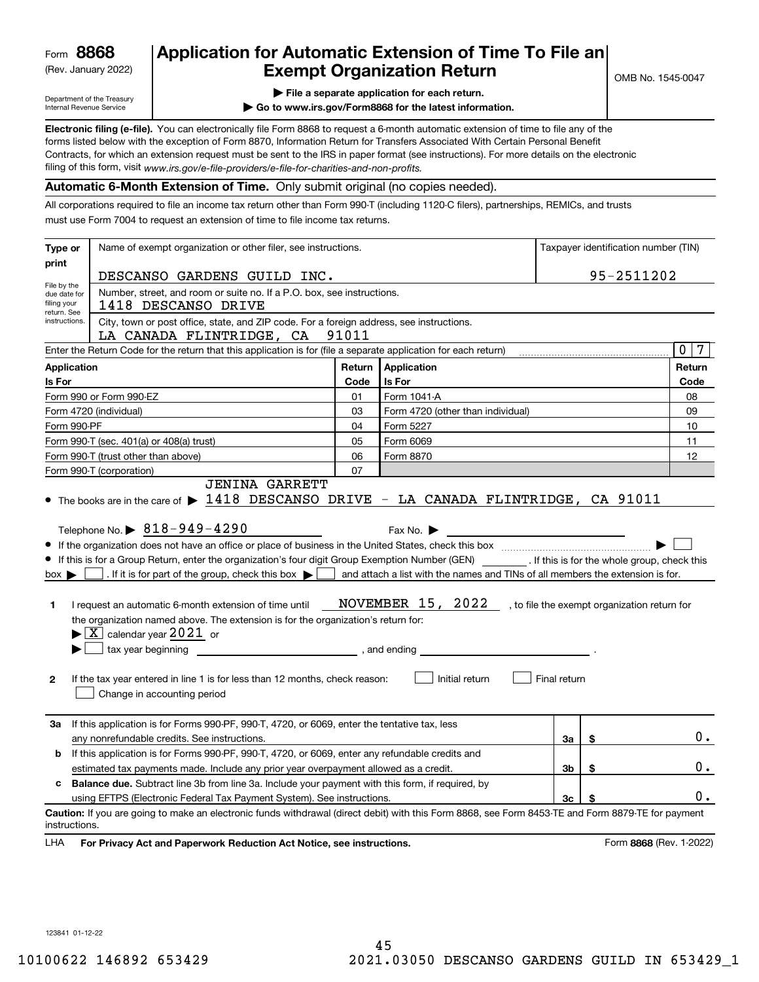(Rev. January 2022)

## **Application for Automatic Extension of Time To File an Exempt Organization Return**

Department of the Treasury Internal Revenue Service

|  |  |  | $\blacktriangleright$ File a separate application for each return. |  |
|--|--|--|--------------------------------------------------------------------|--|
|  |  |  |                                                                    |  |

**| Go to www.irs.gov/Form8868 for the latest information.**

**Electronic filing (e-file).**  You can electronically file Form 8868 to request a 6-month automatic extension of time to file any of the filing of this form, visit www*.irs.gov/e-file-providers/e-file-for-charities-and-non-profits.* forms listed below with the exception of Form 8870, Information Return for Transfers Associated With Certain Personal Benefit Contracts, for which an extension request must be sent to the IRS in paper format (see instructions). For more details on the electronic

#### **Automatic 6-Month Extension of Time.** Only submit original (no copies needed).

All corporations required to file an income tax return other than Form 990-T (including 1120-C filers), partnerships, REMICs, and trusts must use Form 7004 to request an extension of time to file income tax returns.

| Type or                                                                                                                                                       | Name of exempt organization or other filer, see instructions.                                                                                                                                                                                                                                                                                                                                                                                                                                                                                                                                                                          | Taxpayer identification number (TIN) |                                                                                                                                                        |              |                                              |                         |  |  |
|---------------------------------------------------------------------------------------------------------------------------------------------------------------|----------------------------------------------------------------------------------------------------------------------------------------------------------------------------------------------------------------------------------------------------------------------------------------------------------------------------------------------------------------------------------------------------------------------------------------------------------------------------------------------------------------------------------------------------------------------------------------------------------------------------------------|--------------------------------------|--------------------------------------------------------------------------------------------------------------------------------------------------------|--------------|----------------------------------------------|-------------------------|--|--|
| print                                                                                                                                                         | DESCANSO GARDENS GUILD INC.                                                                                                                                                                                                                                                                                                                                                                                                                                                                                                                                                                                                            |                                      | 95-2511202                                                                                                                                             |              |                                              |                         |  |  |
| File by the<br>due date for<br>filing your                                                                                                                    | Number, street, and room or suite no. If a P.O. box, see instructions.<br>1418 DESCANSO DRIVE                                                                                                                                                                                                                                                                                                                                                                                                                                                                                                                                          |                                      |                                                                                                                                                        |              |                                              |                         |  |  |
| return. See<br>instructions.<br>City, town or post office, state, and ZIP code. For a foreign address, see instructions.<br>LA CANADA FLINTRIDGE, CA<br>91011 |                                                                                                                                                                                                                                                                                                                                                                                                                                                                                                                                                                                                                                        |                                      |                                                                                                                                                        |              |                                              |                         |  |  |
|                                                                                                                                                               | Enter the Return Code for the return that this application is for (file a separate application for each return)                                                                                                                                                                                                                                                                                                                                                                                                                                                                                                                        |                                      |                                                                                                                                                        |              |                                              | $\mathbf 0$<br>7        |  |  |
| <b>Application</b>                                                                                                                                            |                                                                                                                                                                                                                                                                                                                                                                                                                                                                                                                                                                                                                                        | Return                               | <b>Application</b>                                                                                                                                     |              |                                              | Return                  |  |  |
| Is For                                                                                                                                                        |                                                                                                                                                                                                                                                                                                                                                                                                                                                                                                                                                                                                                                        | Code                                 | Is For                                                                                                                                                 |              |                                              | Code                    |  |  |
|                                                                                                                                                               | Form 990 or Form 990-EZ                                                                                                                                                                                                                                                                                                                                                                                                                                                                                                                                                                                                                | 01                                   | Form 1041-A                                                                                                                                            |              |                                              | 08                      |  |  |
|                                                                                                                                                               | Form 4720 (individual)                                                                                                                                                                                                                                                                                                                                                                                                                                                                                                                                                                                                                 | 03                                   | Form 4720 (other than individual)                                                                                                                      |              |                                              | 09                      |  |  |
| Form 990-PF                                                                                                                                                   |                                                                                                                                                                                                                                                                                                                                                                                                                                                                                                                                                                                                                                        | 04                                   | Form 5227                                                                                                                                              |              |                                              | 10                      |  |  |
|                                                                                                                                                               | Form 990-T (sec. 401(a) or 408(a) trust)                                                                                                                                                                                                                                                                                                                                                                                                                                                                                                                                                                                               | 05                                   | Form 6069                                                                                                                                              |              |                                              | 11                      |  |  |
|                                                                                                                                                               | Form 990-T (trust other than above)                                                                                                                                                                                                                                                                                                                                                                                                                                                                                                                                                                                                    | 06                                   | Form 8870                                                                                                                                              |              |                                              | 12                      |  |  |
|                                                                                                                                                               | Form 990-T (corporation)                                                                                                                                                                                                                                                                                                                                                                                                                                                                                                                                                                                                               | 07                                   |                                                                                                                                                        |              |                                              |                         |  |  |
| $box \blacktriangleright$<br>1.<br>2                                                                                                                          | Telephone No. $\triangleright$ 818-949-4290<br>If this is for a Group Return, enter the organization's four digit Group Exemption Number (GEN) __________. If this is for the whole group, check this<br>. If it is for part of the group, check this box $\blacktriangleright$ [<br>I request an automatic 6-month extension of time until<br>the organization named above. The extension is for the organization's return for:<br>$\blacktriangleright$ $\boxed{\text{X}}$ calendar year 2021 or<br>tax year beginning<br>If the tax year entered in line 1 is for less than 12 months, check reason:<br>Change in accounting period | , and ending                         | Fax No. $\blacktriangleright$<br>and attach a list with the names and TINs of all members the extension is for.<br>NOVEMBER 15, 2022<br>Initial return | Final return | , to file the exempt organization return for |                         |  |  |
| За                                                                                                                                                            | If this application is for Forms 990-PF, 990-T, 4720, or 6069, enter the tentative tax, less<br>any nonrefundable credits. See instructions.                                                                                                                                                                                                                                                                                                                                                                                                                                                                                           |                                      |                                                                                                                                                        | За           | S                                            | 0.                      |  |  |
| b                                                                                                                                                             | If this application is for Forms 990-PF, 990-T, 4720, or 6069, enter any refundable credits and                                                                                                                                                                                                                                                                                                                                                                                                                                                                                                                                        |                                      |                                                                                                                                                        |              |                                              |                         |  |  |
|                                                                                                                                                               | estimated tax payments made. Include any prior year overpayment allowed as a credit.                                                                                                                                                                                                                                                                                                                                                                                                                                                                                                                                                   |                                      |                                                                                                                                                        | 3b           | \$                                           | О.                      |  |  |
| c                                                                                                                                                             | <b>Balance due.</b> Subtract line 3b from line 3a. Include your payment with this form, if required, by                                                                                                                                                                                                                                                                                                                                                                                                                                                                                                                                |                                      |                                                                                                                                                        |              |                                              |                         |  |  |
|                                                                                                                                                               | using EFTPS (Electronic Federal Tax Payment System). See instructions.                                                                                                                                                                                                                                                                                                                                                                                                                                                                                                                                                                 |                                      |                                                                                                                                                        | Зс           | \$                                           | $0$ .                   |  |  |
| instructions.                                                                                                                                                 | Caution: If you are going to make an electronic funds withdrawal (direct debit) with this Form 8868, see Form 8453-TE and Form 8879-TE for payment                                                                                                                                                                                                                                                                                                                                                                                                                                                                                     |                                      |                                                                                                                                                        |              |                                              |                         |  |  |
| LHA                                                                                                                                                           | For Privacy Act and Paperwork Reduction Act Notice, see instructions.                                                                                                                                                                                                                                                                                                                                                                                                                                                                                                                                                                  |                                      |                                                                                                                                                        |              |                                              | Form 8868 (Rev. 1-2022) |  |  |

123841 01-12-22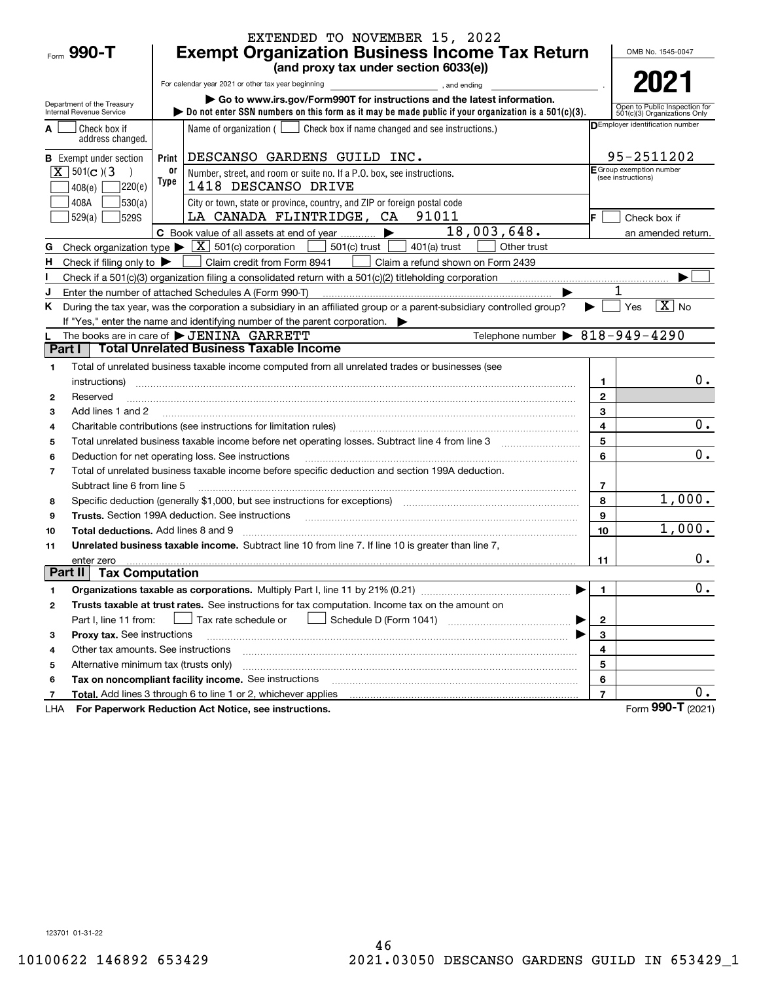|                |                                               |                                                       | EXTENDED TO NOVEMBER 15, 2022                                                                                                                                                                                                  |                |                                                |
|----------------|-----------------------------------------------|-------------------------------------------------------|--------------------------------------------------------------------------------------------------------------------------------------------------------------------------------------------------------------------------------|----------------|------------------------------------------------|
|                | $F_{\text{form}}$ 990-T                       | <b>Exempt Organization Business Income Tax Return</b> | OMB No. 1545-0047                                                                                                                                                                                                              |                |                                                |
|                |                                               |                                                       | (and proxy tax under section 6033(e))                                                                                                                                                                                          |                |                                                |
|                |                                               |                                                       | For calendar year 2021 or other tax year beginning<br>and ending<br>and ending<br>and ending                                                                                                                                   |                | 2021                                           |
|                | Department of the Treasury                    |                                                       | Go to www.irs.gov/Form990T for instructions and the latest information.                                                                                                                                                        |                | Open to Public Inspection for                  |
|                | Internal Revenue Service                      |                                                       | bo not enter SSN numbers on this form as it may be made public if your organization is a $501(c)(3)$ .                                                                                                                         |                | 501(c)(3) Organizations Only                   |
|                | Check box if<br>address changed.              |                                                       | Name of organization $($ $\Box$ Check box if name changed and see instructions.)                                                                                                                                               |                | DEmployer identification number                |
|                | <b>B</b> Exempt under section                 | Print                                                 | DESCANSO GARDENS GUILD INC.                                                                                                                                                                                                    |                | 95-2511202                                     |
|                | $\boxed{\mathbf{X}}$ 501(c)(3                 | 0ľ                                                    | Number, street, and room or suite no. If a P.O. box, see instructions.                                                                                                                                                         |                | E Group exemption number<br>(see instructions) |
|                | ]220(e)<br>408(e)                             | Type                                                  | 1418 DESCANSO DRIVE                                                                                                                                                                                                            |                |                                                |
|                | 408A<br> 530(a)                               |                                                       | City or town, state or province, country, and ZIP or foreign postal code                                                                                                                                                       |                |                                                |
|                | 529(a)<br>529S                                |                                                       | LA CANADA FLINTRIDGE, CA<br>91011                                                                                                                                                                                              | IF.            | Check box if                                   |
|                |                                               |                                                       | 18,003,648.<br>▶<br>C Book value of all assets at end of year                                                                                                                                                                  |                | an amended return.                             |
| G              |                                               |                                                       | Check organization type $\blacktriangleright \boxed{\textbf{X}}$ 501(c) corporation<br>501(c) trust<br>$401(a)$ trust<br>Other trust                                                                                           |                |                                                |
| н.             | Check if filing only to $\blacktriangleright$ |                                                       | Claim credit from Form 8941<br>Claim a refund shown on Form 2439                                                                                                                                                               |                |                                                |
|                |                                               |                                                       | Check if a 501(c)(3) organization filing a consolidated return with a 501(c)(2) titleholding corporation $\ldots$                                                                                                              |                |                                                |
| J              |                                               |                                                       | Enter the number of attached Schedules A (Form 990-T)                                                                                                                                                                          |                |                                                |
| K.             |                                               |                                                       | During the tax year, was the corporation a subsidiary in an affiliated group or a parent-subsidiary controlled group?                                                                                                          |                | $\boxed{\text{X}}$ No<br>Yes                   |
|                |                                               |                                                       | If "Yes," enter the name and identifying number of the parent corporation.                                                                                                                                                     |                |                                                |
| Part I         |                                               |                                                       | Telephone number $\triangleright$ 818-949-4290<br>The books are in care of $\blacktriangleright$ JENINA GARRETT<br><b>Total Unrelated Business Taxable Income</b>                                                              |                |                                                |
|                |                                               |                                                       |                                                                                                                                                                                                                                |                |                                                |
| 1              |                                               |                                                       | Total of unrelated business taxable income computed from all unrelated trades or businesses (see                                                                                                                               |                |                                                |
|                | instructions)                                 |                                                       |                                                                                                                                                                                                                                | 1              | $0$ .                                          |
| 2              | Reserved                                      |                                                       |                                                                                                                                                                                                                                | $\mathbf{2}$   |                                                |
| 3              | Add lines 1 and 2                             |                                                       |                                                                                                                                                                                                                                | 3              | 0.                                             |
| 4              |                                               |                                                       | Charitable contributions (see instructions for limitation rules)                                                                                                                                                               | 4<br>5         |                                                |
| 5              |                                               |                                                       |                                                                                                                                                                                                                                | 6              | 0.                                             |
| 6              |                                               |                                                       | Deduction for net operating loss. See instructions<br>Total of unrelated business taxable income before specific deduction and section 199A deduction.                                                                         |                |                                                |
| $\overline{7}$ | Subtract line 6 from line 5                   |                                                       |                                                                                                                                                                                                                                | 7              |                                                |
| 8              |                                               |                                                       | Specific deduction (generally \$1,000, but see instructions for exceptions) [11] [11] [11] Specific deduction (generally \$1,000, but see instructions for exceptions) [11] [12] [12] [12] $\frac{1}{2}$                       | 8              | 1,000.                                         |
| 9              |                                               |                                                       | Trusts. Section 199A deduction. See instructions [11] material content content and the intervention of the intervention of the intervention of the intervention of the intervention of the intervention of the intervention of | 9              |                                                |
| 10             | <b>Total deductions.</b> Add lines 8 and 9    |                                                       |                                                                                                                                                                                                                                | 10             | 1,000.                                         |
| 11             |                                               |                                                       | Unrelated business taxable income. Subtract line 10 from line 7. If line 10 is greater than line 7,                                                                                                                            |                |                                                |
|                | enter zero                                    |                                                       |                                                                                                                                                                                                                                | 11             | 0.                                             |
| Part II        | <b>Tax Computation</b>                        |                                                       |                                                                                                                                                                                                                                |                |                                                |
| 1              |                                               |                                                       |                                                                                                                                                                                                                                | 1.             | $\overline{0}$ .                               |
| 2              |                                               |                                                       | Trusts taxable at trust rates. See instructions for tax computation. Income tax on the amount on                                                                                                                               |                |                                                |
|                | Part I, line 11 from:                         |                                                       | Tax rate schedule or                                                                                                                                                                                                           | $\mathbf 2$    |                                                |
| з              | Proxy tax. See instructions                   |                                                       |                                                                                                                                                                                                                                | 3              |                                                |
| 4              | Other tax amounts. See instructions           |                                                       |                                                                                                                                                                                                                                | 4              |                                                |
| 5              | Alternative minimum tax (trusts only)         |                                                       |                                                                                                                                                                                                                                | 5              |                                                |
| 6              |                                               |                                                       | Tax on noncompliant facility income. See instructions                                                                                                                                                                          | 6              |                                                |
| 7              |                                               |                                                       | Total. Add lines 3 through 6 to line 1 or 2, whichever applies                                                                                                                                                                 | $\overline{7}$ | 0.                                             |
| LHA            |                                               |                                                       | For Paperwork Reduction Act Notice, see instructions.                                                                                                                                                                          |                | Form 990-T (2021)                              |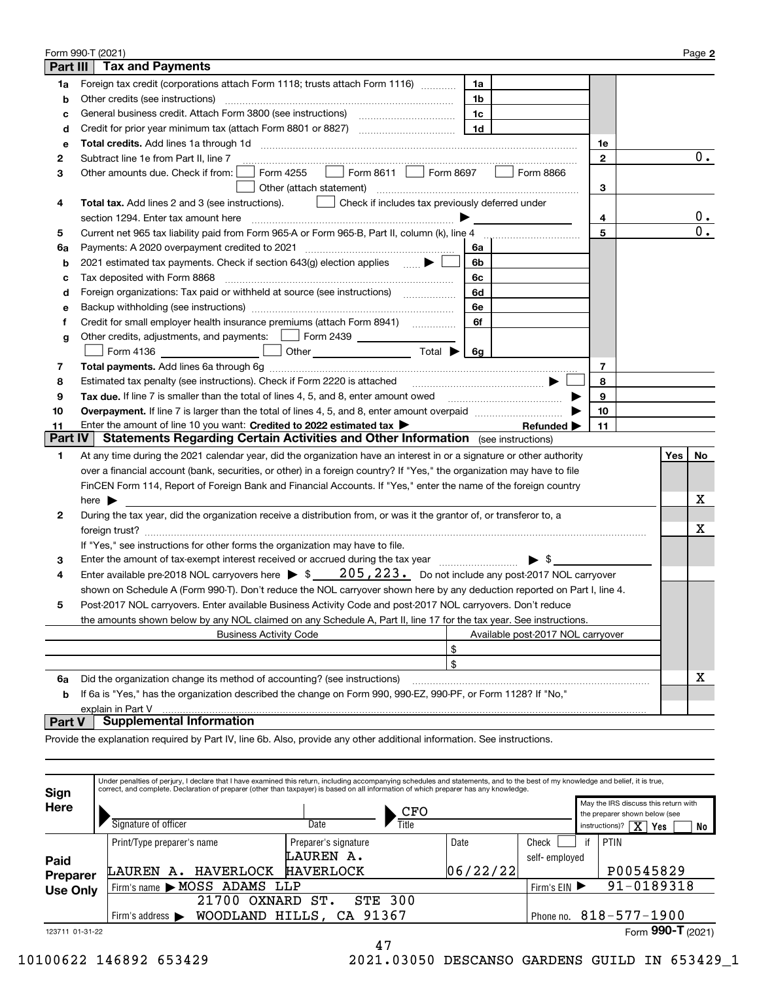|          | Form 990-T (2021)                                                                                                           |                |                                   |              |     | Page 2 |
|----------|-----------------------------------------------------------------------------------------------------------------------------|----------------|-----------------------------------|--------------|-----|--------|
| Part III | <b>Tax and Payments</b>                                                                                                     |                |                                   |              |     |        |
| 1a       | Foreign tax credit (corporations attach Form 1118; trusts attach Form 1116)                                                 | 1a             |                                   |              |     |        |
| b        | Other credits (see instructions)                                                                                            | 1b             |                                   |              |     |        |
| с        |                                                                                                                             | 1c             |                                   |              |     |        |
| d        |                                                                                                                             | 1 <sub>d</sub> |                                   |              |     |        |
| е        |                                                                                                                             |                |                                   | 1е           |     |        |
| 2        | Subtract line 1e from Part II, line 7                                                                                       |                |                                   | $\mathbf{2}$ |     | $0$ .  |
| 3        | Form 8611   Form 8697<br>Form 4255<br>Other amounts due. Check if from: [                                                   |                | Form 8866                         |              |     |        |
|          |                                                                                                                             |                |                                   | 3            |     |        |
| 4        | <b>Total tax.</b> Add lines 2 and 3 (see instructions).<br>  Check if includes tax previously deferred under                |                |                                   |              |     |        |
|          |                                                                                                                             |                |                                   | 4            |     | $0$ .  |
| 5        |                                                                                                                             |                |                                   | 5            |     | 0.     |
| 6a       | Payments: A 2020 overpayment credited to 2021 [11] [12] [12] [13] [13] Payments: A 2020 overpayment credited to 2021        | 6а             |                                   |              |     |        |
| b        | 2021 estimated tax payments. Check if section $643(q)$ election applies                                                     | 6b             |                                   |              |     |        |
| с        | Tax deposited with Form 8868                                                                                                | 6с             |                                   |              |     |        |
| d        | Foreign organizations: Tax paid or withheld at source (see instructions) [                                                  | 6d             |                                   |              |     |        |
| е        |                                                                                                                             | 6e             |                                   |              |     |        |
| f        | Credit for small employer health insurance premiums (attach Form 8941)                                                      | 6f             |                                   |              |     |        |
| g        | Other credits, adjustments, and payments: [16] Form 2439                                                                    |                |                                   |              |     |        |
|          |                                                                                                                             |                |                                   |              |     |        |
| 7        |                                                                                                                             |                |                                   | 7            |     |        |
| 8        | Estimated tax penalty (see instructions). Check if Form 2220 is attached                                                    |                |                                   | 8            |     |        |
| 9        | Tax due. If line 7 is smaller than the total of lines 4, 5, and 8, enter amount owed                                        |                |                                   | 9            |     |        |
| 10       |                                                                                                                             |                |                                   | 10           |     |        |
| 11       | Enter the amount of line 10 you want: Credited to 2022 estimated tax                                                        |                | Refunded $\blacktriangleright$    | 11           |     |        |
| Part IV  | <b>Statements Regarding Certain Activities and Other Information</b> (see instructions)                                     |                |                                   |              |     |        |
| 1        | At any time during the 2021 calendar year, did the organization have an interest in or a signature or other authority       |                |                                   |              | Yes | No l   |
|          | over a financial account (bank, securities, or other) in a foreign country? If "Yes," the organization may have to file     |                |                                   |              |     |        |
|          | FinCEN Form 114, Report of Foreign Bank and Financial Accounts. If "Yes," enter the name of the foreign country             |                |                                   |              |     |        |
|          | here $\blacktriangleright$                                                                                                  |                |                                   |              |     | x      |
| 2        | During the tax year, did the organization receive a distribution from, or was it the grantor of, or transferor to, a        |                |                                   |              |     |        |
|          |                                                                                                                             |                |                                   |              |     | Χ      |
|          | If "Yes," see instructions for other forms the organization may have to file.                                               |                |                                   |              |     |        |
| 3        | Enter the amount of tax-exempt interest received or accrued during the tax year                                             |                | $\blacktriangleright$ \$          |              |     |        |
| 4        | Enter available pre-2018 NOL carryovers here $\triangleright$ \$ _____ 205, 223. Do not include any post-2017 NOL carryover |                |                                   |              |     |        |
|          | shown on Schedule A (Form 990-T). Don't reduce the NOL carryover shown here by any deduction reported on Part I, line 4.    |                |                                   |              |     |        |
|          | Post-2017 NOL carryovers. Enter available Business Activity Code and post-2017 NOL carryovers. Don't reduce                 |                |                                   |              |     |        |
|          | the amounts shown below by any NOL claimed on any Schedule A, Part II, line 17 for the tax year. See instructions.          |                |                                   |              |     |        |
|          | <b>Business Activity Code</b>                                                                                               |                | Available post-2017 NOL carryover |              |     |        |
|          |                                                                                                                             | \$             |                                   |              |     |        |
|          |                                                                                                                             | $\mathfrak{s}$ |                                   |              |     |        |
| 6a       | Did the organization change its method of accounting? (see instructions)                                                    |                |                                   |              |     | X      |
| b        | If 6a is "Yes," has the organization described the change on Form 990, 990-EZ, 990-PF, or Form 1128? If "No,"               |                |                                   |              |     |        |
|          | explain in Part V                                                                                                           |                |                                   |              |     |        |

#### **Part V Supplemental Information**

Provide the explanation required by Part IV, line 6b. Also, provide any other additional information. See instructions.

| Sign<br>Here    | Signature of officer                                                | Date                 | correct, and complete. Declaration of preparer (other than taxpayer) is based on all information of which preparer has any knowledge.<br>CFO<br>Title |                        | May the IRS discuss this return with<br>the preparer shown below (see<br>instructions)? |                                    |
|-----------------|---------------------------------------------------------------------|----------------------|-------------------------------------------------------------------------------------------------------------------------------------------------------|------------------------|-----------------------------------------------------------------------------------------|------------------------------------|
|                 |                                                                     |                      |                                                                                                                                                       |                        |                                                                                         | $\overline{\text{X}}$<br>No<br>Yes |
|                 | Print/Type preparer's name                                          | Preparer's signature | Date                                                                                                                                                  | Check                  |                                                                                         | PTIN                               |
| Paid            |                                                                     | LAUREN A.            |                                                                                                                                                       | self-employed          |                                                                                         |                                    |
| Preparer        | HAVERLOCK<br>LAUREN<br>А.                                           | <b>HAVERLOCK</b>     | 06/22/22                                                                                                                                              |                        |                                                                                         | P00545829                          |
| <b>Use Only</b> | Firm's name MOSS ADAMS LLP                                          | Firm's $EIN$         |                                                                                                                                                       | 91-0189318             |                                                                                         |                                    |
|                 | 21700<br>OXNARD                                                     |                      |                                                                                                                                                       |                        |                                                                                         |                                    |
|                 | HILLS, CA 91367<br>WOODLAND<br>Firm's address $\blacktriangleright$ |                      |                                                                                                                                                       | Phone no. 818-577-1900 |                                                                                         |                                    |
| 123711 01-31-22 |                                                                     |                      |                                                                                                                                                       |                        |                                                                                         | Form 990-T (2021)                  |
|                 |                                                                     | 47                   |                                                                                                                                                       |                        |                                                                                         |                                    |

10100622 146892 653429 2021.03050 DESCANSO GARDENS GUILD IN 653429\_1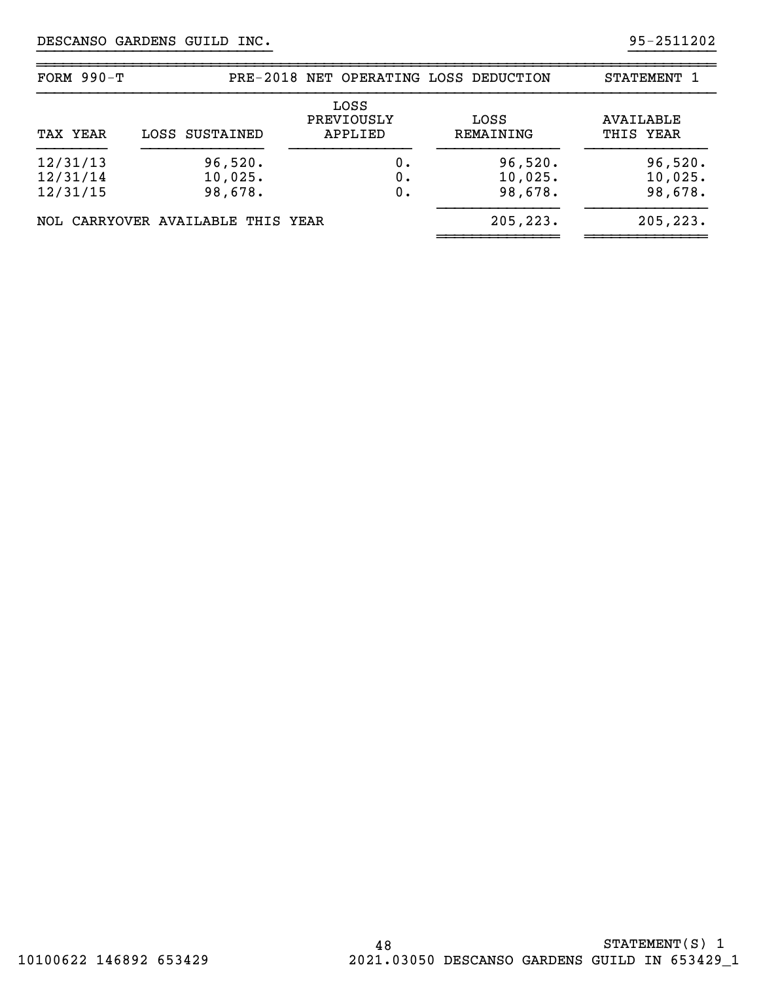| FORM $990-T$                     |                                   |                               | PRE-2018 NET OPERATING LOSS DEDUCTION | STATEMENT 1                   |
|----------------------------------|-----------------------------------|-------------------------------|---------------------------------------|-------------------------------|
| TAX YEAR                         | LOSS SUSTAINED                    | LOSS<br>PREVIOUSLY<br>APPLIED | LOSS<br>REMAINING                     | <b>AVAILABLE</b><br>THIS YEAR |
| 12/31/13<br>12/31/14<br>12/31/15 | 96,520.<br>10,025.<br>98,678.     | 0.<br>0.<br>0.                | 96,520.<br>10,025.<br>98,678.         | 96,520.<br>10,025.<br>98,678. |
|                                  | NOL CARRYOVER AVAILABLE THIS YEAR |                               | 205, 223.                             | 205, 223.                     |

}}}}}}}}}}}}}}}}}}}}}}}}}}} }}}}}}}}}}

~~~~~~~~~~~~~~~~~~~~~~~~~~~~~~~~~~~~~~~~~~~~~~~~~~~~~~~~~~~~~~~~~~~~~~~~~~~~~~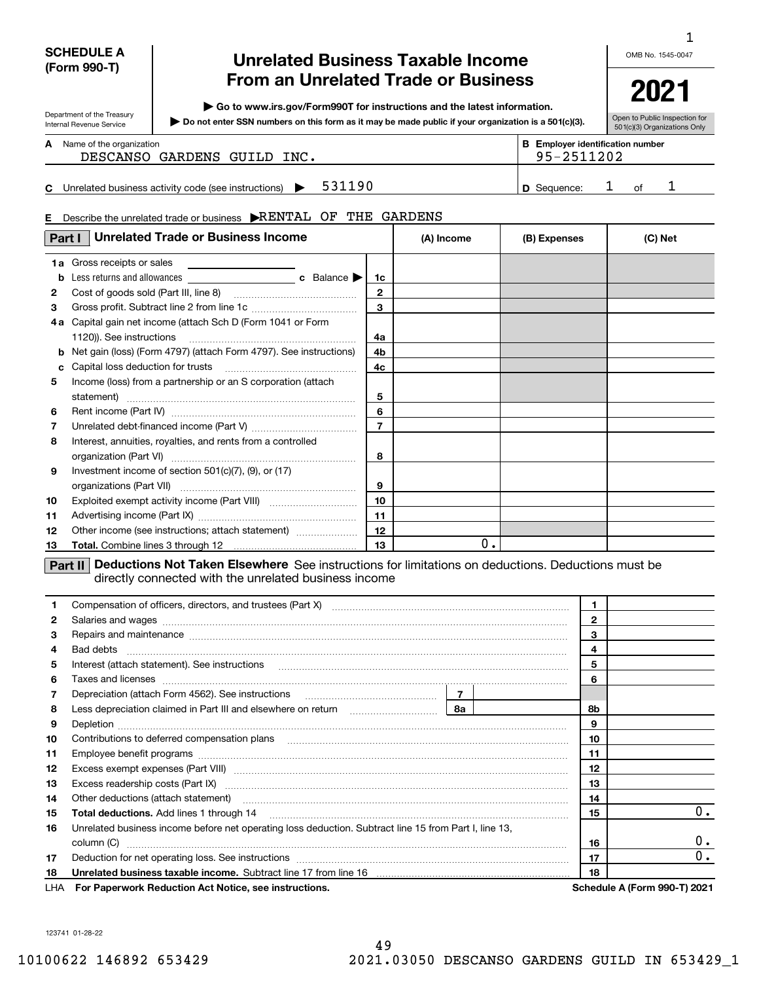#### **SCHEDULE A (Form 990-T)**

Department of the Treasury Internal Revenue Service

# **Unrelated Business Taxable Income From an Unrelated Trade or Business**

**| Go to www.irs.gov/Form990T for instructions and the latest information.**

**Do not enter SSN numbers on this form as it may be made public if your organization is a 501(c)(3). |** 

OMB No. 1545-0047

1

**2021**

Open to Public Inspection for 501(c)(3) Organizations Only

#### **A**

|    | <b>A</b> Name of the organization<br>DESCANSO GARDENS GUILD INC. | <b>B</b> Employer identification number<br>95-2511202 |  |  |
|----|------------------------------------------------------------------|-------------------------------------------------------|--|--|
| C. | 531190<br>Unrelated business activity code (see instructions)    | <b>D</b> Sequence:                                    |  |  |

#### **E** Describe the unrelated trade or business  $\blacktriangleright$ RENTAL OF THE GARDENS

| Part I | <b>Unrelated Trade or Business Income</b>                                                                                                                             | (A) Income     | (B) Expenses |  | (C) Net      |  |  |  |  |  |
|--------|-----------------------------------------------------------------------------------------------------------------------------------------------------------------------|----------------|--------------|--|--------------|--|--|--|--|--|
|        | 1a Gross receipts or sales<br>the control of the control of the control of                                                                                            |                |              |  |              |  |  |  |  |  |
| b      |                                                                                                                                                                       | 1c             |              |  |              |  |  |  |  |  |
| 2      |                                                                                                                                                                       | $\mathbf{2}$   |              |  |              |  |  |  |  |  |
| 3      |                                                                                                                                                                       | $\mathbf{3}$   |              |  |              |  |  |  |  |  |
| 4а     | Capital gain net income (attach Sch D (Form 1041 or Form                                                                                                              |                |              |  |              |  |  |  |  |  |
|        | 1120)). See instructions                                                                                                                                              | 4a             |              |  |              |  |  |  |  |  |
| b      | Net gain (loss) (Form 4797) (attach Form 4797). See instructions)                                                                                                     | 4b             |              |  |              |  |  |  |  |  |
| c      | Capital loss deduction for trusts                                                                                                                                     | 4c             |              |  |              |  |  |  |  |  |
| 5      | Income (loss) from a partnership or an S corporation (attach                                                                                                          |                |              |  |              |  |  |  |  |  |
|        |                                                                                                                                                                       | 5              |              |  |              |  |  |  |  |  |
| 6      |                                                                                                                                                                       | 6              |              |  |              |  |  |  |  |  |
| 7      |                                                                                                                                                                       | $\overline{7}$ |              |  |              |  |  |  |  |  |
| 8      | Interest, annuities, royalties, and rents from a controlled                                                                                                           |                |              |  |              |  |  |  |  |  |
|        | organization (Part VI)                                                                                                                                                | 8              |              |  |              |  |  |  |  |  |
| 9      | Investment income of section $501(c)(7)$ , $(9)$ , or $(17)$                                                                                                          |                |              |  |              |  |  |  |  |  |
|        |                                                                                                                                                                       | 9              |              |  |              |  |  |  |  |  |
| 10     |                                                                                                                                                                       | 10             |              |  |              |  |  |  |  |  |
| 11     |                                                                                                                                                                       | 11             |              |  |              |  |  |  |  |  |
| 12     | Other income (see instructions; attach statement)                                                                                                                     | 12             |              |  |              |  |  |  |  |  |
| 13     |                                                                                                                                                                       | 13             | 0.           |  |              |  |  |  |  |  |
|        | Deductions Not Taken Elsewhere See instructions for limitations on deductions. Deductions must be<br>Part II<br>directly connected with the unrelated business income |                |              |  |              |  |  |  |  |  |
| 1      | Compensation of officers, directors, and trustees (Part X)                                                                                                            |                |              |  | $\mathbf{1}$ |  |  |  |  |  |

|              | Compensation of onicers, directors, and trustees $(\text{Part } A)$ [[1] [1] [1] [1] [1] [1] $\ldots$ [1] $\ldots$ [1] $\ldots$ [1] $\ldots$ [1] $\ldots$ [1] $\ldots$ [1] $\ldots$ [1] $\ldots$ [1] $\ldots$ [1] $\ldots$ [1] $\ldots$ [1] $\ldots$ [1] $\ldots$ [1] $\ldots$ [ |                |    |                                     |
|--------------|----------------------------------------------------------------------------------------------------------------------------------------------------------------------------------------------------------------------------------------------------------------------------------|----------------|----|-------------------------------------|
| $\mathbf{2}$ | Salaries and wages <b>with a construction of the construction of the construction of the construction</b>                                                                                                                                                                        | $\overline{2}$ |    |                                     |
| 3            | Repairs and maintenance measurements and maintenance communications and maintenance measurements and maintenance                                                                                                                                                                 | 3              |    |                                     |
| 4            |                                                                                                                                                                                                                                                                                  | 4              |    |                                     |
| 5            | Interest (attach statement). See instructions                                                                                                                                                                                                                                    | 5              |    |                                     |
| 6            | Taxes and licenses <b>communications</b> and constructions are all the constructions and licenses <b>constructions</b>                                                                                                                                                           |                | 6  |                                     |
| 7            |                                                                                                                                                                                                                                                                                  |                |    |                                     |
| 8            | Less depreciation claimed in Part III and elsewhere on return <i>manumanoman</i>   8a                                                                                                                                                                                            | 8b             |    |                                     |
| 9            |                                                                                                                                                                                                                                                                                  | 9              |    |                                     |
| 10           | Contributions to deferred compensation plans                                                                                                                                                                                                                                     | 10             |    |                                     |
| 11           |                                                                                                                                                                                                                                                                                  | 11             |    |                                     |
| 12           |                                                                                                                                                                                                                                                                                  | 12             |    |                                     |
| 13           | Excess readership costs (Part IX) [11] [2000] [2000] [2010] [3000] [3000] [3000] [3000] [3000] [3000] [3000] [                                                                                                                                                                   | 13             |    |                                     |
| 14           |                                                                                                                                                                                                                                                                                  | 14             |    |                                     |
| 15           |                                                                                                                                                                                                                                                                                  | 15             | 0. |                                     |
| 16           | Unrelated business income before net operating loss deduction. Subtract line 15 from Part I, line 13,                                                                                                                                                                            |                |    |                                     |
|              |                                                                                                                                                                                                                                                                                  |                | 16 | 0.                                  |
| 17           |                                                                                                                                                                                                                                                                                  | 17             | 0. |                                     |
| 18           | Unrelated business taxable income. Subtract line 17 from line 16 [11] www.communicallynum.communications taxable income. Subtract line 17 from line 16                                                                                                                           |                | 18 |                                     |
|              | LHA For Paperwork Reduction Act Notice, see instructions.                                                                                                                                                                                                                        |                |    | <b>Schedule A (Form 990-T) 2021</b> |

123741 01-28-22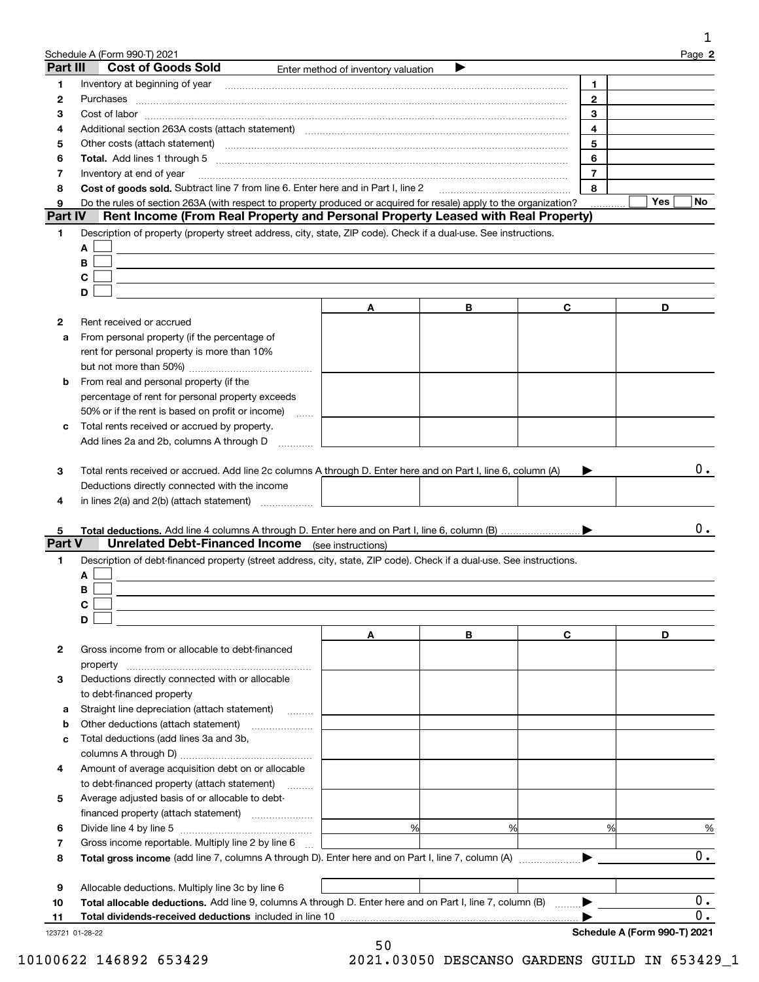|                     | Schedule A (Form 990-T) 2021                                                                                                                                                                                                   |                                     |   |                          | Page 2                    |
|---------------------|--------------------------------------------------------------------------------------------------------------------------------------------------------------------------------------------------------------------------------|-------------------------------------|---|--------------------------|---------------------------|
| Part III            | <b>Cost of Goods Sold</b>                                                                                                                                                                                                      | Enter method of inventory valuation |   |                          |                           |
| 1                   | Inventory at beginning of year [11] manufactured and manufactured and manufactured and manufactured and manufactured and manufactured and manufactured and manufactured and manufactured and manufactured and manufactured and |                                     |   | 1                        |                           |
| 2                   | Purchases                                                                                                                                                                                                                      |                                     |   | $\mathbf{2}$             |                           |
| з                   |                                                                                                                                                                                                                                |                                     |   | 3                        |                           |
| 4                   | Additional section 263A costs (attach statement) material content and according to the Additional section 263A                                                                                                                 |                                     |   | 4                        |                           |
| 5                   | Other costs (attach statement) manufactured and according to the costs (attach statement) and according to the                                                                                                                 |                                     |   | 5                        |                           |
| 6                   | Total. Add lines 1 through 5 [11, 12] manuscription of the state of the state of the state of the state of the state of the state of the state of the state of the state of the state of the state of the state of the state o |                                     |   | 6                        |                           |
| 7                   | Inventory at end of year                                                                                                                                                                                                       |                                     |   | $\overline{\phantom{a}}$ |                           |
| 8                   | Cost of goods sold. Subtract line 7 from line 6. Enter here and in Part I, line 2                                                                                                                                              |                                     |   | 8                        |                           |
| 9<br><b>Part IV</b> | Do the rules of section 263A (with respect to property produced or acquired for resale) apply to the organization?<br>Rent Income (From Real Property and Personal Property Leased with Real Property)                         |                                     |   |                          | Yes<br>No                 |
| 1.                  | Description of property (property street address, city, state, ZIP code). Check if a dual-use. See instructions.                                                                                                               |                                     |   |                          |                           |
|                     | A                                                                                                                                                                                                                              |                                     |   |                          |                           |
|                     | В                                                                                                                                                                                                                              |                                     |   |                          |                           |
|                     | C                                                                                                                                                                                                                              |                                     |   |                          |                           |
|                     | D                                                                                                                                                                                                                              |                                     |   |                          |                           |
|                     |                                                                                                                                                                                                                                | A                                   | В | C                        | D                         |
| 2                   | Rent received or accrued                                                                                                                                                                                                       |                                     |   |                          |                           |
| a                   | From personal property (if the percentage of                                                                                                                                                                                   |                                     |   |                          |                           |
|                     | rent for personal property is more than 10%                                                                                                                                                                                    |                                     |   |                          |                           |
|                     |                                                                                                                                                                                                                                |                                     |   |                          |                           |
| b                   | From real and personal property (if the                                                                                                                                                                                        |                                     |   |                          |                           |
|                     | percentage of rent for personal property exceeds                                                                                                                                                                               |                                     |   |                          |                           |
|                     | 50% or if the rent is based on profit or income)<br>$\ldots$                                                                                                                                                                   |                                     |   |                          |                           |
| c                   | Total rents received or accrued by property.                                                                                                                                                                                   |                                     |   |                          |                           |
|                     | Add lines 2a and 2b, columns A through D                                                                                                                                                                                       |                                     |   |                          |                           |
| 3<br>4              | Total rents received or accrued. Add line 2c columns A through D. Enter here and on Part I, line 6, column (A)<br>Deductions directly connected with the income<br>in lines 2(a) and 2(b) (attach statement)                   |                                     |   |                          | 0.                        |
| 5<br>1              | <b>Unrelated Debt-Financed Income</b> (see instructions)<br>Description of debt-financed property (street address, city, state, ZIP code). Check if a dual-use. See instructions.<br>A<br>В                                    |                                     |   |                          | 0.                        |
|                     | C                                                                                                                                                                                                                              |                                     |   |                          |                           |
|                     | D                                                                                                                                                                                                                              |                                     |   |                          | D                         |
| 2                   | Gross income from or allocable to debt-financed                                                                                                                                                                                | A                                   | В | C                        |                           |
| <b>Part V</b>       | property                                                                                                                                                                                                                       |                                     |   |                          |                           |
| З                   | Deductions directly connected with or allocable                                                                                                                                                                                |                                     |   |                          |                           |
|                     |                                                                                                                                                                                                                                |                                     |   |                          |                           |
| a                   | to debt-financed property                                                                                                                                                                                                      |                                     |   |                          |                           |
| b                   | Straight line depreciation (attach statement)                                                                                                                                                                                  |                                     |   |                          |                           |
| c                   | Other deductions (attach statement)<br>Total deductions (add lines 3a and 3b,                                                                                                                                                  |                                     |   |                          |                           |
|                     |                                                                                                                                                                                                                                |                                     |   |                          |                           |
| 4                   |                                                                                                                                                                                                                                |                                     |   |                          |                           |
|                     | Amount of average acquisition debt on or allocable                                                                                                                                                                             |                                     |   |                          |                           |
|                     | to debt-financed property (attach statement)                                                                                                                                                                                   |                                     |   |                          |                           |
| 5                   | Average adjusted basis of or allocable to debt-                                                                                                                                                                                |                                     |   |                          |                           |
|                     |                                                                                                                                                                                                                                |                                     |   |                          |                           |
| 6                   |                                                                                                                                                                                                                                | %                                   | % | %                        | %                         |
| 7<br>8              | Gross income reportable. Multiply line 2 by line 6<br>Total gross income (add line 7, columns A through D). Enter here and on Part I, line 7, column (A)                                                                       |                                     |   |                          | 0.                        |
|                     |                                                                                                                                                                                                                                |                                     |   |                          |                           |
| 9                   | Allocable deductions. Multiply line 3c by line 6                                                                                                                                                                               |                                     |   |                          |                           |
| 10<br>11            | Total allocable deductions. Add line 9, columns A through D. Enter here and on Part I, line 7, column (B)<br>Total dividends-received deductions included in line 10                                                           |                                     |   |                          | $0$ .<br>$\overline{0}$ . |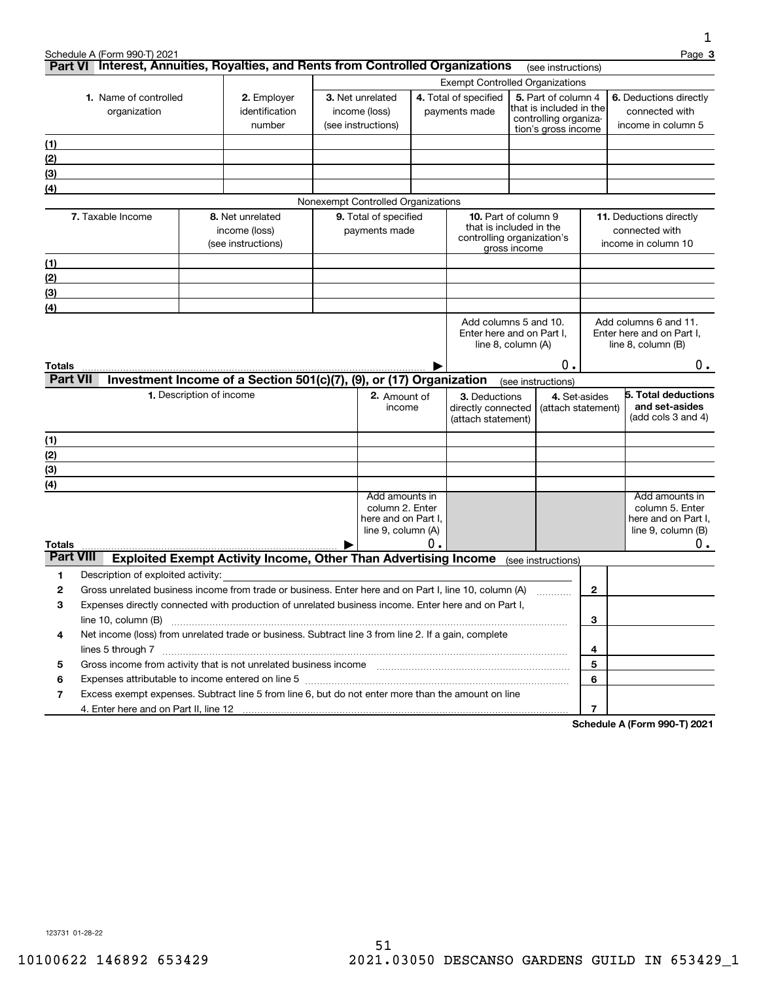|                  |                                                                                                                 |                          |                                                                                                                                                                                                                                                                                                                                                                                                                                                 |                                    |    |                                                        |                    |                                                  |   | 1                                     |
|------------------|-----------------------------------------------------------------------------------------------------------------|--------------------------|-------------------------------------------------------------------------------------------------------------------------------------------------------------------------------------------------------------------------------------------------------------------------------------------------------------------------------------------------------------------------------------------------------------------------------------------------|------------------------------------|----|--------------------------------------------------------|--------------------|--------------------------------------------------|---|---------------------------------------|
|                  | Schedule A (Form 990-T) 2021<br>Part VI Interest, Annuities, Royalties, and Rents from Controlled Organizations |                          |                                                                                                                                                                                                                                                                                                                                                                                                                                                 |                                    |    |                                                        |                    | (see instructions)                               |   | Page 3                                |
|                  |                                                                                                                 |                          |                                                                                                                                                                                                                                                                                                                                                                                                                                                 |                                    |    | <b>Exempt Controlled Organizations</b>                 |                    |                                                  |   |                                       |
|                  | 1. Name of controlled                                                                                           |                          | 2. Employer                                                                                                                                                                                                                                                                                                                                                                                                                                     | 3. Net unrelated                   |    | 4. Total of specified                                  |                    | 5. Part of column 4                              |   | 6. Deductions directly                |
|                  | organization                                                                                                    |                          | identification                                                                                                                                                                                                                                                                                                                                                                                                                                  | income (loss)                      |    | payments made                                          |                    | that is included in the<br>controlling organiza- |   | connected with                        |
|                  |                                                                                                                 |                          | number                                                                                                                                                                                                                                                                                                                                                                                                                                          | (see instructions)                 |    |                                                        |                    | tion's gross income                              |   | income in column 5                    |
| (1)              |                                                                                                                 |                          |                                                                                                                                                                                                                                                                                                                                                                                                                                                 |                                    |    |                                                        |                    |                                                  |   |                                       |
| (2)              |                                                                                                                 |                          |                                                                                                                                                                                                                                                                                                                                                                                                                                                 |                                    |    |                                                        |                    |                                                  |   |                                       |
| (3)              |                                                                                                                 |                          |                                                                                                                                                                                                                                                                                                                                                                                                                                                 |                                    |    |                                                        |                    |                                                  |   |                                       |
| (4)              |                                                                                                                 |                          |                                                                                                                                                                                                                                                                                                                                                                                                                                                 |                                    |    |                                                        |                    |                                                  |   |                                       |
|                  |                                                                                                                 |                          |                                                                                                                                                                                                                                                                                                                                                                                                                                                 | Nonexempt Controlled Organizations |    |                                                        |                    |                                                  |   |                                       |
|                  | 7. Taxable Income                                                                                               |                          | 8. Net unrelated                                                                                                                                                                                                                                                                                                                                                                                                                                | 9. Total of specified              |    | <b>10.</b> Part of column 9<br>that is included in the |                    |                                                  |   | 11. Deductions directly               |
|                  |                                                                                                                 |                          | income (loss)<br>(see instructions)                                                                                                                                                                                                                                                                                                                                                                                                             | payments made                      |    | controlling organization's                             |                    |                                                  |   | connected with<br>income in column 10 |
|                  |                                                                                                                 |                          |                                                                                                                                                                                                                                                                                                                                                                                                                                                 |                                    |    |                                                        | gross income       |                                                  |   |                                       |
| (1)              |                                                                                                                 |                          |                                                                                                                                                                                                                                                                                                                                                                                                                                                 |                                    |    |                                                        |                    |                                                  |   |                                       |
| (2)              |                                                                                                                 |                          |                                                                                                                                                                                                                                                                                                                                                                                                                                                 |                                    |    |                                                        |                    |                                                  |   |                                       |
| (3)              |                                                                                                                 |                          |                                                                                                                                                                                                                                                                                                                                                                                                                                                 |                                    |    |                                                        |                    |                                                  |   |                                       |
| (4)              |                                                                                                                 |                          |                                                                                                                                                                                                                                                                                                                                                                                                                                                 |                                    |    | Add columns 5 and 10.                                  |                    |                                                  |   | Add columns 6 and 11.                 |
|                  |                                                                                                                 |                          |                                                                                                                                                                                                                                                                                                                                                                                                                                                 |                                    |    | Enter here and on Part I,                              |                    |                                                  |   | Enter here and on Part I,             |
|                  |                                                                                                                 |                          |                                                                                                                                                                                                                                                                                                                                                                                                                                                 |                                    |    | line 8, column (A)                                     |                    |                                                  |   | line 8, column (B)                    |
| Totals           |                                                                                                                 |                          |                                                                                                                                                                                                                                                                                                                                                                                                                                                 |                                    |    |                                                        |                    | 0.                                               |   | 0.                                    |
| <b>Part VII</b>  |                                                                                                                 |                          | Investment Income of a Section 501(c)(7), (9), or (17) Organization                                                                                                                                                                                                                                                                                                                                                                             |                                    |    |                                                        |                    | (see instructions)                               |   |                                       |
|                  |                                                                                                                 | 1. Description of income |                                                                                                                                                                                                                                                                                                                                                                                                                                                 | 2. Amount of                       |    | 3. Deductions                                          |                    | 4. Set-asides                                    |   | 5. Total deductions                   |
|                  |                                                                                                                 |                          |                                                                                                                                                                                                                                                                                                                                                                                                                                                 | income                             |    | directly connected<br>(attach statement)               | (attach statement) |                                                  |   | and set-asides<br>(add cols 3 and 4)  |
| (1)              |                                                                                                                 |                          |                                                                                                                                                                                                                                                                                                                                                                                                                                                 |                                    |    |                                                        |                    |                                                  |   |                                       |
| (2)              |                                                                                                                 |                          |                                                                                                                                                                                                                                                                                                                                                                                                                                                 |                                    |    |                                                        |                    |                                                  |   |                                       |
| (3)              |                                                                                                                 |                          |                                                                                                                                                                                                                                                                                                                                                                                                                                                 |                                    |    |                                                        |                    |                                                  |   |                                       |
| (4)              |                                                                                                                 |                          |                                                                                                                                                                                                                                                                                                                                                                                                                                                 | Add amounts in                     |    |                                                        |                    |                                                  |   | Add amounts in                        |
|                  |                                                                                                                 |                          |                                                                                                                                                                                                                                                                                                                                                                                                                                                 | column 2. Enter                    |    |                                                        |                    |                                                  |   | column 5. Enter                       |
|                  |                                                                                                                 |                          |                                                                                                                                                                                                                                                                                                                                                                                                                                                 | here and on Part I,                |    |                                                        |                    |                                                  |   | here and on Part I.                   |
| Totals           |                                                                                                                 |                          |                                                                                                                                                                                                                                                                                                                                                                                                                                                 | line 9, column (A)                 | О. |                                                        |                    |                                                  |   | line 9, column (B)<br>0.              |
| <b>Part VIII</b> |                                                                                                                 |                          | <b>Exploited Exempt Activity Income, Other Than Advertising Income</b>                                                                                                                                                                                                                                                                                                                                                                          |                                    |    |                                                        |                    | (see instructions)                               |   |                                       |
| 1                | Description of exploited activity:                                                                              |                          |                                                                                                                                                                                                                                                                                                                                                                                                                                                 |                                    |    |                                                        |                    |                                                  |   |                                       |
| 2                | Gross unrelated business income from trade or business. Enter here and on Part I, line 10, column (A)           |                          |                                                                                                                                                                                                                                                                                                                                                                                                                                                 |                                    |    |                                                        |                    | .                                                | 2 |                                       |
| 3                | Expenses directly connected with production of unrelated business income. Enter here and on Part I,             |                          |                                                                                                                                                                                                                                                                                                                                                                                                                                                 |                                    |    |                                                        |                    |                                                  |   |                                       |
|                  | line 10, column (B)                                                                                             |                          |                                                                                                                                                                                                                                                                                                                                                                                                                                                 |                                    |    |                                                        |                    |                                                  | 3 |                                       |
| 4                | Net income (loss) from unrelated trade or business. Subtract line 3 from line 2. If a gain, complete            |                          |                                                                                                                                                                                                                                                                                                                                                                                                                                                 |                                    |    |                                                        |                    |                                                  |   |                                       |
|                  | lines 5 through 7                                                                                               |                          | $\begin{minipage}{0.5\textwidth} \begin{tabular}{ l l l } \hline \multicolumn{1}{ l l } \hline \multicolumn{1}{ l } \multicolumn{1}{ l } \hline \multicolumn{1}{ l } \multicolumn{1}{ l } \multicolumn{1}{ l } \multicolumn{1}{ l } \multicolumn{1}{ l } \multicolumn{1}{ l } \multicolumn{1}{ l } \multicolumn{1}{ l } \multicolumn{1}{ l } \multicolumn{1}{ l } \multicolumn{1}{ l } \multicolumn{1}{ l } \multicolumn{1}{ l } \multicolumn{$ |                                    |    |                                                        |                    |                                                  | 4 |                                       |
| 5                |                                                                                                                 |                          |                                                                                                                                                                                                                                                                                                                                                                                                                                                 |                                    |    |                                                        |                    |                                                  | 5 |                                       |
| 6                |                                                                                                                 |                          |                                                                                                                                                                                                                                                                                                                                                                                                                                                 |                                    |    |                                                        |                    |                                                  | 6 |                                       |
| 7                | Excess exempt expenses. Subtract line 5 from line 6, but do not enter more than the amount on line              |                          |                                                                                                                                                                                                                                                                                                                                                                                                                                                 |                                    |    |                                                        |                    |                                                  |   |                                       |
|                  |                                                                                                                 |                          |                                                                                                                                                                                                                                                                                                                                                                                                                                                 |                                    |    |                                                        |                    |                                                  | 7 |                                       |

**Schedule A (Form 990-T) 2021**

123731 01-28-22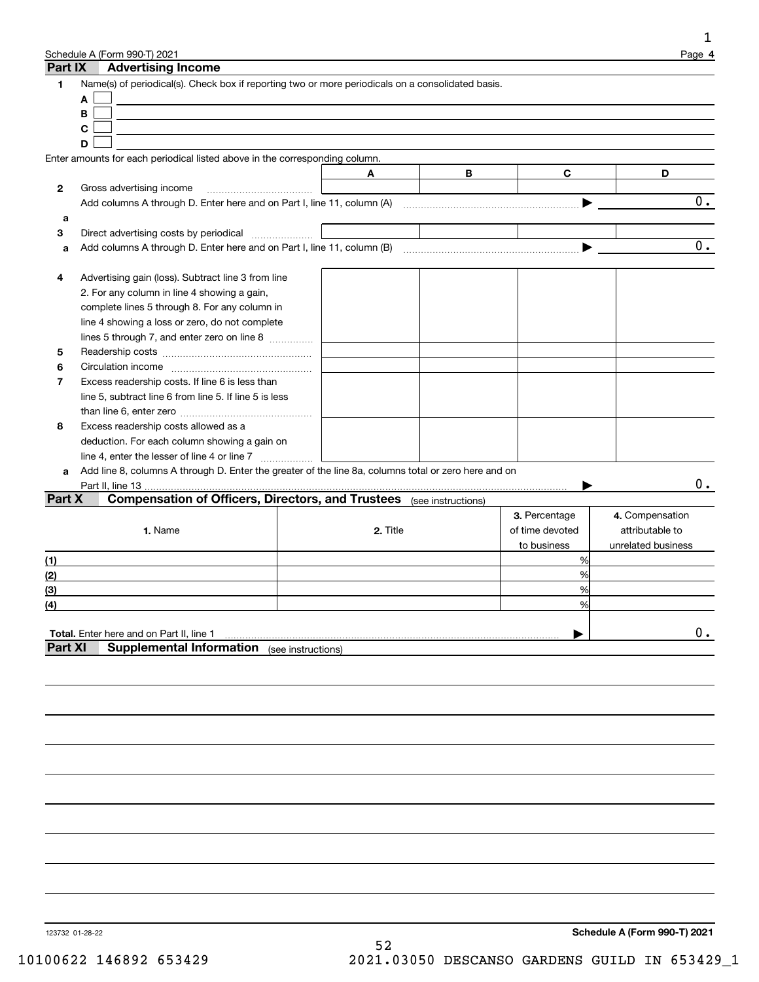|                  | Schedule A (Form 990-T) 2021                                                                         |          |   |                 | Page 4             |
|------------------|------------------------------------------------------------------------------------------------------|----------|---|-----------------|--------------------|
| Part IX          | <b>Advertising Income</b>                                                                            |          |   |                 |                    |
| 1                | Name(s) of periodical(s). Check box if reporting two or more periodicals on a consolidated basis.    |          |   |                 |                    |
|                  | Α<br>В                                                                                               |          |   |                 |                    |
|                  | C                                                                                                    |          |   |                 |                    |
|                  | D                                                                                                    |          |   |                 |                    |
|                  | Enter amounts for each periodical listed above in the corresponding column.                          |          |   |                 |                    |
|                  |                                                                                                      | A        | B | $\mathbf{C}$    | D                  |
| $\mathbf{2}$     | Gross advertising income                                                                             |          |   |                 |                    |
|                  |                                                                                                      |          |   |                 | 0.                 |
| a                |                                                                                                      |          |   |                 |                    |
| 3                | Direct advertising costs by periodical                                                               |          |   |                 |                    |
| a                |                                                                                                      |          |   |                 | 0.                 |
|                  |                                                                                                      |          |   |                 |                    |
| 4                | Advertising gain (loss). Subtract line 3 from line                                                   |          |   |                 |                    |
|                  | 2. For any column in line 4 showing a gain,                                                          |          |   |                 |                    |
|                  | complete lines 5 through 8. For any column in                                                        |          |   |                 |                    |
|                  | line 4 showing a loss or zero, do not complete                                                       |          |   |                 |                    |
|                  | lines 5 through 7, and enter zero on line 8                                                          |          |   |                 |                    |
| 5                |                                                                                                      |          |   |                 |                    |
| 6                |                                                                                                      |          |   |                 |                    |
| 7                | Excess readership costs. If line 6 is less than                                                      |          |   |                 |                    |
|                  | line 5, subtract line 6 from line 5. If line 5 is less                                               |          |   |                 |                    |
|                  |                                                                                                      |          |   |                 |                    |
| 8                | Excess readership costs allowed as a<br>deduction. For each column showing a gain on                 |          |   |                 |                    |
|                  | line 4, enter the lesser of line 4 or line 7                                                         |          |   |                 |                    |
| a                | Add line 8, columns A through D. Enter the greater of the line 8a, columns total or zero here and on |          |   |                 |                    |
|                  |                                                                                                      |          |   |                 | 0.                 |
| Part X           | <b>Compensation of Officers, Directors, and Trustees</b> (see instructions)                          |          |   |                 |                    |
|                  |                                                                                                      |          |   | 3. Percentage   | 4. Compensation    |
|                  | 1. Name                                                                                              | 2. Title |   | of time devoted | attributable to    |
|                  |                                                                                                      |          |   | to business     | unrelated business |
| (1)              |                                                                                                      |          |   | %               |                    |
| (2)              |                                                                                                      |          |   | %               |                    |
| (3)              |                                                                                                      |          |   | %               |                    |
| $\overline{(4)}$ |                                                                                                      |          |   | %               |                    |
|                  |                                                                                                      |          |   |                 |                    |
| <b>Part XI</b>   | Total. Enter here and on Part II, line 1<br><b>Supplemental Information</b> (see instructions)       |          |   |                 | $0$ .              |
|                  |                                                                                                      |          |   |                 |                    |
|                  |                                                                                                      |          |   |                 |                    |
|                  |                                                                                                      |          |   |                 |                    |
|                  |                                                                                                      |          |   |                 |                    |
|                  |                                                                                                      |          |   |                 |                    |
|                  |                                                                                                      |          |   |                 |                    |
|                  |                                                                                                      |          |   |                 |                    |
|                  |                                                                                                      |          |   |                 |                    |
|                  |                                                                                                      |          |   |                 |                    |
|                  |                                                                                                      |          |   |                 |                    |
|                  |                                                                                                      |          |   |                 |                    |
|                  |                                                                                                      |          |   |                 |                    |
|                  |                                                                                                      |          |   |                 |                    |
|                  |                                                                                                      |          |   |                 |                    |
|                  |                                                                                                      |          |   |                 |                    |
|                  |                                                                                                      |          |   |                 |                    |
|                  |                                                                                                      |          |   |                 |                    |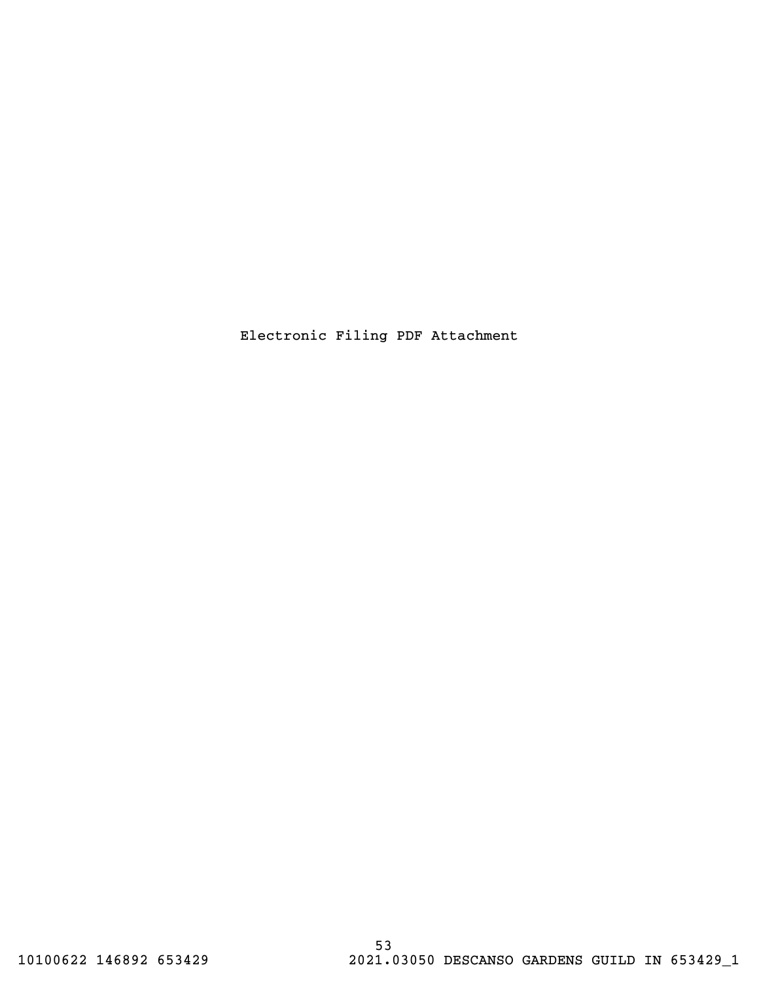Electronic Filing PDF Attachment